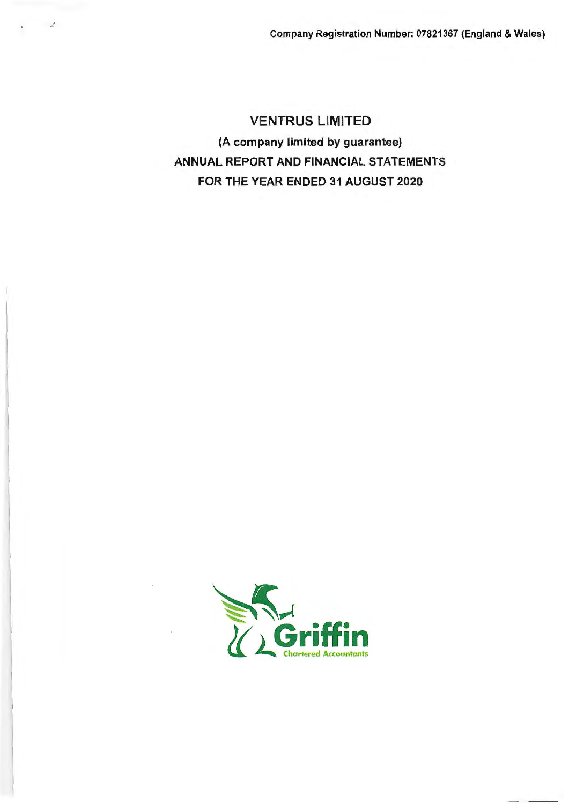# VENTRUS LIMITED (A company limited by guarantee) **ANNUAL** REPORT AND FINANCIAL STATEMENTS FOR THE YEAR ENDED 31 AUGUST 2020

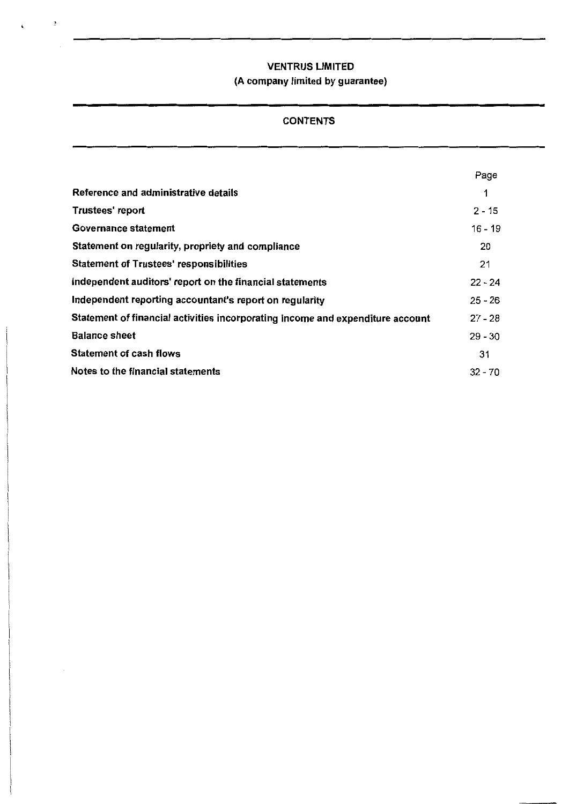$\ddot{\mathbf{z}}$ 

 $\ddot{\phantom{0}}$ 

## (A company limited by guarantee)

## CONTENTS

|                                                                                | Page      |
|--------------------------------------------------------------------------------|-----------|
| Reference and administrative details                                           |           |
| Trustees' report                                                               | $2 - 15$  |
| Governance statement                                                           | 16 - 19   |
| Statement on regularity, propriety and compliance                              | 20        |
| <b>Statement of Trustees' responsibilities</b>                                 | 21        |
| Independent auditors' report on the financial statements                       | $22 - 24$ |
| Independent reporting accountant's report on regularity                        | $25 - 26$ |
| Statement of financial activities incorporating income and expenditure account | $27 - 28$ |
| <b>Balance sheet</b>                                                           | $29 - 30$ |
| Statement of cash flows                                                        | 31        |
| Notes to the financial statements                                              | $32 - 70$ |
|                                                                                |           |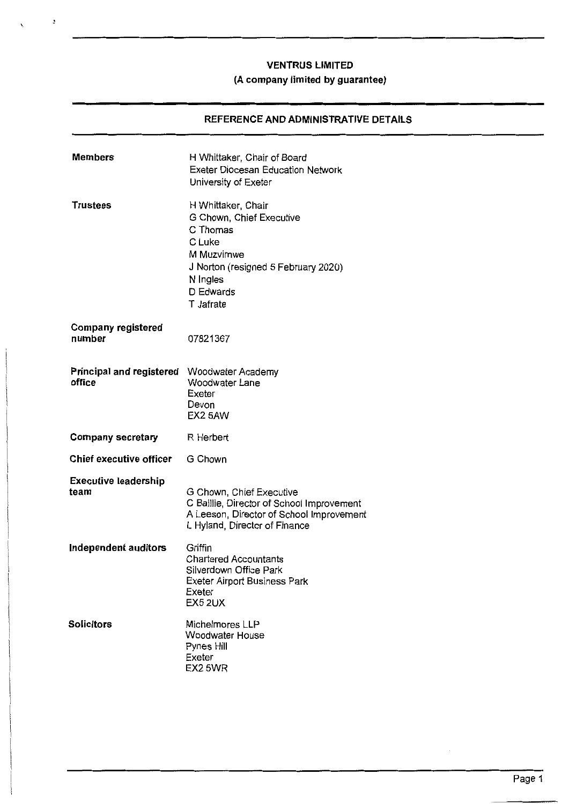## **(A company limited by guarantee)**

## **REFERENCE AND ADMINISTRATIVE DETAILS**

| <b>Members</b>                      | H Whittaker, Chair of Board<br><b>Exeter Diocesan Education Network</b><br>University of Exeter                                                                 |
|-------------------------------------|-----------------------------------------------------------------------------------------------------------------------------------------------------------------|
| <b>Trustees</b>                     | H Whittaker, Chair<br>G Chown, Chief Executive<br>C Thomas<br>C Luke<br>M Muzvimwe<br>J Norton (resigned 5 February 2020)<br>N Ingles<br>D Edwards<br>T Jafrate |
| <b>Company registered</b><br>number | 07821367                                                                                                                                                        |
| Principal and registered<br>office  | Woodwater Academy<br>Woodwater Lane<br>Exeter<br>Devon<br>EX25AW                                                                                                |
| <b>Company secretary</b>            | R Herbert                                                                                                                                                       |
| Chief executive officer             | G Chown                                                                                                                                                         |
| <b>Executive leadership</b><br>team | G Chown, Chief Executive<br>C Baillie, Director of School Improvement<br>A Leeson, Director of School Improvement<br>L Hyland, Director of Finance              |
| Independent auditors                | Griffin<br><b>Chartered Accountants</b><br>Silverdown Office Park<br>Exeter Airport Business Park<br>Exeter<br>EX5 2UX                                          |
| <b>Solicitors</b>                   | Michelmores LLP<br>Woodwater House<br>Pynes Hill<br>Exeter<br>EX2 5WR                                                                                           |

 $\boldsymbol{z}$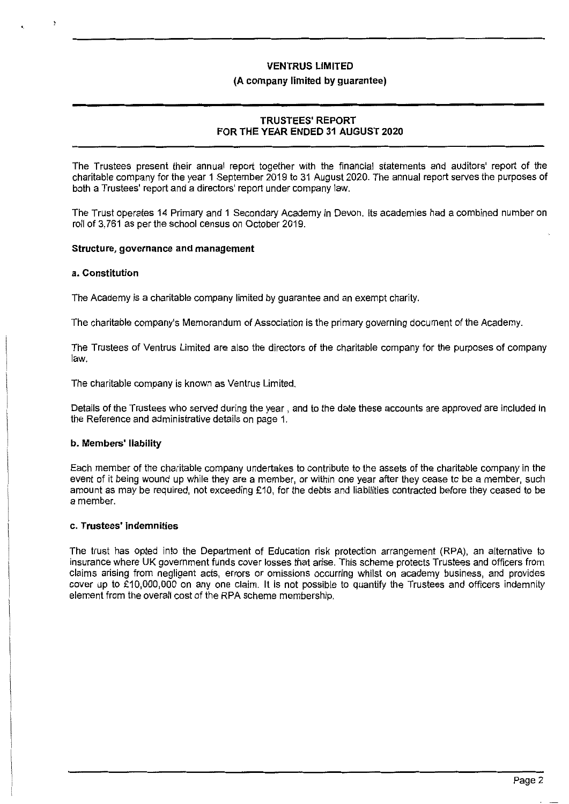#### **(A company limited by guarantee)**

## **TRUSTEES' REPORT FOR THE YEAR ENDED 31 AUGUST 2020**

The Trustees present their annual report together with the financial statements and auditors' report of the charitable company for the year 1 September 2019 to 31 August 2020. The annual report serves the purposes of both a Trustees' report and a directors' report under company law.

The Trust operates 14 Primary and 1 Secondary Academy in Devon. Its academies had a combined number on roll of 3,761 as per the school census on October 2019.

#### **Structure, governance and management**

#### **a. Constitution**

The Academy is a charitable company limited by guarantee and an exempt charity.

The charitable company's Memorandum of Association is the primary governing document of the Academy.

The Trustees of Ventrus Limited are also the directors of the charitable company for the purposes of company law.

The charitable company is known as Ventrus Limited.

Details of the Trustees who served during the year, and to the date these accounts are approved are included in the Reference and administrative details on page 1.

#### **b. Members' liability**

Each member of the charitable company undertakes to contribute to the assets of the charitable company in the event of it being wound up while they are a member, or within one year after they cease to be a member, such amount as may be required, not exceeding £10, for the debts and liabilities contracted before they ceased to be a member.

#### **c. Trustees' indemnities**

The trust has opted into the Department of Education risk protection arrangement (RPA), an alternative to insurance where UK government funds cover losses that arise. This scheme protects Trustees and officers from claims arising from negligent acts, errors or omissions occurring whilst on academy business, and provides cover up to £10,000,000 on any one claim. It is not possible to quantify the Trustees and officers indemnity element from the overall cost of the RPA scheme membership.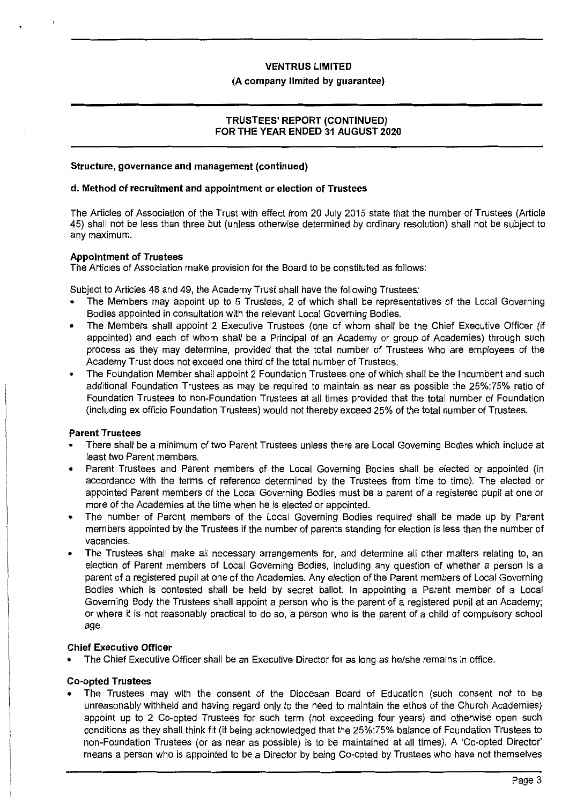#### **(A company limited by guarantee)**

## **TRUSTEES' REPORT (CONTINUED) FOR THE YEAR ENDED 31 AUGUST 2020**

#### **Structure, governance and management (continued)**

#### **d. Method of recruitment and appointment or election of Trustees**

The Articles of Association of the Trust with effect from 20 July 2015 state that the number of Trustees (Article 45) shall not be less than three but (unless otherwise determined by ordinary resolution) shall not be subject to any maximum.

#### **Appointment of Trustees**

The Articles of Association make provision for the Board to be constituted as follows:

Subject to Articles 48 and 49, the Academy Trust shall have the following Trustees:

- The Members may appoint up to 5 Trustees, 2 of which shall be representatives of the Local Governing Bodies appointed in consultation with the relevant Local Governing Bodies.
- The Members shall appoint 2 Executive Trustees ( one of whom shall be the Chief Executive Officer (if appointed) and each of whom shall be a Principal of an Academy or group of Academies) through such process as they may determine, provided that the total number of Trustees who are employees of the Academy Trust does not exceed one third of the total number of Trustees.
- The Foundation Member shall appoint 2 Foundation Trustees one of which shall be the Incumbent and such additional Foundation Trustees as may be required to maintain as near as possible the 25%:75% ratio of Foundation Trustees to non-Foundation Trustees at all times provided that the total number of Foundation (including ex officio Foundation Trustees) would not thereby exceed 25% of the total number of Trustees.

## **Parent Trustees**

- There shall be a minimum of two Parent Trustees unless there are Local Governing Bodies which include at least two Parent members.
- Parent Trustees and Parent members of the Local Governing Bodies shall be elected or appointed (in accordance with the terms of reference determined by the Trustees from time to time). The elected or appointed Parent members of the Local Governing Bodies must be a parent of a registered pupil at one or more of the Academies at the time when he is elected or appointed.
- The number of Parent members of the Local Governing Bodies required shall be made up by Parent members appointed by the Trustees if the number of parents standing for election is less than the number of vacancies.
- The Trustees shall make all necessary arrangements for, and determine all other matters relating to, an election of Parent members of Local Governing Bodies, including any question of whether a person is a parent of a registered pupil at one of the Academies. Any election of the Parent members of Local Governing Bodies which is contested shall be held by secret ballot. In appointing a Parent member of a Local Governing Body the Trustees shall appoint a person who is the parent of a registered pupil at an Academy; or where it is not reasonably practical to do so, a person who is the parent of a child of compulsory school age.

## **Chief Executive Officer**

• The Chief Executive Officer shall be an Executive Director for as long as he/she remains in office.

#### **Co-opted Trustees**

• The Trustees may with the consent of the Diocesan Board of Education (such consent not to be unreasonably withheld and having regard only to the need to maintain the ethos of the Church Academies) appoint up to 2 Co-opted Trustees for such term (not exceeding four years) and otherwise open such conditions as they shall think fit (it being acknowledged that the 25%:75% balance of Foundation Trustees to non-Foundation Trustees (or as near as possible) is to be maintained at all times). A 'Co-opted Director' means a person who is appointed to be a Director by being Co-opted by Trustees who have not themselves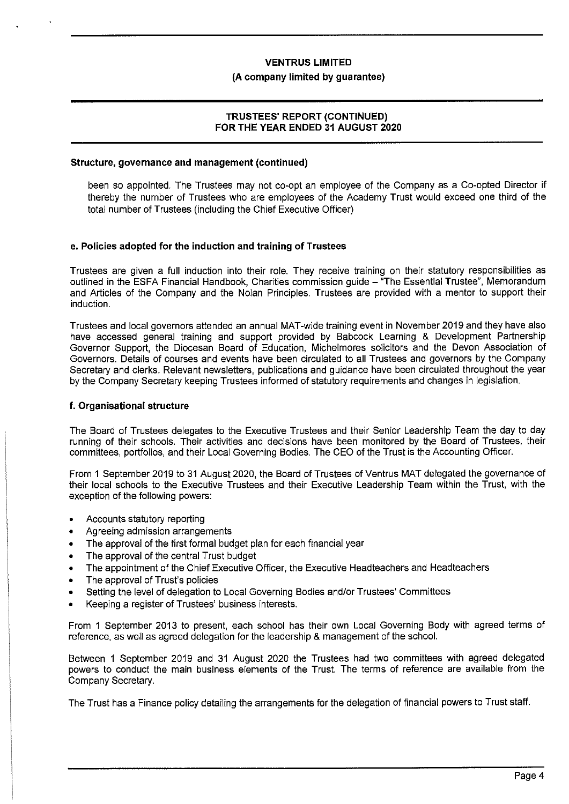#### **(A company limited by guarantee)**

## **TRUSTEES' REPORT (CONTINUED) FOR THE YEAR ENDED 31 AUGUST 2020**

#### **Structure, governance and management (continued)**

been so appointed. The Trustees may not co-opt an employee of the Company as a Co-opted Director if thereby the number of Trustees who are employees of the Academy Trust would exceed one third of the total number of Trustees (including the Chief Executive Officer)

#### **e. Policies adopted for the induction and training of Trustees**

Trustees are given a full induction into their role. They receive training on their statutory responsibilities as outlined in the ESFA Financial Handbook, Charities commission quide - "The Essential Trustee", Memorandum and Articles of the Company and the Nolan Principles. Trustees are provided with a mentor to support their induction.

Trustees and local governors attended an annual MAT-wide training event in November 2019 and they have also have accessed general training and support provided by Babcock Learning & Development Partnership Governor Support, the Diocesan Board of Education, Michelmores solicitors and the Devon Association of Governors. Details of courses and events have been circulated to all Trustees and governors by the Company Secretary and clerks. Relevant newsletters, publications and guidance have been circulated throughout the year by the Company Secretary keeping Trustees informed of statutory requirements and changes in legislation.

#### **f. Organisational structure**

The Board of Trustees delegates to the Executive Trustees and their Senior Leadership Team the day to day running of their schools. Their activities and decisions have been monitored by the Board of Trustees, their committees, portfolios, and their Local Governing Bodies. The CEO of the Trust is the Accounting Officer.

From 1 September 2019 to 31 August 2020, the Board of Trustees of Ventrus MAT delegated the governance of their local schools to the Executive Trustees and their Executive Leadership Team within the Trust, with the exception of the following powers:

- Accounts statutory reporting
- Agreeing admission arrangements
- The approval of the first formal budget plan for each financial year
- The approval of the central Trust budget
- The appointment of the Chief Executive Officer, the Executive Headteachers and Headteachers
- The approval of Trust's policies
- Setting the level of delegation to Local Governing Bodies and/or Trustees' Committees
- Keeping a register of Trustees' business interests.

From 1 September 2013 to present, each school has their own Local Governing Body with agreed terms of reference, as well as agreed delegation for the leadership & management of the school.

Between 1 September 2019 and 31 August 2020 the Trustees had two committees with agreed delegated powers to conduct the main business elements of the Trust. The terms of reference are available from the Company Secretary.

The Trust has a Finance policy detailing the arrangements for the delegation of financial powers to Trust staff.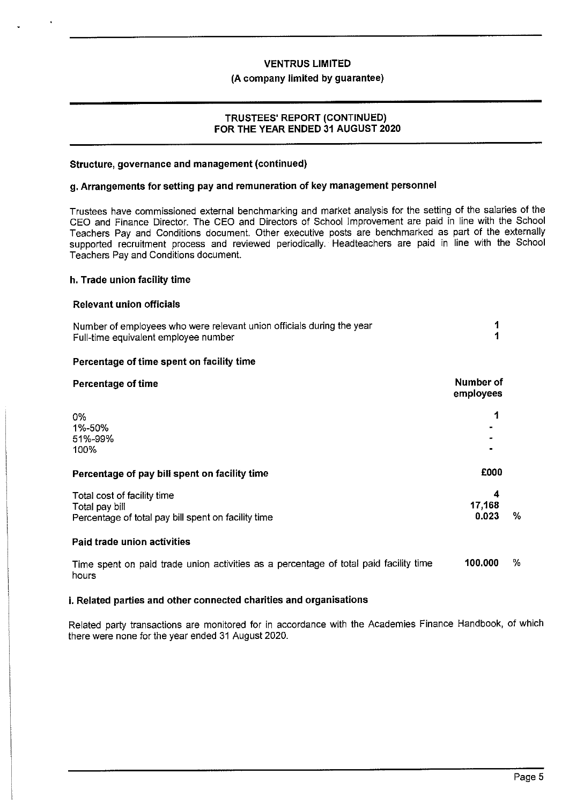#### **(A company limited by guarantee)**

## **TRUSTEES' REPORT (CONTINUED) FOR THE YEAR ENDED 31 AUGUST 2020**

#### **Structure, governance and management (continued)**

### **g. Arrangements for setting pay and remuneration of key management personnel**

Trustees have commissioned external benchmarking and market analysis for the setting of the salaries of the CEO and Finance Director. The CEO and Directors of School Improvement are paid in line with the School Teachers Pay and Conditions document. Other executive posts are benchmarked as part of the externally supported recruitment process and reviewed periodically. Headteachers are paid in line with the School Teachers Pay and Conditions document.

#### **h. Trade union facility time**

#### **Relevant union officials**

| Number of employees who were relevant union officials during the year |  |
|-----------------------------------------------------------------------|--|
| Full-time equivalent employee number                                  |  |

#### **Percentage of time spent on facility time**

| Percentage of time                                                                                   | Number of<br>employees                     |   |
|------------------------------------------------------------------------------------------------------|--------------------------------------------|---|
| 0%<br>1%-50%<br>51%-99%<br>100%                                                                      | 1<br>$\blacksquare$<br>$\blacksquare$<br>۰ |   |
| Percentage of pay bill spent on facility time                                                        | £000                                       |   |
| Total cost of facility time<br>Total pay bill<br>Percentage of total pay bill spent on facility time | 4<br>17,168<br>0.023                       | % |
| Paid trade union activities                                                                          |                                            |   |
| Time spent on paid trade union activities as a percentage of total paid facility time<br>hours       | 100,000                                    | ℅ |

## **i. Related parties and other connected charities and organisations**

Related party transactions are monitored for in accordance with the Academies Finance Handbook, of which there were none for the year ended 31 August 2020.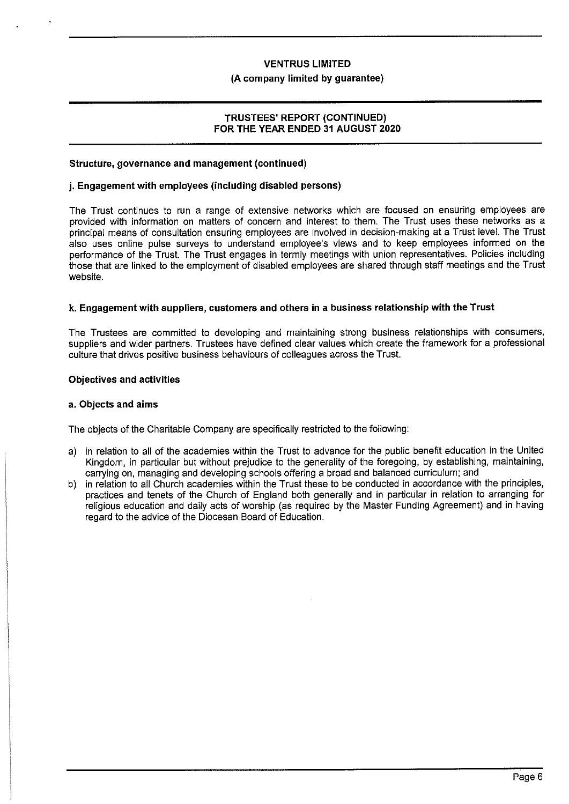#### **(A company limited by guarantee)**

## **TRUSTEES' REPORT (CONTINUED) FOR THE YEAR ENDED 31 AUGUST 2020**

#### **Structure, governance and management (continued)**

### **j. Engagement with employees (including disabled persons)**

The Trust continues to run a range of extensive networks which are focused on ensuring employees are provided with information on matters of concern and interest to them. The Trust uses these networks as a principal means of consultation ensuring employees are involved in decision-making at a Trust level. The Trust also uses online pulse surveys to understand employee's views and to keep employees informed on the performance of the Trust. The Trust engages in termly meetings with union representatives. Policies including those that are linked to the employment of disabled employees are shared through staff meetings and the Trust website.

## **k. Engagement with suppliers, customers and others in a business relationship with the Trust**

The Trustees are committed to developing and maintaining strong business relationships with consumers, suppliers and wider partners. Trustees have defined clear values which create the framework for a professional culture that drives positive business behaviours of colleagues across the Trust

#### **Objectives and activities**

#### **a. Objects and aims**

The objects of the Charitable Company are specifically restricted to the following:

- a) in relation to all of the academies within the Trust to advance for the public benefit education in the United Kingdom, in particular but without prejudice to the generality of the foregoing, by establishing, maintaining, carrying on, managing and developing schools offering a broad and balanced curriculum; and
- b) in relation to all Church academies within the Trust these to be conducted in accordance with the principles, practices and tenets of the Church of England both generally and in particular in relation to arranging for religious education and daily acts of worship (as required by the Master Funding Agreement) and in having regard to the advice of the Diocesan Board of Education.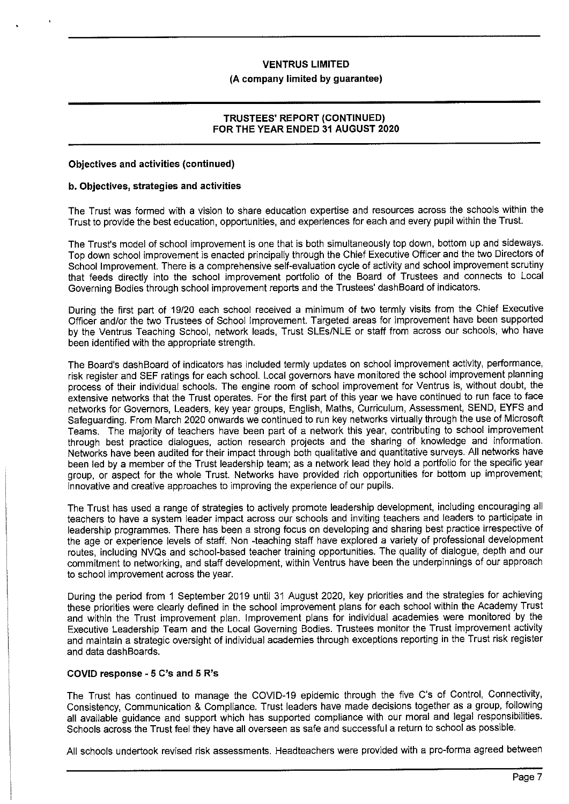## **VENTRUS LIMITED (A company limited by guarantee)**

## **TRUSTEES' REPORT (CONTINUED) FOR THE YEAR ENDED 31 AUGUST 2020**

### **Objectives and activities (continued)**

#### **b. Objectives, strategies and activities**

The Trust was formed with a vision to share education expertise and resources across the schools within the Trust to provide the best education, opportunities, and experiences for each and every pupil within the Trust.

The Trust's model of school improvement is one that is both simultaneously top down, bottom up and sideways. Top down school improvement is enacted principally through the Chief Executive Officer and the two Directors of School Improvement. There is a comprehensive self-evaluation cycle of activity and school improvement scrutiny that feeds directly into the school improvement portfolio of the Board of Trustees and connects to Local Governing Bodies through school improvement reports and the Trustees' dash Board of indicators.

During the first part of 19/20 each school received a minimum of two termly visits from the Chief Executive Officer and/or the two Trustees of School Improvement. Targeted areas for improvement have been supported by the Ventrus Teaching School, network leads, Trust SLEs/NLE or staff from across our schools, who have been identified with the appropriate strength.

The Board's dashBoard of indicators has included termly updates on school improvement activity, performance, risk register and SEF ratings for each school. Local governors have monitored the school improvement planning process of their individual schools. The engine room of school improvement for Ventrus is, without doubt, the extensive networks that the Trust operates. For the first part of this year we have continued to run face to face networks for Governors, Leaders, key year groups, English, Maths, Curriculum, Assessment, SEND, EYFS and Safeguarding. From March 2020 onwards we continued to run key networks virtually through the use of Microsoft Teams. The majority of teachers have been part of a network this year, contributing to school improvement through best practice dialogues, action research projects and the sharing of knowledge and information. Networks have been audited for their impact through both qualitative and quantitative surveys. All networks have been led by a member of the Trust leadership team; as a network lead they hold a portfolio for the specific year group, or aspect for the whole Trust. Networks have provided rich opportunities for bottom up improvement; innovative and creative approaches to improving the experience of our pupils.

The Trust has used a range of strategies to actively promote leadership development, including encouraging all teachers to have a system leader impact across our schools and inviting teachers and leaders to participate in leadership programmes. There has been a strong focus on developing and sharing best practice irrespective of the age or experience levels of staff. Non -teaching staff have explored a variety of professional development routes, including NVQs and school-based teacher training opportunities. The quality of dialogue, depth and our commitment to networking, and staff development, within Ventrus have been the underpinnings of our approach to school improvement across the year.

During the period from 1 September 2019 until 31 August 2020, key priorities and the strategies for achieving these priorities were clearly defined in the school improvement plans for each school within the Academy Trust and within the Trust improvement plan. Improvement plans for individual academies were monitored by the Executive Leadership Team and the Local Governing Bodies. Trustees monitor the Trust improvement activity and maintain a strategic oversight of individual academies through exceptions reporting in the Trust risk register and data dashBoards.

#### **COVID response - 5 C's and 5 R's**

The Trust has continued to manage the COVJD-19 epidemic through the five C's of Control, Connectivity, Consistency, Communication & Compliance. Trust leaders have made decisions together as a group, following all available guidance and support which has supported compliance with our moral and legal responsibilities. Schools across the Trust feel they have all overseen as safe and successful a return to school as possible.

All schools undertook revised risk assessments. Headteachers were provided with a pro-forma agreed between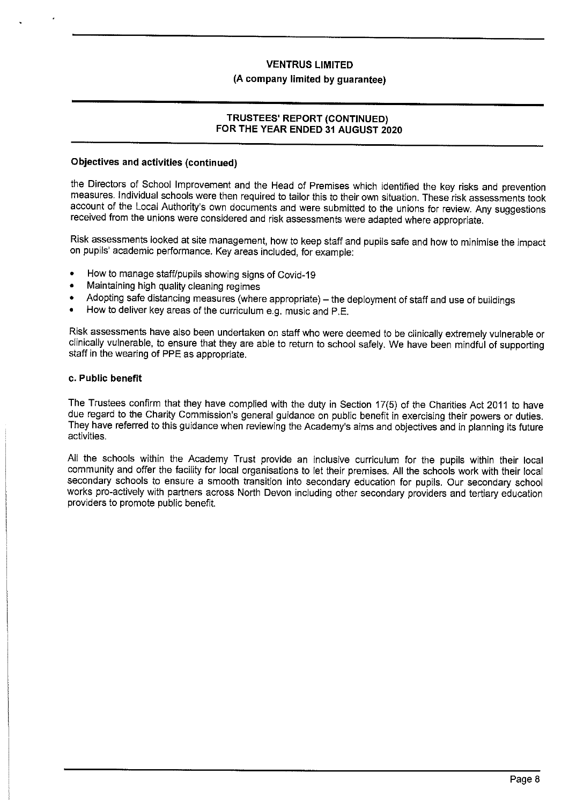## **(A company limited by guarantee)**

## **TRUSTEES' REPORT (CONTINUED) FOR THE YEAR ENDED 31 AUGUST 2020**

#### **Objectives and activities (continued)**

the Directors of School Improvement and the Head of Premises which identified the key risks and prevention measures. Individual schools were then required to tailor this to their own situation. These risk assessments took account of the Local Authority's own documents and were submitted to the unions for review. Any suggestions received from the unions were considered and risk assessments were adapted where appropriate.

Risk assessments looked at site management, how to keep staff and pupils safe and how to minimise the impact on pupils' academic performance. Key areas included, for example:

- How to manage staff/pupils showing signs of Covid-19
- Maintaining high quality cleaning regimes
- Adopting safe distancing measures (where appropriate) the deployment of staff and use of buildings
- How to deliver key areas of the curriculum e.g. music and P.E.

Risk assessments have also been undertaken on staff who were deemed to be clinically extremely vulnerable or clinically vulnerable, to ensure that they are able to return to school safely. We have been mindful of supporting staff in the wearing of PPE as appropriate.

#### **c. Public benefit**

The Trustees confirm that they have complied with the duty in Section 17(5) of the Charities Act 2011 to have due regard to the Charity Commission's general guidance on public benefit in exercising their powers or duties. They have referred to this guidance when reviewing the Academy's aims and objectives and in planning its future activities.

All the schools within the Academy Trust provide an inclusive curriculum for the pupils within their local community and offer the facility for local organisations to let their premises. All the schools work with their local secondary schools to ensure a smooth transition into secondary education for pupils. Our secondary school works pro-actively with partners across North Devon including other secondary providers and tertiary education providers to promote public benefit.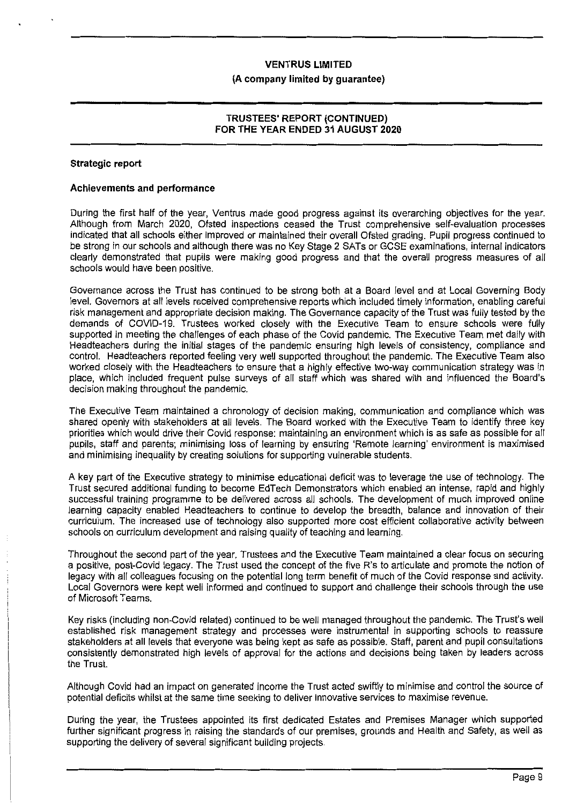#### **(A company limited by guarantee)**

### **TRUSTEES' REPORT (CONTINUED) FOR THE YEAR ENDED 31 AUGUST 2020**

#### **Strategic report**

#### **Achievements and performance**

During the first half of the year, Ventrus made good progress against its overarching objectives for the year. Although from March 2020, Ofsted inspections ceased the Trust comprehensive self-evaluation processes indicated that all schools either improved or maintained their overall Ofsted grading. Pupil progress continued to be strong in our schools and although there was no Key Stage 2 SATs or GCSE examinations, internal indicators clearly demonstrated that pupils were making good progress and that the overall progress measures of all schools would have been positive.

Governance across the Trust has continued to be strong both at a Board level and at Local Governing Body level. Governors at all levels received comprehensive reports which included timely information, enabling careful risk management and appropriate decision making. The Governance capacity of the Trust was fully tested by the demands of COVID-19. Trustees worked closely with the Executive Team to ensure schools were fully supported in meeting the challenges of each phase of the Covid pandemic. The Executive Team met daily with Headteachers during the initial stages of the pandemic ensuring high levels of consistency, compliance and control. Headteachers reported feeling very well supported throughout the pandemic. The Executive Team also worked closely with the Headteachers to ensure that a highly effective two-way communication strategy was in place, which included frequent pulse surveys of all staff which was shared with and influenced the Board's decision making throughout the pandemic.

The Executive Team maintained a chronology of decision making, communication and compliance which was shared openly with stakeholders at all levels. The Board worked with the Executive Team to identify three key priorities which would drive their Covid response: maintaining an environment which is as safe as possible for all pupils, staff and parents; minimising loss of learning by ensuring 'Remote learning' environment is maximised and minimising inequality by creating solutions for supporting vulnerable students.

A key part of the Executive strategy to minimise educational deficit was to leverage the use of technology. The Trust secured additional funding to become EdTech Demonstrators which enabled an intense, rapid and highly successful training programme to be delivered across all schools. The development of much improved online learning capacity enabled Headteachers to continue to develop the breadth, balance and innovation of their curriculum. The increased use of technology also supported more cost efficient collaborative activity between schools on curriculum development and raising quality of teaching and learning.

Throughout the second part of the year, Trustees and the Executive Team maintained a clear focus on securing a positive, post-Covid legacy. The Trust used the concept of the five R's to articulate and promote the notion of legacy with all colleagues focusing on the potential long term benefit of much of the Covid response and activity. Local Governors were kept well informed and continued to support and challenge their schools through the use of Microsoft Teams.

Key risks (including non-Covid related) continued to be well managed throughout the pandemic. The Trust's well established risk management strategy and processes were instrumental in supporting schools to reassure stakeholders at all levels that everyone was being kept as safe as possible. Staff, parent and pupil consultations consistently demonstrated high levels of approval for the actions and decisions being taken by leaders across the Trust.

Although Covid had an impact on generated income the Trust acted swiftly to minimise and control the source of potential deficits whilst at the same time seeking to deliver innovative services to maximise revenue.

During the year, the Trustees appointed its first dedicated Estates and Premises Manager which supported further significant progress in raising the standards of our premises, grounds and Health and Safety, as well as supporting the delivery of several significant building projects.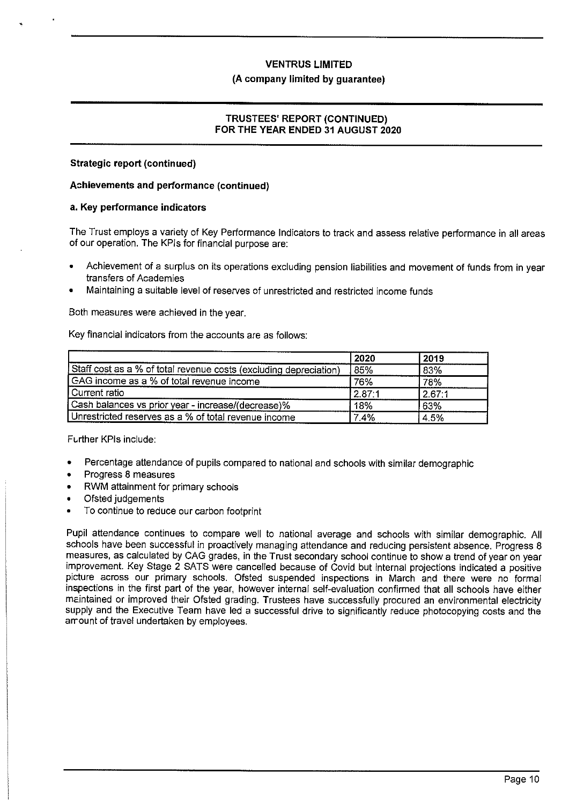### **(A company limited by guarantee)**

## **TRUSTEES' REPORT (CONTINUED) FOR THE YEAR ENDED 31 AUGUST 2020**

### **Strategic report (continued)**

### **A::hievements and performance (continued)**

#### **a. Key performance indicators**

The Trust employs a variety of Key Performance Indicators to track and assess relative performance in all areas of our operation. The KPls for financial purpose are:

- Achievement of a surplus on its operations excluding pension liabilities and movement of funds from in year transfers of Academies
- Maintaining a suitable level of reserves of unrestricted and restricted income funds

Both measures were achieved in the year.

Key financial indicators from the accounts are as follows:

|                                                                   | 2020   | 2019   |
|-------------------------------------------------------------------|--------|--------|
| Staff cost as a % of total revenue costs (excluding depreciation) | 85%    | 83%    |
| I GAG income as a % of total revenue income                       | 76%    | 78%    |
| Current ratio                                                     | 2.87:1 | 2.67:1 |
| Cash balances vs prior year - increase/(decrease)%                | 18%    | 63%    |
| Unrestricted reserves as a % of total revenue income              | 7.4%   | 4.5%   |

Further KPIs include:

- Percentage attendance of pupils compared to national and schools with similar demographic
- Progress 8 measures
- RWM attainment for primary schools
- Ofsted judgements
- To continue to reduce our carbon footprint

Pupil attendance continues to compare well to national average and schools with similar demographic. All schools have been successful in proactively managing attendance and reducing persistent absence. Progress 8 measures, as calculated by GAG grades, in the Trust secondary school continue to show a trend of year on year improvement. Key Stage 2 SATS were cancelled because of Covid but internal projections indicated a positive picture across our primary schools. Ofsted suspended inspections in March and there were no formal inspections in the first part of the year, however internal self-evaluation confirmed that all schools have either mcintained or improved their Ofsted grading. Trustees have successfully procured an environmental electricity supply and the Executive Team have led a successful drive to significantly reduce photocopying costs and the arrount of travel undertaken by employees.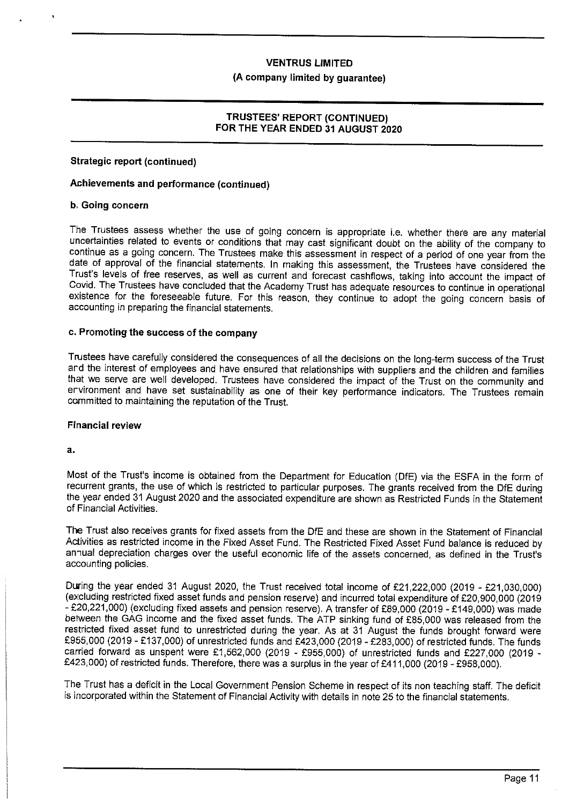### **(A company limited by guarantee)**

### **TRUSTEES' REPORT (CONTINUED) FOR THE YEAR ENDED 31 AUGUST 2020**

## **Strategic report (continued)**

#### **Achievements and performance (continued)**

#### **b. Going concern**

The Trustees assess whether the use of going concern is appropriate i.e. whether there are any material uncertainties related to events or conditions that may cast significant doubt on the ability of the company to continue as a going concern. The Trustees make this assessment in respect of a period of one year from the date of approval of the financial statements. In making this assessment, the Trustees have considered the Trust's levels of free reserves, as well as current and forecast cashflows, taking into account the impact of Covid. The Trustees have concluded that the Academy Trust has adequate resources to continue in operational existence for the foreseeable future. For this reason, they continue to adopt the going concern basis of accounting in preparing the financial statements.

## **c. Promoting the success of the company**

Trustees have carefully considered the consequences of all the decisions on the long-term success of the Trust ard the interest of employees and have ensured that relationships with suppliers and the children and families that we serve are well developed. Trustees have considered the impact of the Trust on the community and ervironment and have set sustainability as one of their key performance indicators. The Trustees remain committed to maintaining the reputation of the Trust.

#### **Financial review**

**a.** 

Most of the Trust's income is obtained from the Department for Education (DfE) via the ESFA in the form of recurrent grants, the use of which is restricted to particular purposes. The grants received from the DfE during the year ended 31 August 2020 and the associated expenditure are shown as Restricted Funds in the Statement of Financial Activities.

**The** Trust also receives grants for fixed assets from the DIE and these are shown in the Statement of Financial Activities as restricted income in the Fixed Asset Fund. The Restricted Fixed Asset Fund balance is reduced by annual depreciation charges over the useful economic life of the assets concerned, as defined in the Trust's accounting policies.

During the year ended 31 August 2020, the Trust received total income of £21,222,000 (2019 - £21,030,000) (excluding restricted fixed asset funds and pension reserve) and incurred total expenditure of £20,900,000 (2019 - £20,221,000) (excluding fixed assets and pension reserve). A transfer of £89,000 (2019 - £149,000) was made between the GAG income and the fixed asset funds. The ATP sinking fund of £85,000 was released from the restricted fixed asset fund to unrestricted during the year. As at 31 August the funds brought forward were £955,000 (2019 - £137,000) of unrestricted funds and £423,000 (2019-£283,000) of restricted funds. The funds carried forward as unspent were £1,562,000 (2019 - £955,000) of unrestricted funds and £227,000 (2019 - £423,000) of restricted funds. Therefore, there was a surplus in the year of £411,000 (2019 - £958,000).

The Trust has a deficit in the Local Government Pension Scheme in respect of its non teaching staff. The deficit is incorporated within the Statement of Financial Activity with details in note 25 to the financial statements.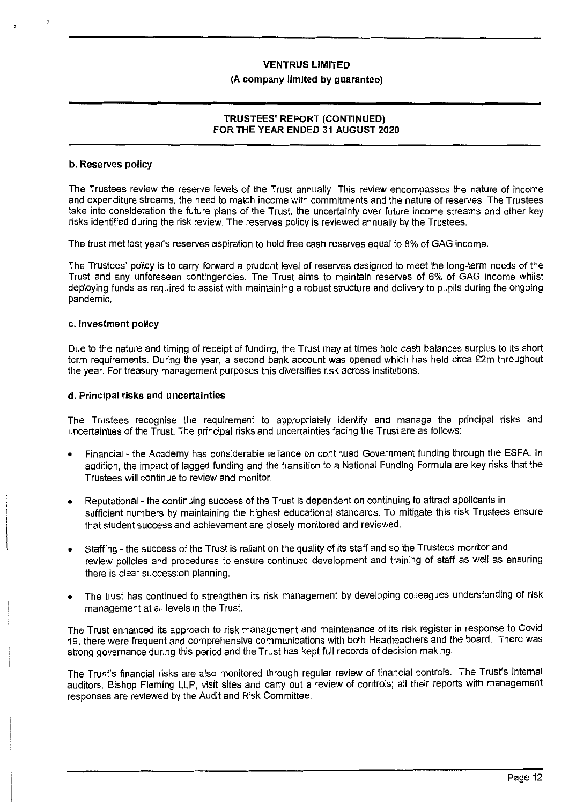#### **(A company limited by guarantee)**

## **TRUSTEES' REPORT (CONTINUED) FOR THE YEAR ENDED 31 AUGUST 2020**

#### **b. Reserves policy**

The Trustees review the reserve levels of the Trust annually. This review encompasses the nature of income and expenditure streams, the need to match income with commitments and the nature of reserves. The Trustees take into consideration the future plans of the Trust, the uncertainty over future income streams and other key risks identified during the risk review. The reserves policy is reviewed annually by the Trustees.

The trust met last year's reserves aspiration to hold free cash reserves equal to 8% of GAG income.

The Trustees' policy is to carry forward a prudent level of reserves designed to meet the long-term needs of the Trust and any unforeseen contingencies. The Trust aims to maintain reserves of 6% of GAG income whilst deploying funds as required to assist with maintaining a robust structure and delivery to pupils during the ongoing pandemic.

## **c. Investment policy**

Due to the nature and timing of receipt of funding, the Trust may at times hold cash balances surplus to its short term requirements. During the year, a second bank account was opened which has held circa £2m throughout the year. For treasury management purposes this diversifies risk across institutions.

#### **d. Principal risks and uncertainties**

The Trustees recognise the requirement to appropriately identify and manage the principal risks and uncertainties of the Trust. The principal risks and uncertainties facing the Trust are as follows:

- Financial the Academy has considerable reliance on continued Government funding through the ESFA. In addition, the impact of lagged funding and the transition to a National Funding Formula are key risks that the Trustees **will** continue to review and monitor.
- Reputational the continuing success of the Trust is dependent on continuing to attract applicants in sufficient numbers by maintaining the highest educational standards. To mitigate this risk Trustees ensure that student success and achievement are closely monitored and reviewed.
- Staffing the success of the Trust is reliant on the quality of its staff and so the Trustees monitor and review policies and procedures to ensure continued development and training of staff as well as ensuring there is clear succession planning.
- The trust has continued to strengthen its risk management by developing colleagues understanding of risk management at all levels in the Trust.

The Trust enhanced its approach to risk management and maintenance of its risk register in response to Covid 19, there were frequent and comprehensive communications with both Headteachers and the board. There was strong governance during this period and the Trust has kept full records of decision making.

The Trust's financial risks are also monitored through regular review of financial controls. The Trust's internal auditors, Bishop Fleming LLP, visit sites and carry out a review of controls; all their reports with management responses are reviewed by the Audit and Risk Committee.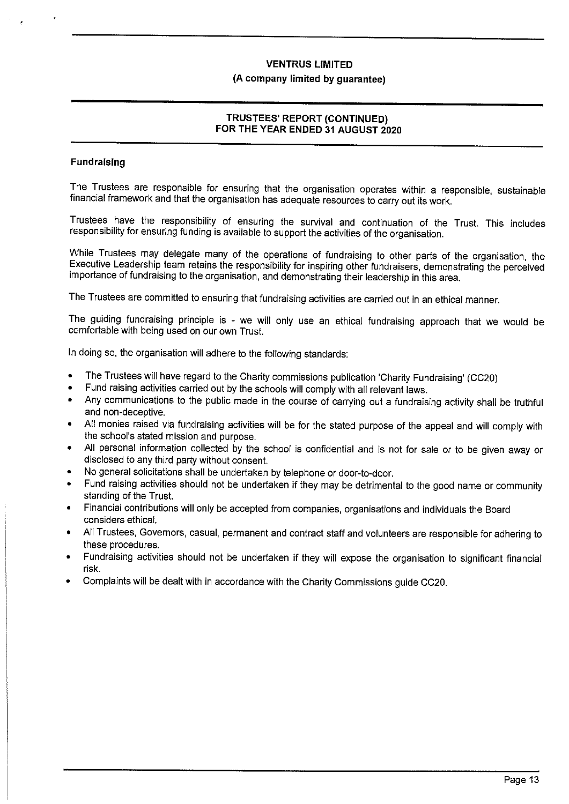## **(A company limited by guarantee)**

## **TRUSTEES' REPORT (CONTINUED) FOR THE YEAR ENDED 31 AUGUST 2020**

## **Fund raising**

The Trustees are responsible for ensuring that the organisation operates within a responsible, sustainable financial framework and that the organisation has adequate resources to carry out its work.

Trustees have the responsibility of ensuring the survival and continuation of the Trust. This includes responsibility for ensuring funding is available to support the activities of the organisation.

While Trustees may delegate many of the operations of fundraising to other parts of the organisation, the Executive Leadership team retains the responsibility for inspiring other fundraisers, demonstrating the perceived importance of fundraising to the organisation, and demonstrating their leadership in this area.

The Trustees are committed to ensuring that fundraising activities are carried out in an ethical manner.

The guiding fundraising principle is - we will only use an ethical fundraising approach that we would be comfortable with being used on our own Trust.

In doing so, the organisation will adhere to the following standards:

- The Trustees will have regard to the Charity commissions publication 'Charity Fundraising' (CC20)
- Fund raising activities carried out by the schools will comply with all relevant laws.
- Any communications to the public made in the course of carrying out a fundraising activity shall be truthful and non-deceptive.
- All monies raised via fundraising activities will be for the stated purpose of the appeal and will comply with the school's stated mission and purpose.
- All personal information collected by the school is confidential and is not for sale or to be given away or disclosed to any third party without consent.
- No general solicitations shall be undertaken by telephone or door-to-door.
- Fund raising activities should not be undertaken if they may be detrimental to the good name or community standing of the Trust.
- Financial contributions will only be accepted from companies, organisations and individuals the Board considers ethical.
- All Trustees, Governors, casual, permanent and contract staff and volunteers are responsible for adhering to these procedures.
- Fundraising activities should not be undertaken if they will expose the organisation to significant financial risk.
- Complaints will be dealt with in accordance with the Charity Commissions guide CC20.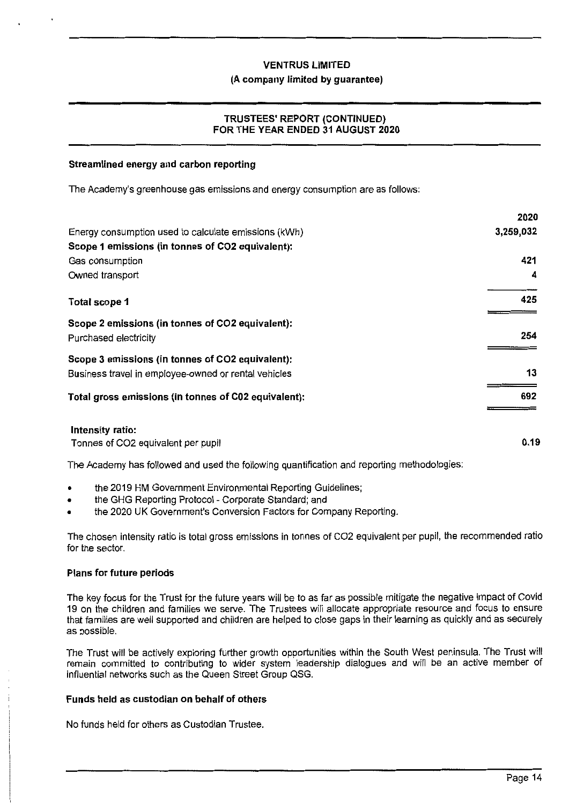#### **(A company limited by guarantee)**

## **TRUSTEES' REPORT (CONTINUED) FOR THE YEAR ENDED 31 AUGUST 2020**

### **Streamlined energy and carbon reporting**

The Academy's greenhouse gas emissions and energy consumption are as follows:

|                                                      | 2020      |
|------------------------------------------------------|-----------|
| Energy consumption used to calculate emissions (kWh) | 3,259,032 |
| Scope 1 emissions (in tonnes of CO2 equivalent):     |           |
| Gas consumption                                      | 421       |
| Owned transport                                      | 4         |
| Total scope 1                                        | 425       |
| Scope 2 emissions (in tonnes of CO2 equivalent):     |           |
| Purchased electricity                                | 254       |
| Scope 3 emissions (in tonnes of CO2 equivalent):     |           |
| Business travel in employee-owned or rental vehicles | 13        |
| Total gross emissions (in tonnes of C02 equivalent): | 692       |
| Intensity ratio:                                     |           |
|                                                      |           |

Tonnes of CO2 equivalent per pupil

The Academy has followed and used the following quantification and reporting methodologies:

- the 2019 HM Government Environmental Reporting Guidelines;
- the GHG Reporting Protocol Corporate Standard; and
- the 2020 UK Government's Conversion Factors for Company Reporting.

The chosen intensity ratio is total gross emissions in tonnes of CO2 equivalent per pupil, the recommended ratio for the sector.

#### **Plans for future periods**

The key focus for the Trust for the future years will be to as far as possible mitigate the negative impact of Covid 19 on the children and families we serve. The Trustees will allocate appropriate resource and focus to ensure that families are well supported and children are helped to close gaps in their learning as quickly and as securely as possible.

The Trust will be actively exploring further growth opportunities within the South West peninsula. The Trust will remain committed to contributing to wider system leadership dialogues and will be an active member of influential networks such as the Queen Street Group QSG.

## **Funds held as custodian on behalf of others**

No funds held for others as Custodian Trustee.

**0.19**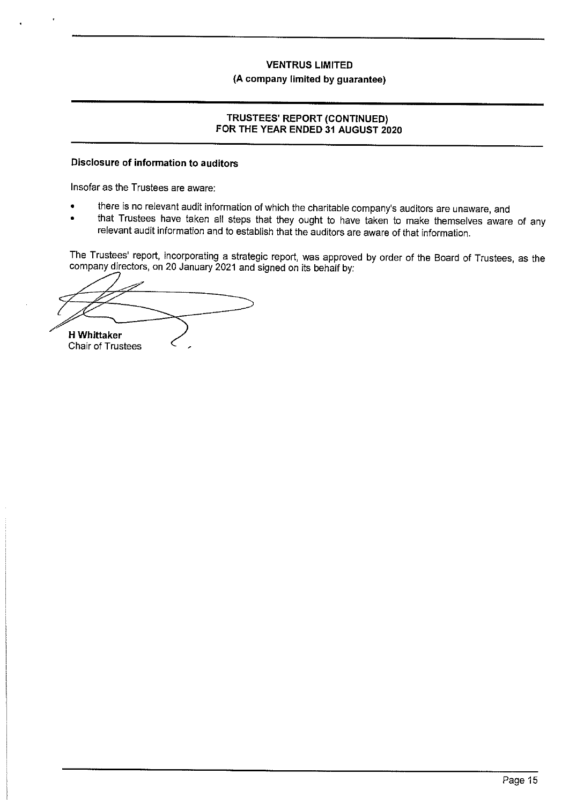## **(A company limited by guarantee)**

## **TRUSTEES' REPORT (CONTINUED) FOR THE YEAR ENDED 31 AUGUST 2020**

## **Disclosure of information to auditors**

Insofar as the Trustees are aware:

- there is no relevant audit information of which the charitable company's auditors are unaware, and
- that Trustees have taken all steps that they ought to have taken to make themselves aware of any relevant audit information and to establish that the auditors are aware of that information.

The Trustees' report, incorporating a strategic report, was approved by order of the Board of Trustees, as the company directors, on 20 January 2021 and signed on its behalf by:

**H Whittaker** 

Chair of Trustees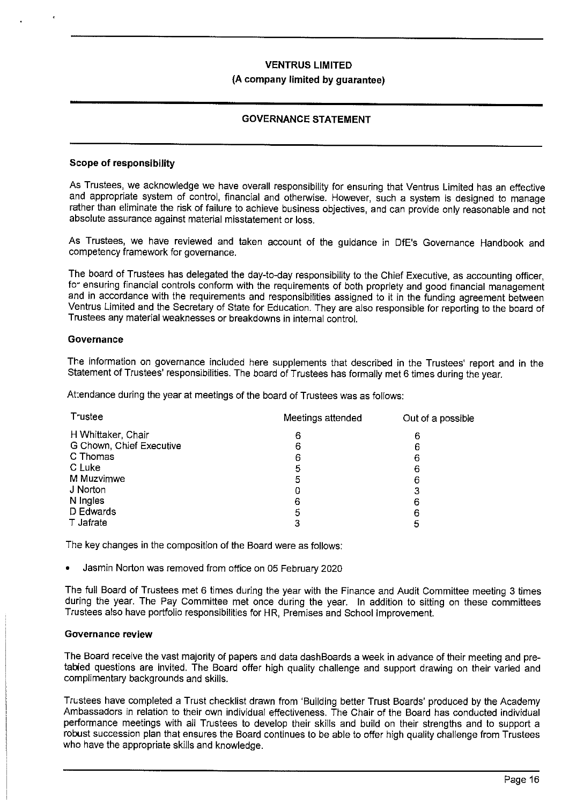## **(A company limited by guarantee)**

## **GOVERNANCE STATEMENT**

### **Scope of responsibility**

As Trustees, we acknowledge we have overall responsibility for ensuring that Ventrus Limited has an effective and appropriate system of control, financial and otherwise. However, such a system is designed to manage rather than eliminate the risk of failure to achieve business objectives, and can provide only reasonable and not absolute assurance against material misstatement or loss.

As Trustees, we have reviewed and taken account of the guidance in DfE's Governance Handbook and competency framework for governance.

The board of Trustees has delegated the day-to-day responsibility to the Chief Executive, as accounting officer, for ensuring financial controls conform with the requirements of both propriety and good financial management and in accordance with the requirements and responsibilities assigned to it in the funding agreement between Ventrus Limited and the Secretary of State for Education. They are also responsible for reporting to the board of Trustees any material weaknesses or breakdowns in internal control.

#### **Governance**

The information on governance included here supplements that described in the Trustees' report and in the Statement of Trustees' responsibilities. The board of Trustees has formally met 6 times during the year.

At:endance during the year at meetings of the board of Trustees was as follows:

| Trustee                  | Meetings attended | Out of a possible |
|--------------------------|-------------------|-------------------|
| H Whittaker, Chair       | 6                 | 6                 |
| G Chown, Chief Executive | 6                 | 6                 |
| C Thomas                 | 6                 | 6                 |
| C Luke                   | 5                 | 6                 |
| M Muzvimwe               | 5                 | 6                 |
| J Norton                 | Ω                 | 3                 |
| N Ingles                 | 6                 | 6                 |
| D Edwards                | 5                 | 6                 |
| T Jafrate                |                   | 5                 |

The key changes in the composition of the Board were as follows:

• Jasmin Norton was removed from office on 05 February 2020

The full Board of Trustees met 6 times during the year with the Finance and Audit Committee meeting 3 times during the year. The Pay Committee met once during the year. In addition to sitting on these committees Trustees also have portfolio responsibilities for HR, Premises and School Improvement.

#### **Governance review**

The Board receive the vast majority of papers and data dash Boards a week in advance of their meeting and pretabled questions are invited. The Board offer high quality challenge and support drawing on their varied and complimentary backgrounds and skills.

Trustees have completed a Trust checklist drawn from 'Building better Trust Boards' produced by the Academy Ambassadors in relation to their own individual effectiveness. The Chair of the Board has conducted individual performance meetings with all Trustees to develop their skills and build on their strengths and to support a robust succession plan that ensures the Board continues to be able to offer high quality challenge from Trustees who have the appropriate skills and knowledge.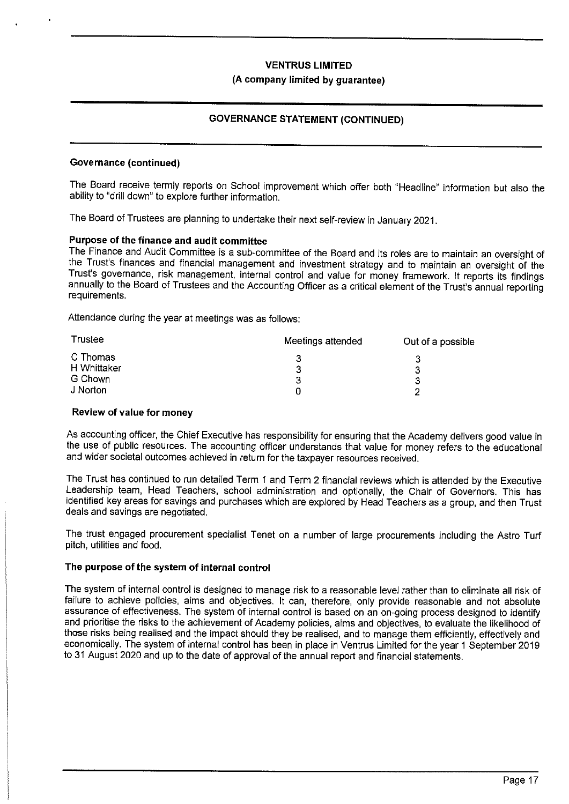#### **(A company limited by guarantee)**

## **GOVERNANCE STATEMENT (CONTINUED)**

### **Governance (continued)**

The Board receive termly reports on School improvement which offer both "Headline" information but also the ability to "drill down" to explore further information.

The Board of Trustees are planning to undertake their next self-review in January 2021.

## **Purpose of the finance and audit committee**

The Finance and Audit Committee is a sub-committee of the Board and its roles are to maintain an oversight of the Trust's finances and financial management and investment strategy and to maintain an oversight of the Trust's governance, risk management, internal control and value for money framework. It reports its findings annually to the Board of Trustees and the Accounting Officer as a critical element of the Trust's annual reporting requirements.

Attendance during the year at meetings was as follows:

| Trustee     | Meetings attended | Out of a possible |
|-------------|-------------------|-------------------|
| C Thomas    |                   |                   |
| H Whittaker |                   |                   |
| G Chown     | 3                 |                   |
| J Norton    |                   | າ                 |

#### **Review of value for money**

As accounting officer, the Chief Executive has responsibility for ensuring that the Academy delivers good value in the use of public resources. The accounting officer understands that value for money refers to the educational and wider societal outcomes achieved in return for the taxpayer resources received.

The Trust has continued to run detailed Term 1 and Term 2 financial reviews which is attended by the Executive Leadership team, Head Teachers, school administration and optionally, the Chair of Governors. This has identified key areas for savings and purchases which are explored by Head Teachers as a group, and then Trust deals and savings are negotiated.

The trust engaged procurement specialist Tenet on a number of large procurements including the Astra Turf pitch, utilities and food.

## **The purpose of the system of internal control**

The system of internal control is designed to manage risk to a reasonable level rather than to eliminate all risk of failure to achieve policies, aims and objectives. It can, therefore, only provide reasonable and not absolute assurance of effectiveness. The system of internal control is based on an on-going process designed to identify and prioritise the risks to the achievement of Academy policies, aims and objectives, to evaluate the likelihood of those risks being realised and the impact should they be realised, and to manage them efficiently, effectively and economically. The system of internal control has been in place in Ventrus Limited for the year 1 September 2019 to 31 August 2020 and up to the date of approval of the annual report and financial statements.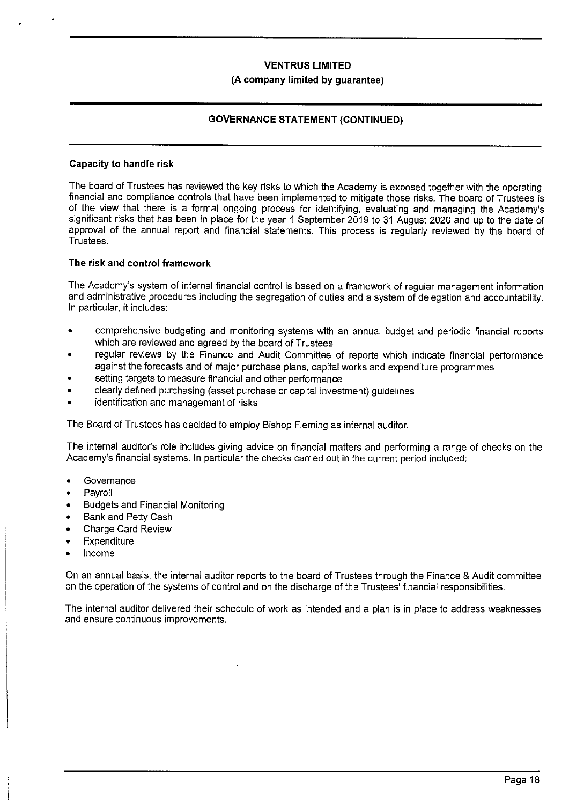## **VENTRUS LIMITED (A company limited by guarantee)**

## **GOVERNANCE STATEMENT (CONTINUED)**

#### **Capacity to handle risk**

The board of Trustees has reviewed the key risks to which the Academy is exposed together with the operating, financial and compliance controls that have been implemented to mitigate those risks. The board of Trustees is of the view that there is a formal ongoing process for identifying, evaluating and managing the Academy's significant risks that has been in place for the year 1 September 2019 to 31 August 2020 and up to the date of approval of the annual report and financial statements. This process is regularly reviewed by the board of Trustees.

## **The risk and control framework**

**The** Academy's system of internal financial control is based on a framework of regular management information ard administrative procedures including the segregation of duties and a system of delegation and accountability. In particular, it includes:

- comprehensive budgeting and monitoring systems with an annual budget and periodic financial reports which are reviewed and agreed by the board of Trustees
- regular reviews by the Finance and Audit Committee of reports which indicate financial performance against the forecasts and of major purchase plans, capital works and expenditure programmes
- setting targets to measure financial and other performance
- clearly defined purchasing (asset purchase or capital investment) guidelines
- identification and management of risks

The Board of Trustees has decided to employ Bishop Fleming as internal auditor.

The internal auditor's role includes giving advice on financial matters and performing a range of checks on the Academy's financial systems. **In** particular the checks carried out **in** the current period included:

- **Governance**
- **Payroll**
- Budgets and Financial Monitoring
- Bank and Petty Cash
- Charge Card Review
- **Expenditure**
- Income

On **an** annual basis, the internal auditor reports to the board of Trustees through the Finance & Audit committee on the operation of the systems of control and on the discharge of the Trustees' financial responsibilities.

The internal auditor delivered their schedule of work as intended and a plan is in place to address weaknesses and ensure continuous improvements.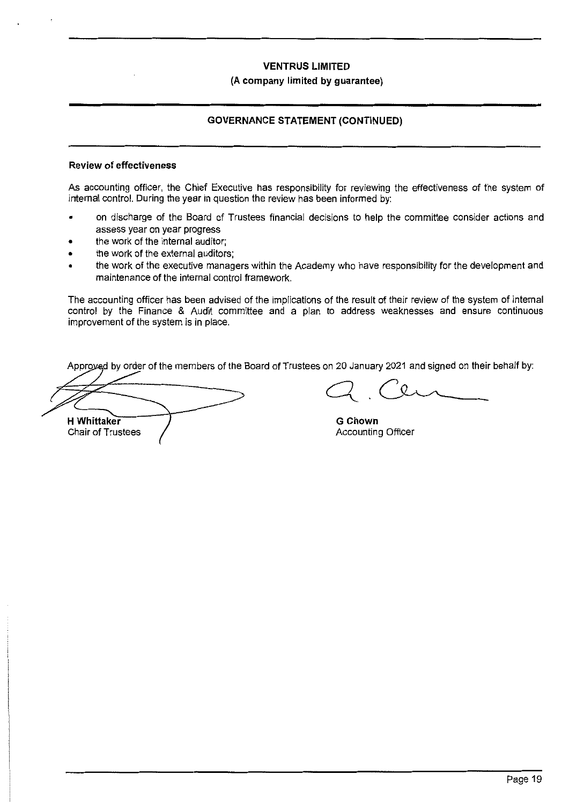### **(A company limited by guarantee)**

## **GOVERNANCE STATEMENT (CONTINUED)**

## **Review of effectiveness**

As accounting officer, the Chief Executive has responsibility for reviewing the effectiveness of the system of internal control. During the year in question the review has been informed by:

- on discharge of the Board of Trustees financial decisions to help the committee consider actions and assess year on year progress
- the work of the internal auditor;
- the work of the external auditors;
- the work of the executive managers within the Academy who have responsibility for the development and maintenance of the internal control framework.

The accounting officer has been advised of the implications of the result of their review of the system of internal control by the Finance & Audit committee and a plan to address weaknesses and ensure continuous improvement of the system is in place.

Approyed by order of the members of the Board of Trustees on 20 January 2021 and signed on their behalf by:

**H Whittaker**  Chair of Trustees

**G Chown**  Accounting Officer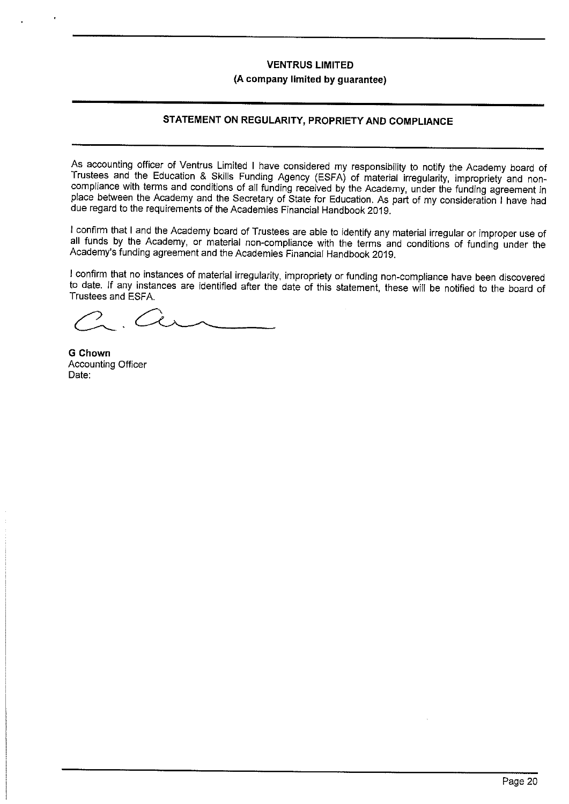## **VENTRUS LIMITED (A company limited by guarantee)**

## **STATEMENT ON REGULARITY, PROPRIETY AND COMPLIANCE**

As accounting officer of Ventrus Limited I have considered my responsibility to notify the Academy board of Trustees and the Education & Skills Funding Agency (ESFA) of material irregularity, impropriety and noncompliance with terms and conditions of all funding received by the Academy, under the funding agreement in place between the Academy and the Secretary of State for Education. As part of my consideration I have had due regard to the requirements of the Academies Financial Handbook 2019.

I confirm that I and the Academy board of Trustees are able to identify any material irregular or improper use of all funds by the Academy, or material non-compliance with the terms and conditions of funding under the Academy's funding agreement and the Academies Financial Handbook 2019.

I confirm that no instances of material irregularity, impropriety or funding non-compliance have been discovered to date. If any instances are identified after the date of this statement, these will be notified to the board of Trustees and ESFA.

**GChown**  Accounting Officer Date: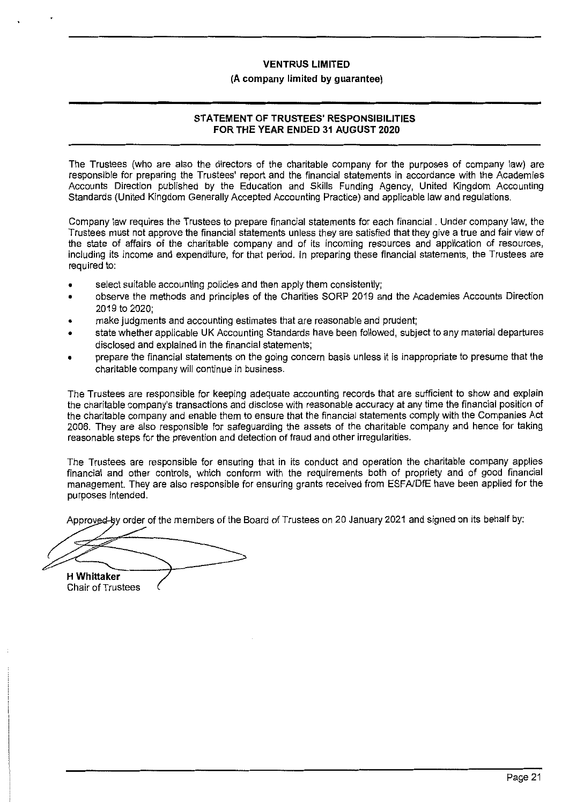#### **(A company limited by guarantee)**

## **STATEMENT OF TRUSTEES' RESPONSIBILITIES FOR THE YEAR ENDED 31 AUGUST 2020**

The Trustees (who are also the directors of the charitable company for the purposes of company law) are responsible for preparing the Trustees' report and the financial statements in accordance with the Academies Accounts Direction published by the Education and Skills Funding Agency, United Kingdom Accounting Standards (United Kingdom Generally Accepted Accounting Practice) and applicable law and regulations.

Company law requires the Trustees to prepare financial statements for each financial . Under company law, the Trustees must not approve the financial statements unless they are satisfied that they give a true and fair view of the state of affairs of the charitable company and of its incoming resources and application of resources, including its income and expenditure, for that period. In preparing these financial statements, the Trustees are required to:

- select suitable accounting policies and then apply them consistently;
- observe the methods and principles of the Charities SORP 2019 and the Academies Accounts Direction 2019 to 2020;
- make judgments and accounting estimates that are reasonable and prudent;
- state whether applicable UK Accounting Standards have been followed, subject to any material departures disclosed and explained in the financial statements;
- prepare the financial statements on the going concern basis unless it is inappropriate to presume that the charitable company will continue in business.

The Trustees are responsible for keeping adequate accounting records that are sufficient to show and explain the charitable company's transactions and disclose with reasonable accuracy at any time the financial position of the charitable company and enable them to ensure that the financial statements comply with the Companies Act 2006. They are also responsible for safeguarding the assets of the charitable company and hence for taking reasonable steps for the prevention and detection of fraud and other irregularities.

The Trustees are responsible for ensuring that in its conduct and operation the charitable company applies financial and other controls, which conform with the requirements both of propriety and of good financial management. They are also responsible for ensuring grants received from ESFNDfE have been applied for the purposes intended.

Approved-by order of the members of the Board of Trustees on 20 January 2021 and signed on its behalf by:

**H Whittaker** 

Chair of Trustees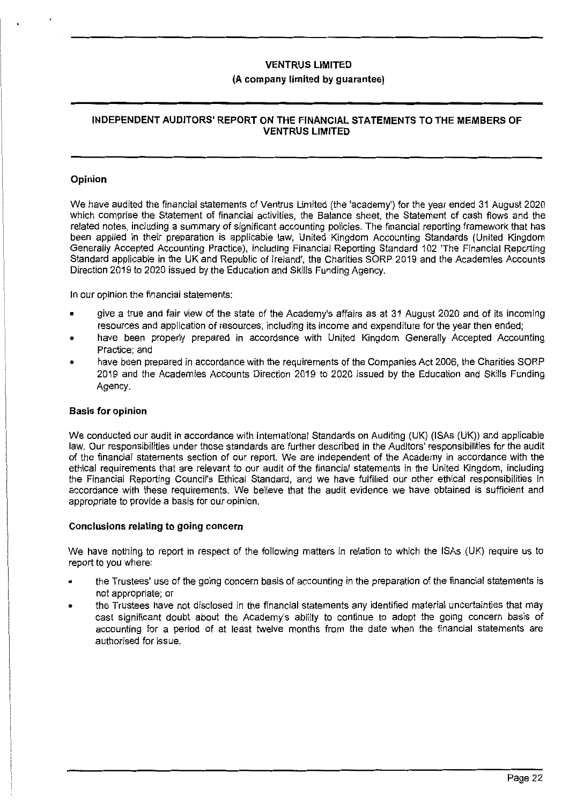## **(A company limited by guarantee)**

## **INDEPENDENT AUDITORS' REPORT ON THE FINANCIAL STATEMENTS TO THE MEMBERS OF VENTRUS LIMITED**

### **Opinion**

We have audited the financial statements of Ventrus Limited (the 'academy') for the year ended 31 August 2020 which comprise the Statement of financial activities, the Balance sheet, the Statement of cash flows and the related notes, including a summary of significant accounting policies. The financial reporting framework that has been applied in their preparation is applicable law, United Kingdom Accounting Standards (United Kingdom Generally Accepted Accounting Practice), including Financial Reporting Standard 102 'The Financial Reporting Standard applicable in the UK and Republic of Ireland', the Charities SORP 2019 and the Academies Accounts Direction 2019 to 2020 issued by the Education and Skills Funding Agency.

In our opinion the financial statements:

- give a true and fair view of the state of the Academy's affairs as at 31 August 2020 and of its incoming resources and application of resources, including its income and expenditure for the year then ended;
- have been properly prepared in accordance with United Kingdom Generally Accepted Accounting Practice; and
- have been prepared in accordance with the requirements of the Companies Act 2006, the Charities SORP 2019 and the Academies Accounts Direction 2019 to 2020 issued by the Education and Skills Funding Agency.

#### **Basis for opinion**

We conducted our audit in accordance with International Standards on Auditing (UK) (ISAs (UK)) and applicable law. Our responsibilities under those standards are further described in the Auditors' responsibilities for the audit of the financial statements section of our report. We are independent of the Academy in accordance with the ethical requirements that are relevant to our audit of the financial statements in the United Kingdom, including the Financial Reporting Council's Ethical Standard, and we have fulfilled our other ethical responsibilities in accordance with these requirements. We believe that the audit evidence we have obtained is sufficient and appropriate to provide a basis for our opinion.

#### **Conclusions relating to going concern**

We have nothing to report in respect of the following matters in relation to which the ISAs (UK) require us to report to you where:

- the Trustees' use of the going concern basis of accounting in the preparation of the financial statements is not appropriate; or
- the Trustees have not disclosed in the financial statements any identified material uncertainties that may cast significant doubt about the Academy's ability to continue to adopt the going concern basis of accounting for a period of at least twelve months from the date when the financial statements are authorised for issue.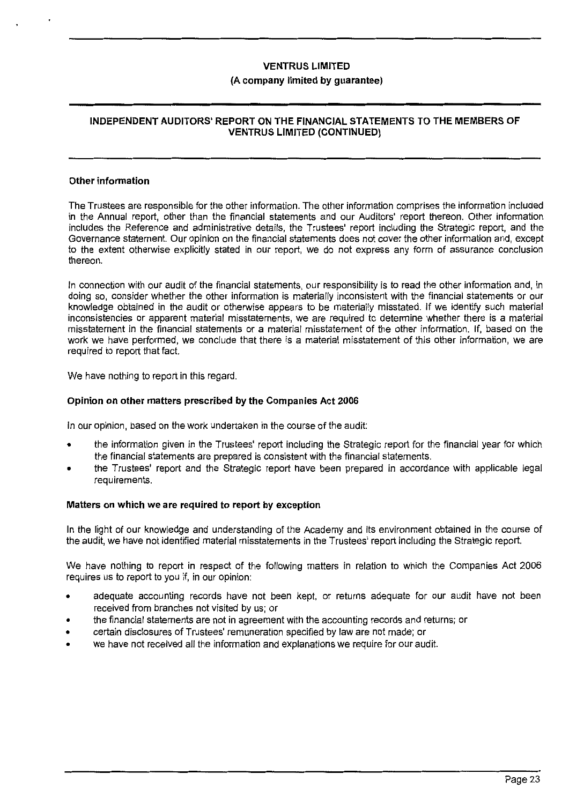## **(A company limited by guarantee)**

## **INDEPENDENT AUDITORS' REPORT ON THE FINANCIAL STATEMENTS TO THE MEMBERS OF VENTRUS LIMITED (CONTINUED)**

#### **Other information**

The Trustees are responsible for the other information. The other information comprises the information included in the Annual report, other than the financial statements and our Auditors' report thereon. Other information includes the Reference and administrative details, the Trustees' report including the Strategic report, and the Governance statement. Our opinion on the financial statements does not cover the other information and, except to the extent otherwise explicitly stated in our report, we do not express any form of assurance conclusion thereon.

In connection with our audit of the financial statements, our responsibility is to read the other information and, in doing so, consider whether the other information is materially inconsistent with the financial statements or our knowledge obtained in the audit or otherwise appears to be materially misstated. If we identify such material inconsistencies or apparent material misstatements, we are required to determine whether there is a material misstatement in the financial statements or a material misstatement of the other information. If, based on the work we have performed, we conclude that there is a material misstatement of this other information, we are required to report that fact.

We have nothing to report in this regard.

#### **Opinion on other matters prescribed by the Companies Act 2006**

In our opinion, based on the work undertaken in the course of the audit:

- the information given in the Trustees' report including the Strategic report for the financial year for which the financial statements are prepared is consistent with the financial statements.
- the Trustees' report and the Strategic report have been prepared in accordance with applicable legal requirements.

#### **Matters on which we are required to report by exception**

In the light of our knowledge and understanding of the Academy and its environment obtained in the course of the audit, we have not identified material misstatements in the Trustees' report including the Strategic report.

We have nothing to report in respect of the following matters in relation to which the Companies Act 2006 requires us to report to you if, in our opinion:

- adequate accounting records have not been kept, or returns adequate for our audit have not been received from branches not visited by us; or
- the financial statements are not in agreement with the accounting records and returns; or
- certain disclosures of Trustees' remuneration specified by law are not made; or
- we have not received all the information and explanations we require for our audit.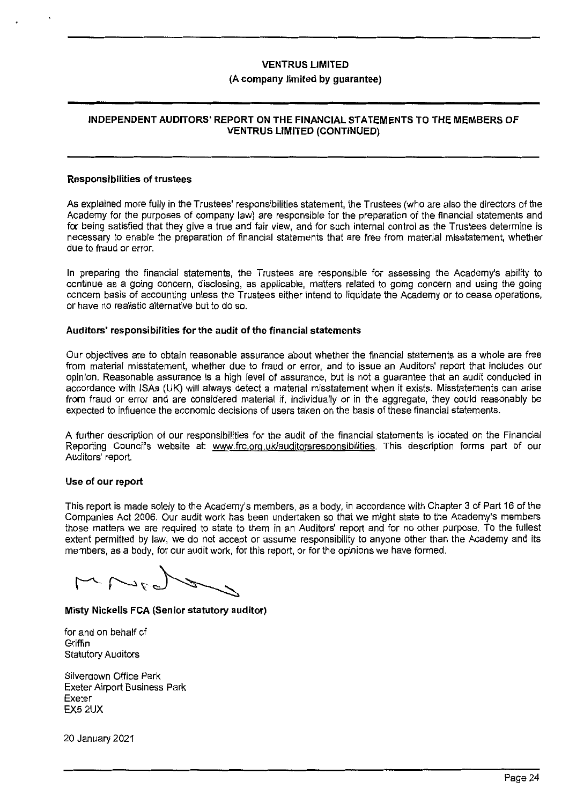#### **(A company limited by guarantee)**

## **INDEPENDENT AUDITORS' REPORT ON THE FINANCIAL STATEMENTS TO THE MEMBERS OF VENTRUS LIMITED (CONTINUED)**

#### **Responsibilities of trustees**

As explained more fully in the Trustees' responsibilities statement, the Trustees (who are also the directors of the Academy for the purposes of company law) are responsible for the preparation of the financial statements and **for** being satisfied that they give a true and fair view, and for such internal control as the Trustees determine is necessary to enable the preparation of financial statements that are free from material misstatement, whether due to fraud or error.

In preparing the financial statements, the Trustees are responsible for assessing the Academy's ability to ccntinue as a going concern, disclosing, as applicable, matters related to going concern and using the going ccncern basis of accounting unless the Trustees either intend to liquidate the Academy or to cease operations, or have no realistic alternative but to do so.

#### **Auditors' responsibilities for the audit of the financial statements**

Our objectives are to obtain reasonable assurance about whether the financial statements as a whole are free from material misstatement, whether due to fraud or error, and to issue an Auditors' report that includes our opinion. Reasonable assurance is a high level of assurance, but is not a guarantee that an audit conducted in accordance with ISAs (UK) will always detect a material misstatement when it exists. Misstatements can arise from fraud or error and are considered material if, individually or in the aggregate, they could reasonably be expected to influence the economic decisions of users taken on the basis of these financial statements.

A further description of our responsibilities for the audit of the financial statements is located on the Financial Reporting Council's website at: www.frc.org.uk/auditorsresponsibilities. This description forms part of our Auditors' report.

## **Use of our report**

This report is made solely to the Academy's members, as a body, in accordance with Chapter 3 of Part 16 of the Companies Act 2006. Our audit work has been undertaken so that we might state to the Academy's members those matters we are required to state to them in an Auditors' report and for no other purpose. To the fullest extent permitted by law, we do not accept or assume responsibility to anyone other than the Academy and its members, as a body, for our audit work, for this report, or for the opinions we have formed.

 $\rightarrow$ 

## **Misty Nickells FCA (Senior statutory auditor)**

for and on behalf of **Griffin** Statutory Auditors

Silverdown Office Park Exeter Airport Business Park Exe:er EX52UX

20 January 2021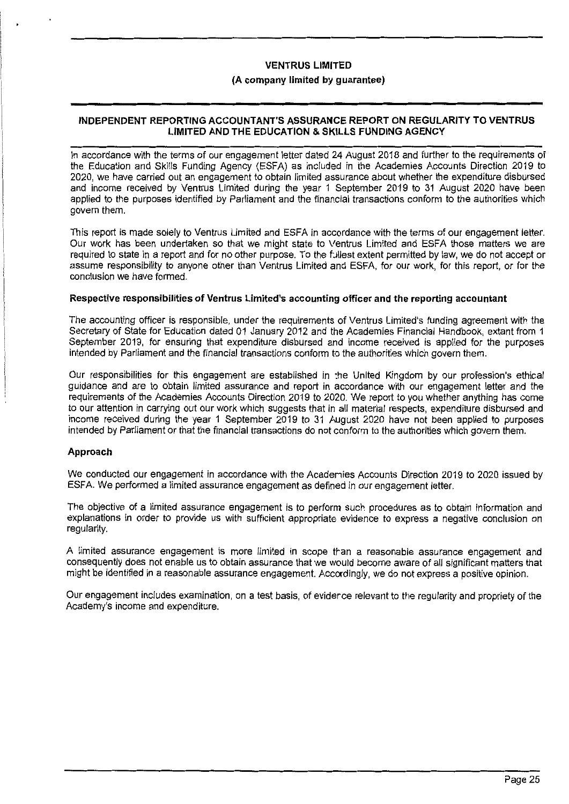## **(A company limited by guarantee)**

## **INDEPENDENT REPORTING ACCOUNTANT'S ASSURANCE REPORT ON REGULARITY TO VENTRUS LIMITED AND THE EDUCATION & SKILLS FUNDING AGENCY**

In accordance with the terms of our engagement letter dated 24 August 2018 and further to the requirements of the Education and Skills Funding Agency (ESFA) as included in the Academies Accounts Direction 2019 to 2020, we have carried out an engagement to obtain limited assurance about whether the expenditure disbursed and income received by Ventrus Limited during the year 1 September 2019 to 31 August 2020 have been applied to the purposes identified by Parliament and the financial transactions conform to the authorities which govern them.

This report is made solely to Ventrus Limited and ESFA in accordance with the terms of our engagement letter. Our work has been undertaken so that we might state to Ventrus Limited and ESFA those matters we are required to state in a report and for no other purpose. To the fullest extent permitted by law, we do not accept or assume responsibility to anyone other than Ventrus Limited and ESFA, for our work, for this report, or for the conclusion we have formed.

#### **Respective responsibilities of Ventrus Limited's accounting officer and the reporting accountant**

The accounting officer is responsible, under the requirements of Ventrus Limited's funding agreement with the Secretary of State for Education dated 01 January 2012 and the Academies Financial Handbook, extant from 1 September 2019, for ensuring that expenditure disbursed and income received is applied for the purposes intended by Parliament and the financial transactions conform to the authorities which govern them.

Our responsibilities for this engagement are established in :he United Kingdom by our profession's ethical guidance and are to obtain limited assurance and report in accordance with our engagement Jetter and the requirements of the Academies Accounts Direction 2019 to 2020. We report to you whether anything has come to our attention in carrying out our work which suggests that in all material respects, expenditure disbursed and income received during the year 1 September 2019 to 31 August 2020 have not been applied to purposes intended by Parliament or that the financial transactions do not conform to the authorities which govern them.

## **Approach**

We conducted our engagement in accordance with the Academies Accounts Direction 2019 to 2020 issued by ESFA. We performed a limited assurance engagement as defined in our engagement letter.

The objective of a limited assurance engagement is to perform such procedures as to obtain information and explanations in order to provide us with sufficient appropriate evidence to express a negative conclusion on regularity.

A limited assurance engagement is more limited in scope tran a reasonable assurance engagement and consequently does not enable us to obtain assurance that we would become aware of all significant matters that might be identified in a reasonable assurance engagement. Accordingly, we do not express a positive opinion.

Our engagement includes examination, on a test basis, of eviderce relevant to the regularity and propriety of the Academy's income and expenditure.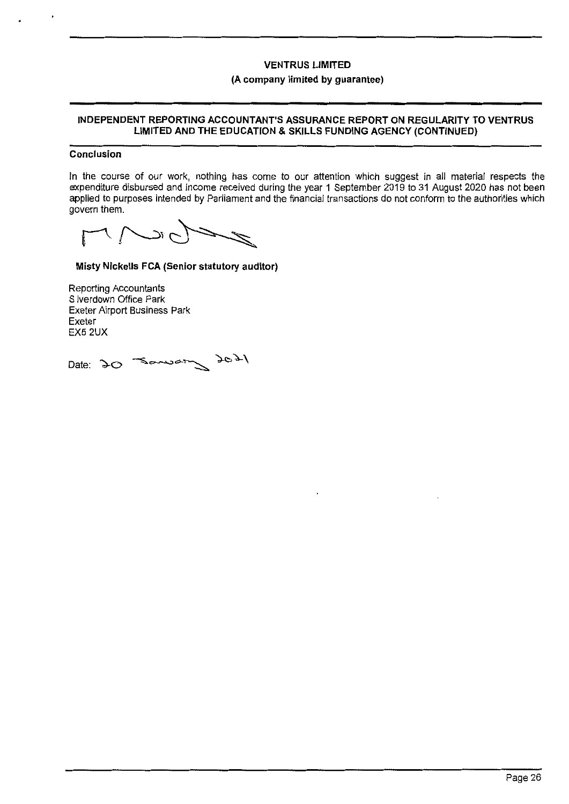#### **(A company limited by guarantee)**

### **INDEPENDENT REPORTING ACCOUNTANT'S ASSURANCE REPORT ON REGULARITY TO VENTRUS LIMITED AND THE EDUCATION & SKILLS FUNDING AGENCY (CONTINUED)**

#### **Conclusion**

In the course of our work, nothing has come to our attention which suggest in all material respects the expenditure disbursed and income received during the year 1 September 2019 to 31 August 2020 has not been applied to purposes intended by Parliament and the financial transactions do not conform to the authorities which govern them.

 $\tilde{c}$  $\Gamma$ 

**Misty Nickells FCA (Senior statutory auditor)** 

Reporting Accountants S lverdown Office Park Exeter Airport Business Park Exeter EX52UX

Date: 20 Samon 2021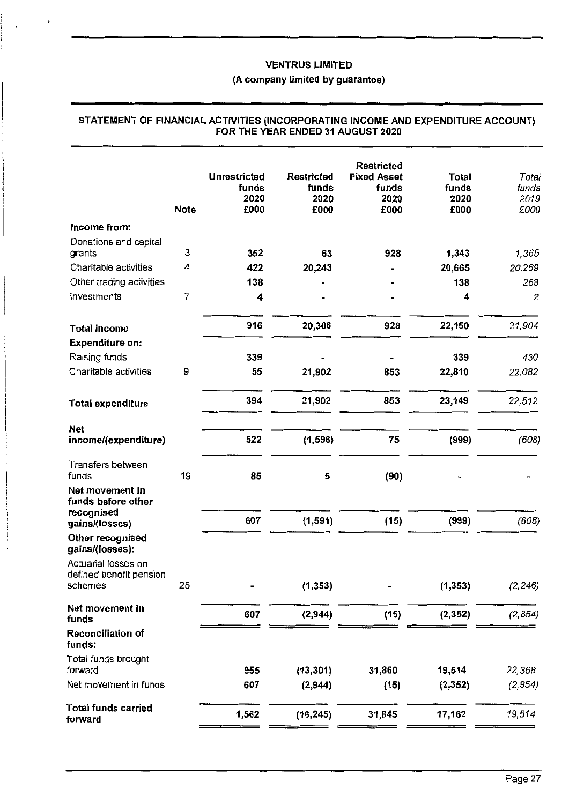## **(A company limited by guarantee)**

|                                                | <b>Note</b> | <b>Unrestricted</b><br>funds<br>2020<br>£000 | <b>Restricted</b><br>funds<br>2020<br>£000 | <b>Restricted</b><br><b>Fixed Asset</b><br>funds<br>2020<br>£000 | Total<br>funds<br>2020<br>£000 | Total<br>funds<br>2019<br>£000 |
|------------------------------------------------|-------------|----------------------------------------------|--------------------------------------------|------------------------------------------------------------------|--------------------------------|--------------------------------|
| Income from:                                   |             |                                              |                                            |                                                                  |                                |                                |
| Donations and capital<br>grants                | 3           | 352                                          | 63                                         | 928                                                              | 1,343                          | 1,365                          |
| Charitable activities                          | 4           | 422                                          | 20,243                                     |                                                                  | 20,665                         | 20,269                         |
| Other trading activities                       |             | 138                                          |                                            |                                                                  | 138                            | 268                            |
| Investments                                    | 7           | 4                                            |                                            |                                                                  | 4                              | 2                              |
| <b>Total income</b>                            |             | 916                                          | 20,306                                     | 928                                                              | 22,150                         | 21,904                         |
| <b>Expenditure on:</b>                         |             |                                              |                                            |                                                                  |                                |                                |
| Raising funds                                  |             | 339                                          |                                            |                                                                  | 339                            | 430                            |
| Charitable activities                          | 9           | 55                                           | 21,902                                     | 853                                                              | 22,810                         | 22,082                         |
| <b>Total expenditure</b>                       |             | 394                                          | 21,902                                     | 853                                                              | 23,149                         | 22,512                         |
| <b>Net</b>                                     |             |                                              |                                            |                                                                  |                                |                                |
| income/(expenditure)                           |             | 522                                          | (1, 596)                                   | 75                                                               | (999)                          | (608)                          |
| Transfers between<br>funds                     | 19          | 85                                           | 5                                          | (90)                                                             |                                |                                |
| Net movement in<br>funds before other          |             |                                              |                                            |                                                                  |                                |                                |
| recognised<br>gains/(losses)                   |             | 607                                          | (1, 591)                                   | (15)                                                             | (999)                          | (608)                          |
| Other recognised<br>gains/(losses):            |             |                                              |                                            |                                                                  |                                |                                |
| Actuarial losses on<br>defined benefit pension |             |                                              |                                            |                                                                  |                                |                                |
| schemes                                        | 25          |                                              | (1, 353)                                   |                                                                  | (1, 353)                       | (2, 246)                       |
| Net movement in<br>funds                       |             | 607                                          | (2, 944)                                   | (15)                                                             | (2, 352)                       | (2, 854)                       |
| Reconciliation of<br>funds:                    |             |                                              |                                            |                                                                  |                                |                                |
| Total funds brought<br>forward                 |             | 955                                          | (13, 301)                                  | 31,860                                                           | 19,514                         | 22,368                         |
| Net movement in funds                          |             | 607                                          | (2,944)                                    | (15)                                                             | (2, 352)                       | (2, 854)                       |
| <b>Total funds carried</b><br>forward          |             | 1,562                                        | (16, 245)                                  | 31,845                                                           | 17,162                         | 19,514                         |

## **STATEMENT OF FINANCIAL ACTIVITIES (INCORPORATING INCOME AND EXPENDITURE ACCOUNT) FOR THE YEAR ENDED 31 AUGUST 2020**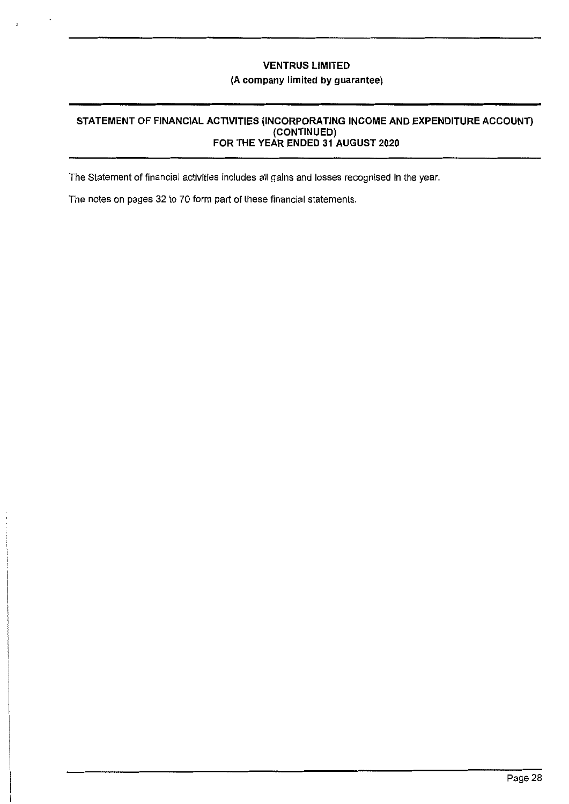## **VENTRUS LIMITED (A company limited by guarantee)**

## **STATEMENT OF FINANCIAL ACTIVITIES (INCORPORATING INCOME AND EXPENDITURE ACCOUNT) (CONTINUED) FOR THE YEAR ENDED 31 AUGUST 2020**

The Statement of financial activities includes all gains and losses recognised in the year.

The notes on pages 32 to 70 form part of these financial statements.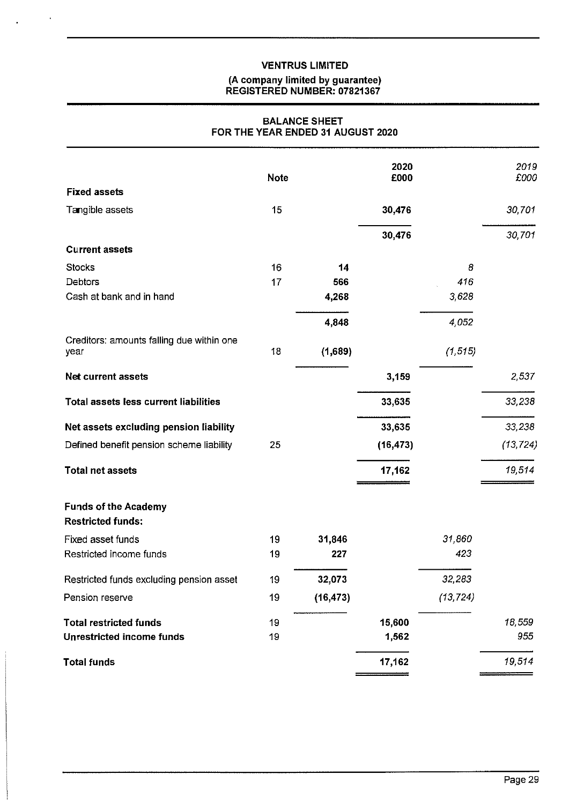$\bar{\mathbf{r}}$ 

#### **(A company limited by guarantee) REGISTERED NUMBER: 07821367**

## **BALANCE SHEET FOR THE YEAR ENDED 31 AUGUST 2020**

|                                                         | <b>Note</b> |           | 2020<br>£000 |           | 2019<br>£000 |
|---------------------------------------------------------|-------------|-----------|--------------|-----------|--------------|
| <b>Fixed assets</b>                                     |             |           |              |           |              |
| Tangible assets                                         | 15          |           | 30,476       |           | 30,701       |
|                                                         |             |           | 30,476       |           | 30,701       |
| <b>Current assets</b>                                   |             |           |              |           |              |
| <b>Stocks</b>                                           | 16          | 14        |              | 8         |              |
| Debtors                                                 | 17          | 566       |              | 416       |              |
| Cash at bank and in hand                                |             | 4,268     |              | 3,628     |              |
|                                                         |             | 4,848     |              | 4,052     |              |
| Creditors: amounts falling due within one<br>year       | 18          | (1,689)   |              | (1, 515)  |              |
| <b>Net current assets</b>                               |             |           | 3,159        |           | 2 5 3 7      |
|                                                         |             |           |              |           |              |
| <b>Total assets less current liabilities</b>            |             |           | 33,635       |           | 33,238       |
| Net assets excluding pension liability                  |             |           | 33,635       |           | 33,238       |
| Defined benefit pension scheme liability                | 25          |           | (16, 473)    |           | (13, 724)    |
| <b>Total net assets</b>                                 |             |           | 17,162       |           | 19,514       |
| <b>Funds of the Academy</b><br><b>Restricted funds:</b> |             |           |              |           |              |
| Fixed asset funds                                       | 19          | 31,846    |              | 31,860    |              |
| Restricted income funds                                 | 19          | 227       |              | 423       |              |
| Restricted funds excluding pension asset                | 19          | 32,073    |              | 32,283    |              |
| Pension reserve                                         | 19          | (16, 473) |              | (13, 724) |              |
| <b>Total restricted funds</b>                           | 19          |           | 15,600       |           | 18,559       |
| <b>Unrestricted income funds</b>                        | 19          |           | 1,562        |           | 955          |
| <b>Total funds</b>                                      |             |           | 17,162       |           | 19,514       |
|                                                         |             |           |              |           |              |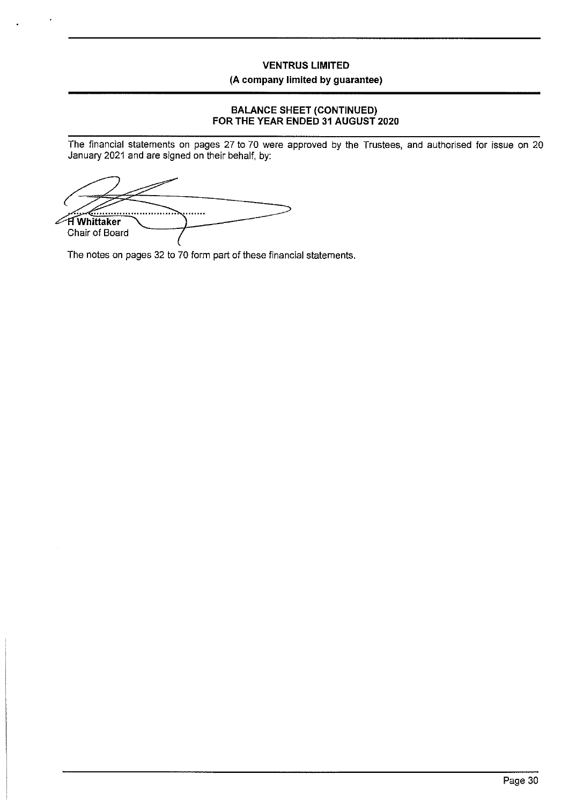## **VENTRUS LIMITED (A company limited by guarantee)**

## **BALANCE SHEET (CONTINUED) FOR THE YEAR ENDED 31 AUGUST 2020**

The financial statements on pages 27 to 70 were approved by the Trustees, and authorised for issue on 20 January 2021 and are signed on their behalf, by:

. . . . . . **H** Whittaker Z. Chair of Board

The notes on pages 32 to 70 form part of these financial statements.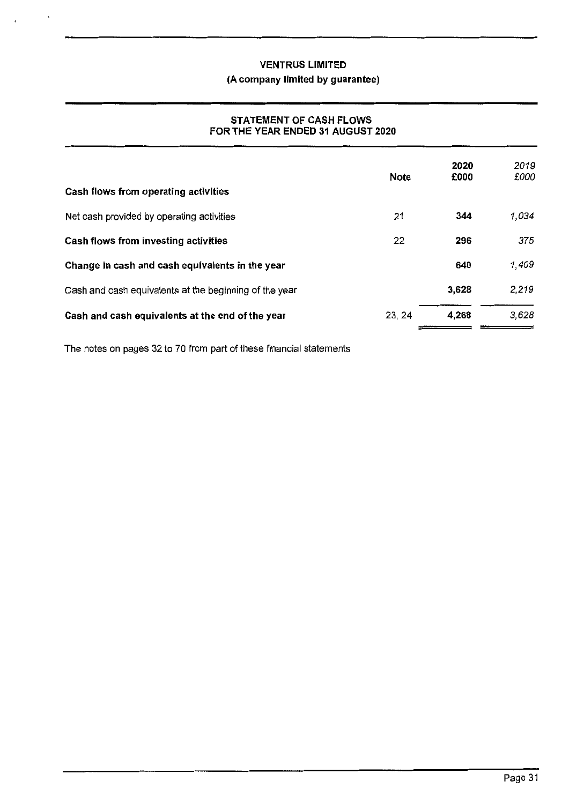## **(A company limited by guarantee)**

## **STATEMENT OF CASH FLOWS FOR THE YEAR ENDED 31 AUGUST 2020**

| Cash flows from operating activities                   | <b>Note</b> | 2020<br>£000 | 2019<br>£000 |
|--------------------------------------------------------|-------------|--------------|--------------|
| Net cash provided by operating activities              | 21          | 344          | 1,034        |
| Cash flows from investing activities                   | 22          | 296          | 375          |
| Change in cash and cash equivalents in the year        |             | 640          | 1,409        |
| Cash and cash equivalents at the beginning of the year |             | 3.628        | 2,219        |
| Cash and cash equivalents at the end of the year       | 23, 24      | 4.268        | 3,628        |

The notes on pages 32 to 70 from part of these financial statements

,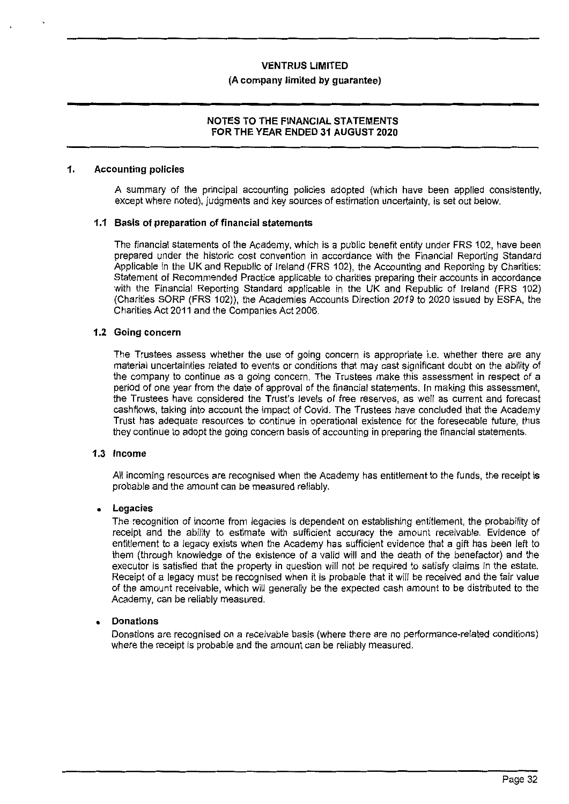#### **(A company limited by guarantee)**

## **NOTES TO THE FINANCIAL STATEMENTS FOR THE YEAR ENDED 31 AUGUST 2020**

#### **1. Accounting policies**

A summary of the principal accounting policies adopted (which have been applied consistently, except where noted), judgments and key sources of estimation uncertainty, is set out below.

#### **1.1 Basis of preparation of financial statements**

The financial statements of the Academy, which is a public benefit entity under FRS 102, have been prepared under the historic cost convention in accordance with the Financial Reporting Standard Applicable in the UK and Republic of Ireland (FRS 102), the Accounting and Reporting by Charities: Statement of Recommended Practice applicable to charities preparing their accounts in accordance with the Financial Reporting Standard applicable in the UK and Republic of Ireland (FRS 102) (Charities SORP (FRS 102)), the Academies Accounts Direction *2019* to 2020 issued by ESFA, the Charities Act 2011 and the Companies Act 2006.

#### **1.2 Going concern**

The Trustees assess whether the use of going concern is appropriate i.e. whether there are any material uncertainties related to events or conditions that may cast significant doubt on the ability of the company to continue as a going concern. The Trustees make this assessment in respect of a period of one year from the date of approval of the financial statements. In making this assessment, the Trustees have considered the Trust's levels of free reserves, as well as current and forecast cashflows, taking into account the impact of Covid. The Trustees have concluded that the Academy Trust has adequate resources to continue in operational existence for the foreseeable future, thus they continue to adopt the going concern basis of accounting in preparing the financial statements.

#### **1.3 Income**

All incoming resources are recognised when the Academy has entitlement to the funds, the receipt is probable and the amount can be measured reliably.

#### • **Legacies**

The recognition of income from legacies is dependent on establishing entitlement, the probability of receipt and the ability to estimate with sufficient accuracy the amount receivable. Evidence of entitlement to a legacy exists when the Academy has sufficient evidence that a gift has been left to them (through knowledge of the existence of a valid will and the death of the benefactor) and the executor is satisfied that the property in question will not be required to satisfy claims in the estate. Receipt of a legacy must be recognised when it is probable that it will be received and the fair value of the amount receivable, which will generally be the expected cash amount to be distributed to the Academy, can be reliably measured.

#### • **Donations**

Donations are recognised on a receivable basis (where there are no performance-related conditions) where the receipt is probable and the amount can be reliably measured.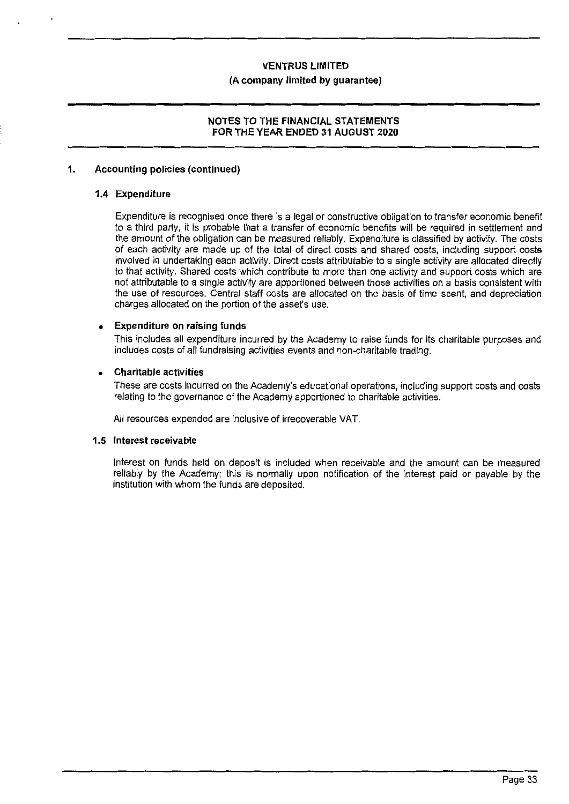#### **(A company limited by guarantee)**

## **NOTES TO THE FINANCIAL STATEMENTS FOR THE YEAR ENDED 31 AUGUST 2020**

## **1. Accounting policies (continued)**

## **1.4 Expenditure**

Expenditure is recognised once there is a legal or constructive obligation to transfer economic benefit to a third party, it is probable that a transfer of economic benefits will be required in settlement and the amount of the obligation can be measured reliably. Expenditure is classified by activity. The costs of each activity are made up of the total of direct costs and shared costs, including support costs involved in undertaking each activity. Direct costs attributable to a single activity are allocated directly to that activity. Shared costs which contribute to more than one activity and support costs which are not attributable to a single activity are apportioned between those activities on a basis consistent with the use of resources. Central staff costs are allocated on the basis of time spent, and depreciation charges allocated on the portion of the asset's use.

## • **Expenditure on raising funds**

This includes all expenditure incurred by the Academy to raise funds for its charitable purposes and includes costs of all fundraising activities events and non-charitable trading.

## • **Charitable activities**

These are costs incurred on the Academy's educational operations, including support costs and costs relating to the governance of the Academy apportioned to charitable activities.

All resources expended are inclusive of irrecoverable VAT.

## **1.5 Interest receivable**

Interest on funds held on deposit is included when receivable and the amount can be measured reliably by the Academy; this is normally upon notification of the interest paid or payable by the institution with whom the funds are deposited.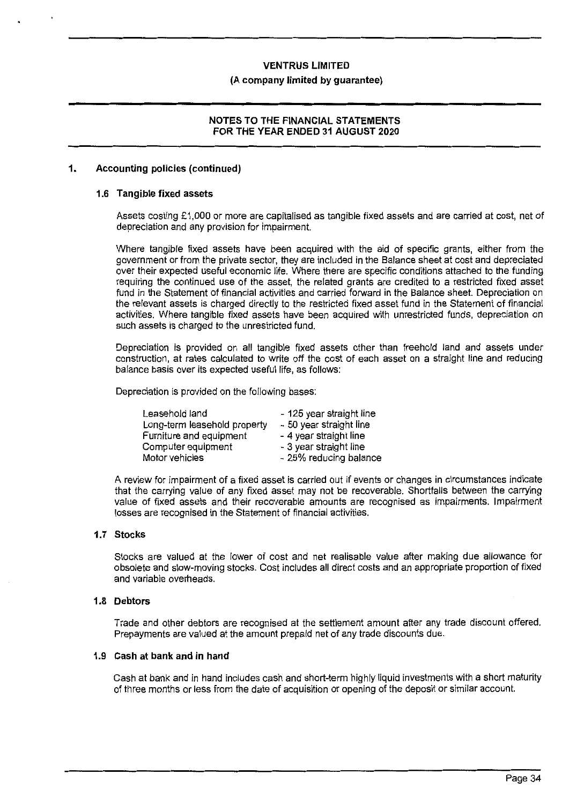#### **(A company limited by guarantee)**

### **NOTES TO THE FINANCIAL STATEMENTS FOR THE YEAR ENDED 31 AUGUST 2020**

#### **1. Accounting policies (continued)**

#### **1.6 Tangible fixed assets**

Assets costing £1,000 or more are capitalised as tangible fixed assets and are carried at cost, net of depreciation and any provision for impairment.

Where tangible fixed assets have been acquired with the aid of specific grants, either from the government or from the private sector, they are included in the Balance sheet at cost and depreciated over their expected useful economic life. Where there are specific conditions attached to the funding requiring the continued use of the asset, the related grants are credited to a restricted fixed asset fund in the Statement of financial activities and carried forward in the Balance sheet. Depreciation on the relevant assets is charged directly to the restricted fixed asset fund in the Statement of financial activities. Where tangible fixed assets have been acquired with unrestricted funds, depreciation on such assets is charged to the unrestricted fund.

Depreciation is provided on all tangible fixed assets other than freehold land and assets under construction, at rates calculated to write off the cost of each asset on a straight line and reducing balance basis over its expected useful life, as follows:

Depreciation is provided on the following bases:

| Leasehold land               | - 125 year straight line |
|------------------------------|--------------------------|
| Long-term leasehold property | - 50 year straight line  |
| Furniture and equipment      | - 4 year straight line   |
| Computer equipment           | - 3 year straight line   |
| Motor vehicles               | - 25% reducing balance   |

A review for impairment of a fixed asset is carried out if events or changes in circumstances indicate that the carrying value of any fixed asset may not be recoverable. Shortfalls between the carrying value of fixed assets and their recoverable amounts are recognised as impairments. Impairment losses are recognised in the Statement of financial activities.

#### **1.7 Stocks**

Stocks are valued at the lower of cost and net realisable value after making due allowance for obsolete and slow-moving stocks. Cost includes all direct costs and an appropriate proportion of fixed and variable overheads.

#### **1.8 Debtors**

Trade and other debtors are recognised at the settlement amount after any trade discount offered. Prepayments are valued at the amount prepaid net of any trade discounts due.

#### **1.9 Cash at bank and in hand**

Cash at bank and in hand includes cash and short-term highly liquid investments with a short maturity of three months or less from the date of acquisition or opening of the deposit or similar account.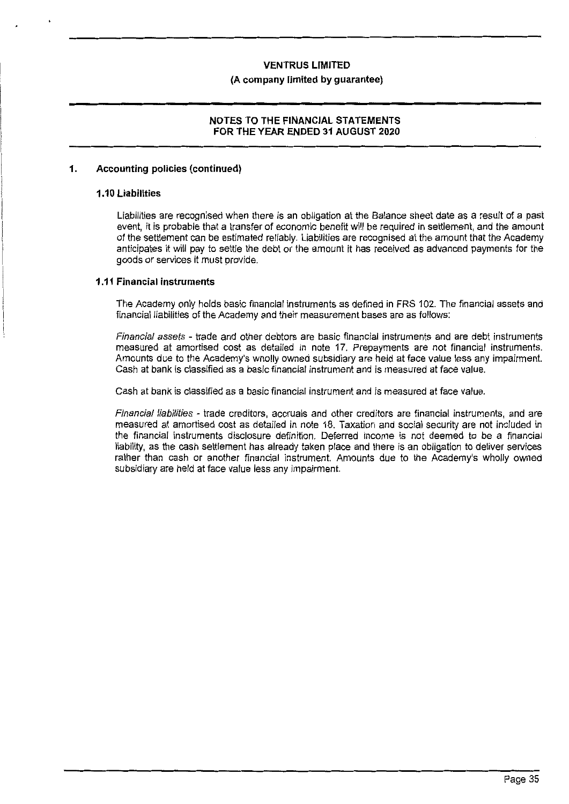#### **(A company limited by guarantee)**

#### **NOTES TO THE FINANCIAL STATEMENTS FOR THE YEAR ENDED 31 AUGUST 2020**

#### **1. Accounting policies (continued)**

#### **1.10 Liabilities**

Liabilities are recognised when there is an obligation at the Balance sheet date as a result of a past event, it is probable that a transfer of economic benefit will be required in settlement, and the amount of the settlement can be estimated reliably. Liabilities are recognised at the amount that the Academy anticipates it will pay to settle the debt or the amount it has received as advanced payments for the goods or services it must provide.

#### **1.11 Financial instruments**

The Academy only holds basic financial instruments as defined in FRS 102. The financial assets and financial liabilities of the Academy and their measurement bases are as follows:

Financial assets - trade and other debtors are basic financial instruments and are debt instruments measured at amortised cost as detailed in note 17. Prepayments are not financial instruments. Amounts due to the Academy's wholly owned subsidiary are held at face value Jess any impairment. Cash at bank is classified as a basic financial instrument and is measured at face value.

Cash at bank is classified as a basic financial instrument and is measured at face value.

Financial liabilities - trade creditors, accruals and other creditors are financial instruments, and are measured at amortised cost as detailed in note 18. Taxation and social security are not included in the financial instruments disclosure definition. Deferred income is not deemed to be a financial liability, as the cash settlement has already taken place and there is an obligation to deliver services rather than cash or another financial instrument. Amounts due to the Academy's wholly owned subsidiary are held at face value less any impairment.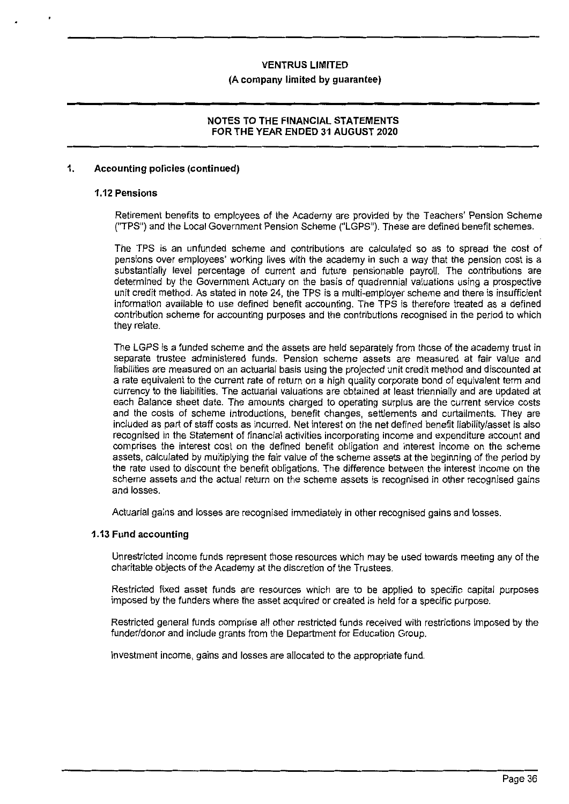#### **(A company limited by guarantee)**

#### **NOTES TO THE FINANCIAL STATEMENTS FOR THE YEAR ENDED 31 AUGUST 2020**

#### **1. Accounting policies (continued)**

#### **1.12 Pensions**

Retirement benefits to employees of the Academy are provided by the Teachers' Pension Scheme ("TPS") and the Local Government Pension Scheme ("LGPS"). These are defined benefit schemes.

The TPS is an unfunded scheme and contributions are calculated so as to spread the cost of pensions over employees' working lives with the academy in such a way that the pension cost is a substantially level percentage of current and future pensionable payroll. The contributions are determined by the Government Actuary on the basis of quadrennial valuations using a prospective unit credit method. As stated in note 24, the TPS is a multi-employer scheme and there is insufficient information available to use defined benefit accounting. The TPS is therefore treated as a defined contribution scheme for accounting purposes and the contributions recognised in the period to which they relate.

The LGPS is a funded scheme and the assets are held separately from those of the academy trust in separate trustee administered funds. Pension scheme assets are measured at fair value and liabilities are measured on an actuarial basis using the projected unit credit method and discounted at a rate equivalent to the current rate of return on a high quality corporate bond of equivalent term and currency to the liabilities. The actuarial valuations are obtained at least triennially and are updated at each Balance sheet date. The amounts charged to operating surplus are the current service costs and the costs of scheme introductions, benefit changes, settlements and curtailments. They are included as part of staff costs as incurred. Net interest on the net defined benefit liability/asset is also recognised in the Statement of financial activities incorporating income and expenditure account and comprises the interest cost on the defined benefit obligation and interest income on the scheme assets, calculated by multiplying the fair value of the scheme assets at the beginning of the period by the rate used to discount the benefit obligations. The difference between the interest income on the scheme assets and the actual return on the scheme assets is recognised in other recognised gains and losses.

Actuarial gains and losses are recognised immediately in other recognised gains and losses.

#### **1.13 Fund accounting**

Unrestricted income funds represent those resources which may be used towards meeting any of the charitable objects of the Academy at the discretion of the Trustees.

Restricted fixed asset funds are resources which are to be applied to specific capital purposes imposed by the funders where the asset acquired or created is held for a specific purpose.

Restricted general funds comprise all other restricted funds received with restrictions imposed by the funder/donor and include grants from the Department for Education Group.

Investment income, gains and losses are allocated to the appropriate fund.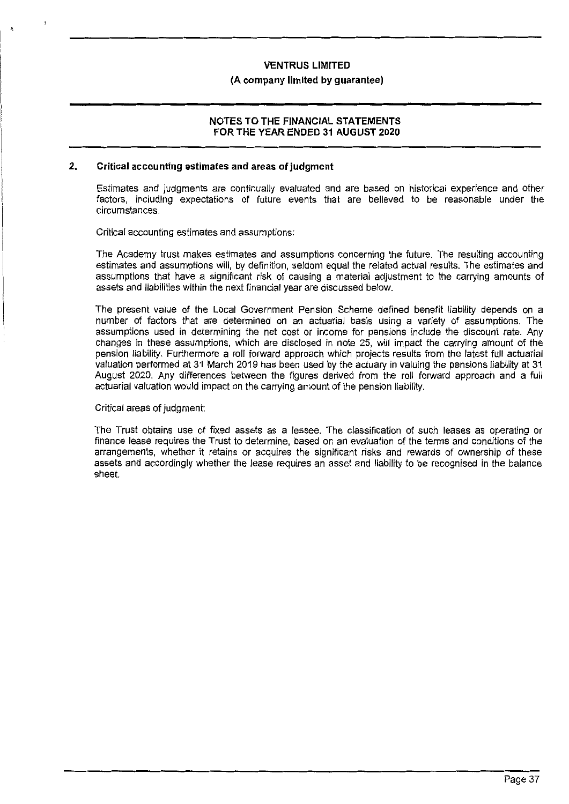#### **(A company limited by guarantee)**

#### **NOTES TO THE FINANCIAL STATEMENTS FOR THE YEAR ENDED 31 AUGUST 2020**

#### **2. Critical accounting estimates and areas of judgment**

Estimates and judgments are continually evaluated and are based on historical experience and other factors, including expectations of future events that are believed to be reasonable under the circumstances.

Critical accounting estimates and assumptions:

The Academy trust makes estimates and assumptions concerning the future. The resulting accounting estimates and assumptions will, by definition, seldom equal the related actual results. The estimates and assumptions that have a significant risk of causing a material adjustment to the carrying amounts of assets and liabilities within the next financial year are discussed below.

The present value of the Local Government Pension Scheme defined benefit liability depends on a number of factors that are determined on an actuarial basis using a variety of assumptions. The assumptions used in determining the net cost or income for pensions include the discount rate. Any changes in these assumptions, which are disclosed in note 25, will impact the carrying amount of the pension liability. Furthermore a roll forward approach which projects results from the latest full actuarial valuation performed at 31 March 2019 has been used by the actuary in valuing the pensions liability at 31 August 2020. Any differences between the figures derived from the roll forward approach and a full actuarial valuation would impact on the carrying amount of the pension liability.

#### Critical areas of judgment:

The Trust obtains use of fixed assets as a Jessee. The classification of such leases as operating or finance lease requires the Trust to determine, based on an evaluation of the terms and conditions of the arrangements, whether it retains or acquires the significant risks and rewards of ownership of these assets and accordingly whether the lease requires an asset and liability to be recognised in the balance sheet.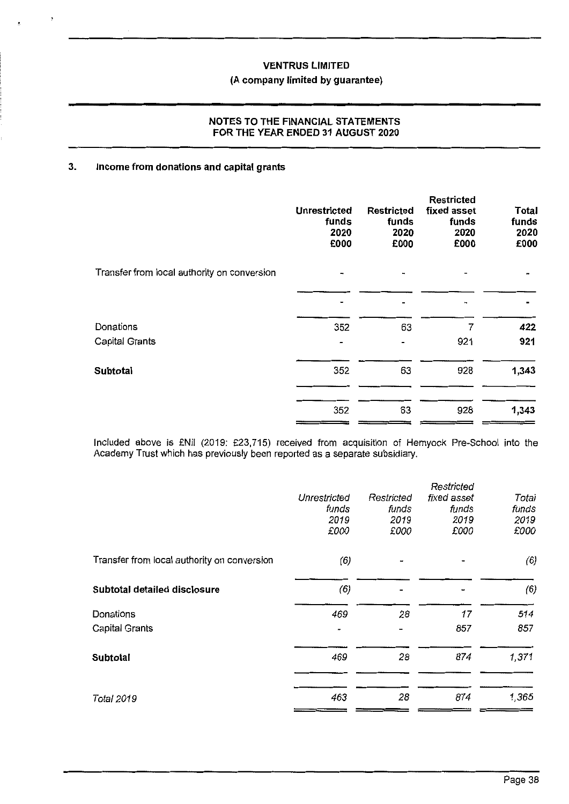### **(A company limited by guarantee)**

### **NOTES TO THE FINANCIAL STATEMENTS FOR THE YEAR ENDED 31 AUGUST 2020**

#### **3. Income from donations and capital grants**

 $\cdot$ 

|                                             | <b>Unrestricted</b><br>funds<br>2020<br>£000 | <b>Restricted</b><br>funds<br>2020<br>£000 | <b>Restricted</b><br>fixed asset<br>funds<br>2020<br>£000 | Total<br>funds<br>2020<br>£000 |
|---------------------------------------------|----------------------------------------------|--------------------------------------------|-----------------------------------------------------------|--------------------------------|
| Transfer from local authority on conversion |                                              |                                            |                                                           |                                |
|                                             |                                              |                                            |                                                           |                                |
| Donations                                   | 352                                          | 63                                         | 7                                                         | 422                            |
| Capital Grants                              | $\blacksquare$                               | -                                          | 921                                                       | 921                            |
| <b>Subtotal</b>                             | 352                                          | 63                                         | 928                                                       | 1,343                          |
|                                             | 352                                          | 63                                         | 928                                                       | 1,343                          |

Included above is £Nil (2019: £23,715) received from acquisition of Hemyock Pre-School into the Academy Trust which has previously been reported as a separate subsidiary.

|                                             |              |            | Restricted  |       |
|---------------------------------------------|--------------|------------|-------------|-------|
|                                             | Unrestricted | Restricted | fixed asset | Total |
|                                             | funds        | funds      | funds       | funds |
|                                             | 2019         | 2019       | 2019        | 2019  |
|                                             | £000         | £000       | £000        | £000  |
| Transfer from local authority on conversion | (6)          |            |             | (6)   |
| Subtotal detailed disclosure                | (6)          |            |             | (6)   |
| Donations                                   | 469          | 28         | 17          | 514   |
| Capital Grants                              |              |            | 857         | 857   |
| <b>Subtotal</b>                             | 469          | 28         | 874         | 1,371 |
|                                             |              |            |             |       |
| Total 2019                                  | 463          | 28         | 874         | 1,365 |
|                                             |              |            |             |       |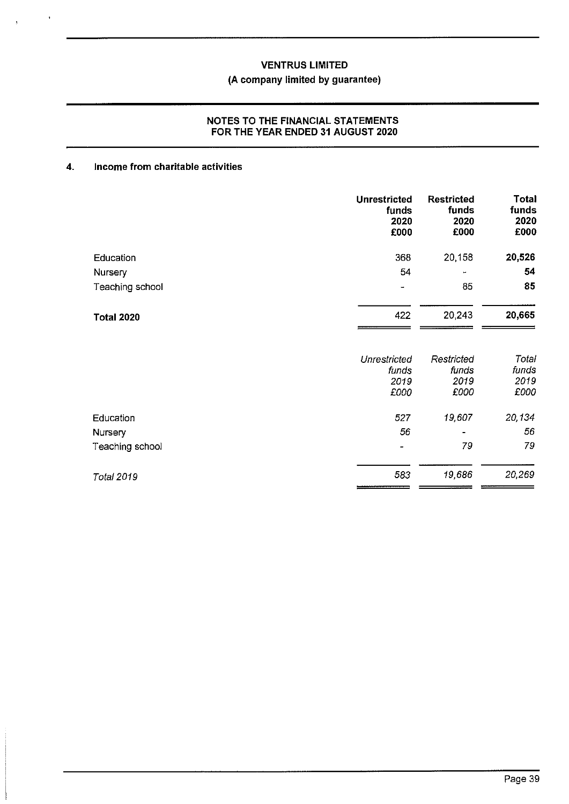### **(A company limited by guarantee)**

### **NOTES TO THE FINANCIAL STATEMENTS FOR THE YEAR ENDED 31 AUGUST 2020**

## **4. Income from charitable activities**

 $\bar{t}$ 

 $\lambda$ 

|                   | <b>Unrestricted</b><br>funds<br>2020<br>£000 | <b>Restricted</b><br>funds<br>2020<br>£000 | <b>Total</b><br>funds<br>2020<br>£000 |
|-------------------|----------------------------------------------|--------------------------------------------|---------------------------------------|
| Education         | 368                                          | 20,158                                     | 20,526                                |
| Nursery           | 54                                           | ÷                                          | 54                                    |
| Teaching school   | $\overline{\phantom{0}}$                     | 85                                         | 85                                    |
| <b>Total 2020</b> | 422                                          | 20,243                                     | 20,665                                |
|                   | <b>Unrestricted</b>                          | Restricted                                 | Total                                 |
|                   | funds                                        | funds                                      | funds                                 |
|                   | 2019<br>£000                                 | 2019<br>£000                               | 2019<br>£000                          |
| Education         | 527                                          | 19,607                                     | 20,134                                |
| Nursery           | 56                                           |                                            | 56                                    |
| Teaching school   |                                              | 79                                         | 79                                    |
| <b>Total 2019</b> | 583                                          | 19,686                                     | 20,269                                |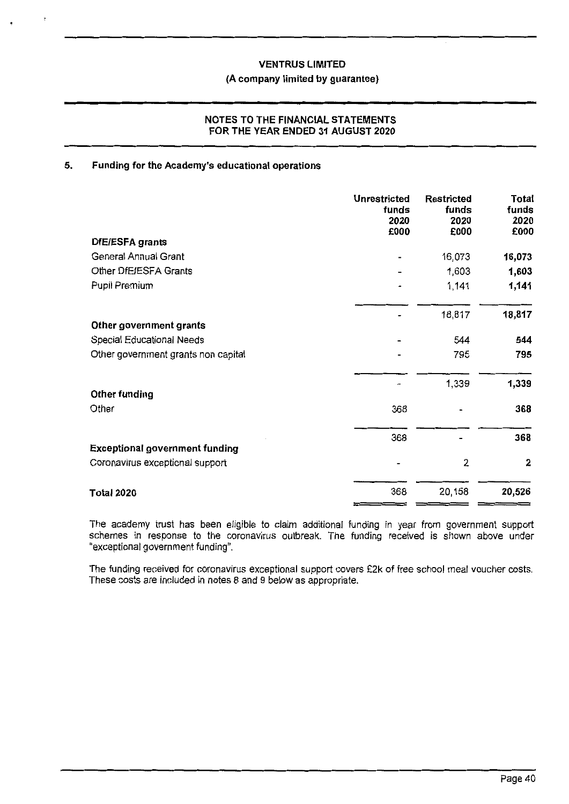#### **(A company limited by guarantee)**

#### **NOTES TO THE FINANCIAL STATEMENTS FOR THE YEAR ENDED 31 AUGUST 2020**

### **5. Funding for the Academy's educational operations**

|                                       | <b>Unrestricted</b><br>funds<br>2020<br>£000 | <b>Restricted</b><br>funds<br>2020<br>£000 | Total<br>funds<br>2020<br>£000 |
|---------------------------------------|----------------------------------------------|--------------------------------------------|--------------------------------|
| DfE/ESFA grants                       |                                              |                                            |                                |
| General Annual Grant                  |                                              | 16,073                                     | 16,073                         |
| Other DfE/ESFA Grants                 |                                              | 1,603                                      | 1,603                          |
| Pupil Premium                         |                                              | 1,141                                      | 1,141                          |
|                                       |                                              | 18,817                                     | 18,817                         |
| Other government grants               |                                              |                                            |                                |
| Special Educational Needs             |                                              | 544                                        | 544                            |
| Other government grants non capital   |                                              | 795                                        | 795                            |
|                                       |                                              | 1,339                                      | 1,339                          |
| Other funding<br>Other                | 368                                          |                                            | 368                            |
|                                       | 368                                          |                                            | 368                            |
| <b>Exceptional government funding</b> |                                              |                                            |                                |
| Coronavirus exceptional support       |                                              | $\overline{2}$                             | 2                              |
| <b>Total 2020</b>                     | 368                                          | 20,158                                     | 20,526                         |

The academy trust has been eligible to claim additional funding in year from government support schemes in response to the coronavirus outbreak. The funding received is shown above under "exceptional government funding".

The funding received for coronavirus exceptional support covers £2k of free school meal voucher costs. These costs are included in notes 8 and 9 below as appropriate.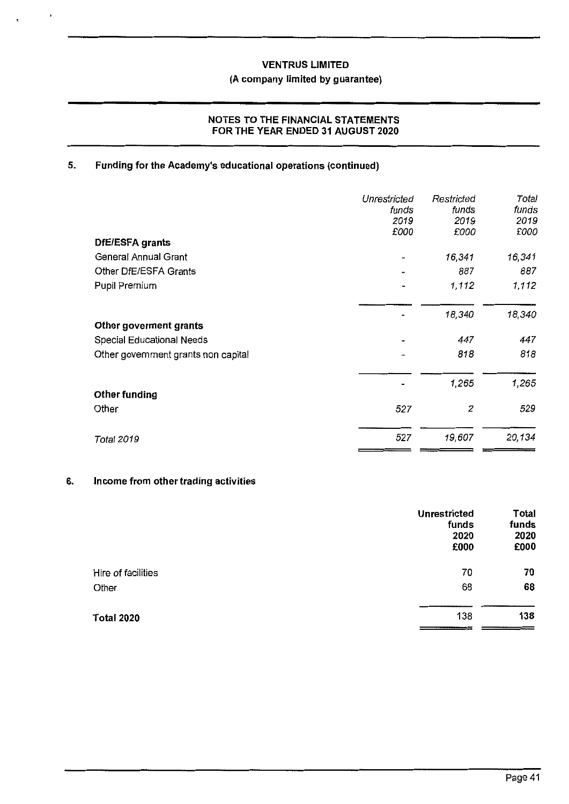#### **(A company limited by guarantee)**

### **NOTES TO THE FINANCIAL STATEMENTS FOR THE YEAR ENDED 31 AUGUST 2020**

### **5. Funding for the Academy's educational operations (continued)**

| Unrestricted<br>funds<br>2019 | Restricted<br>funds<br>2019 | Total<br>funds<br>2019 |
|-------------------------------|-----------------------------|------------------------|
| £000                          | £000                        | £000                   |
|                               |                             |                        |
|                               |                             | 16,341                 |
|                               | 887                         | 887                    |
|                               | 1,112                       | 1,112                  |
|                               | 18,340                      | 18,340                 |
|                               |                             |                        |
|                               | 447                         | 447                    |
| $\rightarrow$                 | 818                         | 818                    |
|                               | 1,265                       | 1,265                  |
|                               |                             |                        |
| 527                           | 2                           | 529                    |
| 527                           | 19,607                      | 20,134                 |
|                               |                             | 16,341                 |

#### **6. Income from other trading activities**

|                    | Unrestricted<br>funds<br>2020<br>£000 | <b>Total</b><br>funds<br>2020<br>£000 |
|--------------------|---------------------------------------|---------------------------------------|
| Hire of facilities | 70                                    | 70                                    |
| Other              | 68                                    | 68                                    |
| Total 2020         | 138                                   | 138<br>______________                 |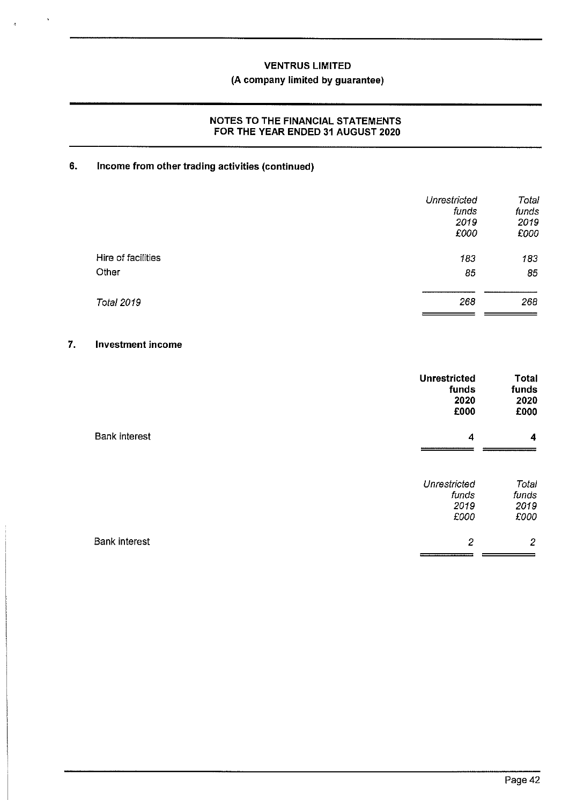### **VENTRUS LIMITED (A company limited by guarantee)**

#### **NOTES TO THE FINANCIAL STATEMENTS FOR THE YEAR ENDED 31 AUGUST 2020**

### **6. Income from other trading activities (continued)**

|                    | Unrestricted<br>funds<br>2019<br>£000 | Total<br>funds<br>2019<br>£000 |
|--------------------|---------------------------------------|--------------------------------|
| Hire of facilities | 183                                   | 183                            |
| Other              | 85                                    | 85                             |
| <b>Total 2019</b>  | 268                                   | 268                            |

#### **7. Investment income**

 $\ddot{\phantom{1}}$ 

|                      | <b>Unrestricted</b><br>funds<br>2020<br>£000 | Total<br>funds<br>2020<br>£000 |
|----------------------|----------------------------------------------|--------------------------------|
| <b>Bank interest</b> | 4                                            | 4                              |
|                      | Unrestricted<br>funds<br>2019<br>£000        | Total<br>funds<br>2019<br>£000 |
| <b>Bank interest</b> | $\overline{c}$                               | $\overline{2}$                 |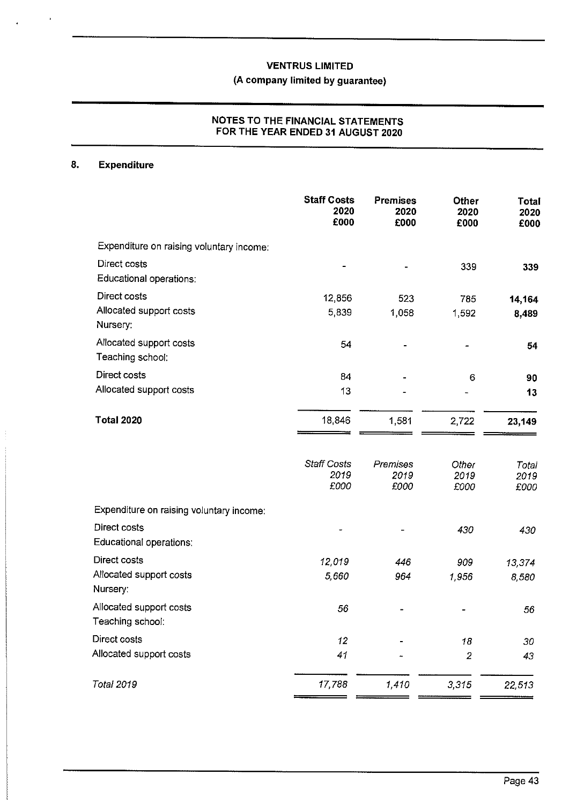# **(A company limited by guarantee)**

### **NOTES TO THE FINANCIAL STATEMENTS FOR THE YEAR ENDED 31 AUGUST 2020**

### **8. Expenditure**

.

|                                                     | <b>Staff Costs</b><br>2020<br>£000 | <b>Premises</b><br>2020<br>£000 | <b>Other</b><br>2020<br>£000 | Total<br>2020<br>£000 |
|-----------------------------------------------------|------------------------------------|---------------------------------|------------------------------|-----------------------|
| Expenditure on raising voluntary income:            |                                    |                                 |                              |                       |
| Direct costs<br>Educational operations:             |                                    |                                 | 339                          | 339                   |
| Direct costs<br>Allocated support costs<br>Nursery: | 12,856<br>5,839                    | 523<br>1,058                    | 785<br>1,592                 | 14,164<br>8,489       |
| Allocated support costs<br>Teaching school:         | 54                                 |                                 |                              | 54                    |
| Direct costs                                        | 84                                 |                                 | 6                            | 90                    |
| Allocated support costs                             | 13                                 |                                 |                              | 13                    |
| <b>Total 2020</b>                                   | 18,846                             | 1,581                           | 2,722                        | 23,149                |
|                                                     | <b>Staff Costs</b><br>2019<br>£000 | Premises<br>2019<br>£000        | Other<br>2019<br>£000        | Total<br>2019<br>£000 |
| Expenditure on raising voluntary income:            |                                    |                                 |                              |                       |
| Direct costs<br>Educational operations:             |                                    |                                 | 430                          | 430                   |
| Direct costs                                        | 12,019                             | 446                             | 909                          | 13,374                |
| Allocated support costs<br>Nursery:                 | 5,660                              | 964                             | 1,956                        | 8,580                 |
| Allocated support costs<br>Teaching school:         | 56                                 |                                 |                              | 56                    |
| Direct costs                                        | 12                                 |                                 | 18                           | 30                    |
| Allocated support costs                             | 41                                 |                                 | $\mathbf{2}$                 | 43                    |
| <b>Total 2019</b>                                   | 17,788                             | 1,410                           | 3,315                        | 22,513                |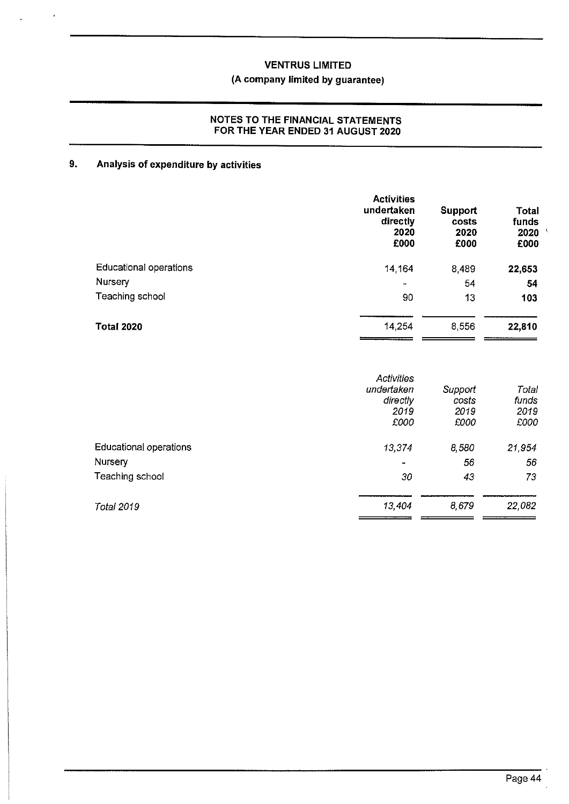### **(A company limited by guarantee)**

#### **NOTES TO THE FINANCIAL STATEMENTS FOR THE YEAR ENDED 31 AUGUST 2020**

### **9. Analysis of expenditure by activities**

|                               | <b>Activities</b><br>undertaken<br>directly<br>2020<br>£000 | <b>Support</b><br>costs<br>2020<br>£000 | <b>Total</b><br>funds<br>2020<br>£000 |
|-------------------------------|-------------------------------------------------------------|-----------------------------------------|---------------------------------------|
| <b>Educational operations</b> | 14.164                                                      | 8,489                                   | 22,653                                |
| Nursery                       | $\blacksquare$                                              | 54                                      | 54                                    |
| Teaching school               | 90                                                          | 13                                      | 103                                   |
| <b>Total 2020</b>             | 14.254                                                      | 8,556                                   | 22,810                                |

|                        | Activities<br>undertaken<br>directly<br>2019<br>£000 | Support<br>costs<br>2019<br>£000 | Total<br>tunds<br>2019<br>£000 |
|------------------------|------------------------------------------------------|----------------------------------|--------------------------------|
| Educational operations | 13,374                                               | 8,580                            | 21,954                         |
| Nursery                | $\overline{\phantom{0}}$                             | 56                               | 56                             |
| Teaching school        | 30                                                   | 43                               | 73                             |
| <b>Total 2019</b>      | 13,404                                               | 8,679                            | 22,082                         |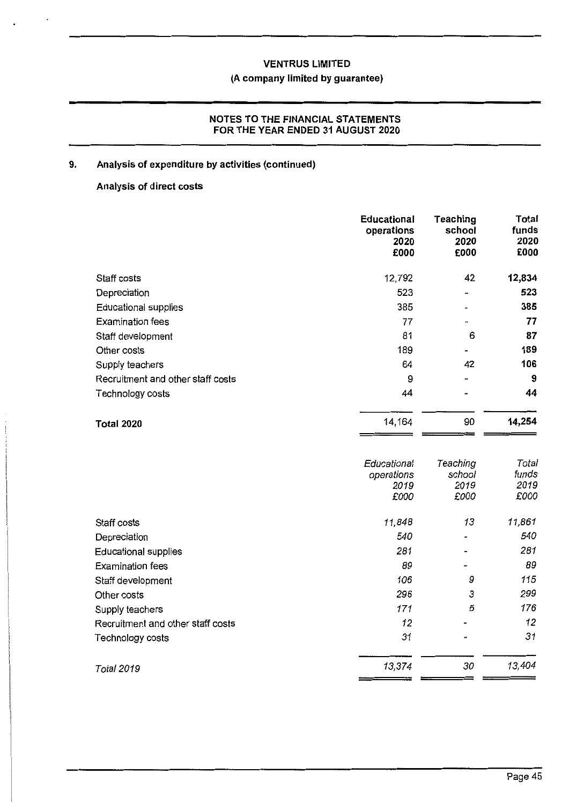### **(A company limited by guarantee)**

### **NOTES TO THE FINANCIAL STATEMENTS FOR THE YEAR ENDED 31 AUGUST 2020**

### **9. Analysis of expenditure by activities (continued)**

### **Analysis of direct costs**

|                                   | <b>Educational</b><br>operations<br>2020<br>£000 | Teaching<br>school<br>2020<br>£000 | <b>Total</b><br>funds<br>2020<br>£000 |
|-----------------------------------|--------------------------------------------------|------------------------------------|---------------------------------------|
| Staff costs                       | 12,792                                           | 42                                 | 12,834                                |
| Depreciation                      | 523                                              |                                    | 523                                   |
| <b>Educational supplies</b>       | 385                                              |                                    | 385                                   |
| <b>Examination fees</b>           | 77                                               |                                    | 77                                    |
| Staff development                 | 81                                               | 6                                  | 87                                    |
| Other costs                       | 189                                              |                                    | 189                                   |
| Supply teachers                   | 64                                               | 42                                 | 106                                   |
| Recruitment and other staff costs | 9                                                |                                    | 9                                     |
| Technology costs                  | 44                                               |                                    | 44                                    |
| <b>Total 2020</b>                 | 14,164                                           | 90                                 | 14,254                                |
|                                   | Educational<br>operations<br>2019<br>£000        | Teaching<br>school<br>2019<br>£000 | Total<br>funds<br>2019<br>£000        |
| Staff costs                       | 11,848                                           | 13                                 | 11,861                                |
| Depreciation                      | 540                                              |                                    | 540                                   |
| <b>Educational supplies</b>       | 281                                              |                                    | 281                                   |
| <b>Examination fees</b>           | 89                                               |                                    | 89                                    |
| Staff development                 | 106                                              | 9                                  | 115                                   |
| Other costs                       | 296                                              | 3                                  | 299                                   |
| Supply teachers                   | 171                                              | 5                                  | 176                                   |
| Recruitment and other staff costs | 12                                               |                                    | 12                                    |
| Technology costs                  | 31                                               |                                    | 31                                    |
| <b>Total 2019</b>                 | 13,374                                           | 30                                 | 13,404                                |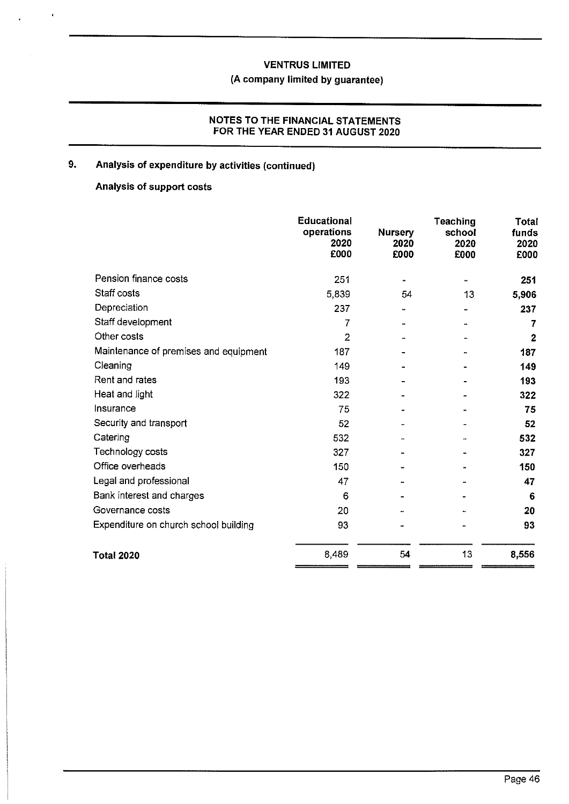# **(A company limited by guarantee)**

### **NOTES TO THE FINANCIAL STATEMENTS FOR THE YEAR ENDED 31 AUGUST 2020**

### **9. Analysis of expenditure by activities (continued)**

### **Analysis of support costs**

 $\cdot$ 

|                                       | <b>Educational</b><br>operations<br>2020<br>£000 | <b>Nursery</b><br>2020<br>£000 | <b>Teaching</b><br>school<br>2020<br>£000 | <b>Total</b><br>funds<br>2020<br>£000 |
|---------------------------------------|--------------------------------------------------|--------------------------------|-------------------------------------------|---------------------------------------|
| Pension finance costs                 | 251                                              |                                | 4                                         | 251                                   |
| Staff costs                           | 5,839                                            | 54                             | 13                                        | 5,906                                 |
| Depreciation                          | 237                                              |                                |                                           | 237                                   |
| Staff development                     | 7                                                |                                |                                           | 7                                     |
| Other costs                           | $\overline{2}$                                   |                                |                                           | 2                                     |
| Maintenance of premises and equipment | 187                                              |                                |                                           | 187                                   |
| Cleaning                              | 149                                              |                                |                                           | 149                                   |
| Rent and rates                        | 193                                              |                                |                                           | 193                                   |
| Heat and light                        | 322                                              |                                |                                           | 322                                   |
| Insurance                             | 75                                               |                                |                                           | 75                                    |
| Security and transport                | 52                                               |                                |                                           | 52                                    |
| Catering                              | 532                                              |                                |                                           | 532                                   |
| Technology costs                      | 327                                              |                                |                                           | 327                                   |
| Office overheads                      | 150                                              |                                |                                           | 150                                   |
| Legal and professional                | 47                                               |                                |                                           | 47                                    |
| Bank interest and charges             | 6                                                |                                |                                           | 6                                     |
| Governance costs                      | 20                                               |                                |                                           | 20                                    |
| Expenditure on church school building | 93                                               |                                |                                           | 93                                    |
| <b>Total 2020</b>                     | 8,489                                            | 54                             | 13                                        | 8,556                                 |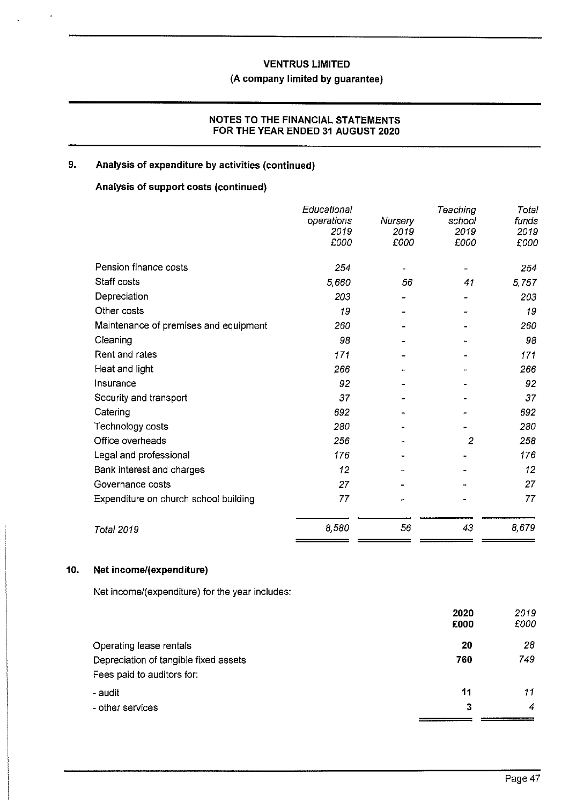### **VENTRUS LIMITED (A company limited by guarantee)**

### **NOTES TO THE FINANCIAL STATEMENTS FOR THE YEAR ENDED 31 AUGUST 2020**

### **9. Analysis of expenditure by activities (continued)**

### **Analysis of support costs (continued)**

|                                       | Educational<br>operations<br>2019<br>£000 | Nursery<br>2019<br>£000 | Teaching<br>school<br>2019<br>£000 | Total<br>funds<br>2019<br>£000 |
|---------------------------------------|-------------------------------------------|-------------------------|------------------------------------|--------------------------------|
| Pension finance costs                 | 254                                       |                         |                                    | 254                            |
| Staff costs                           | 5,660                                     | 56                      | 41                                 | 5,757                          |
| Depreciation                          | 203                                       |                         |                                    | 203                            |
| Other costs                           | 19                                        |                         |                                    | 19                             |
| Maintenance of premises and equipment | 260                                       |                         |                                    | 260                            |
| Cleaning                              | 98                                        |                         |                                    | 98                             |
| Rent and rates                        | 171                                       |                         |                                    | 171                            |
| Heat and light                        | 266                                       |                         |                                    | 266                            |
| Insurance                             | 92                                        |                         |                                    | 92                             |
| Security and transport                | 37                                        |                         |                                    | 37                             |
| Catering                              | 692                                       |                         |                                    | 692                            |
| Technology costs                      | 280                                       |                         |                                    | 280                            |
| Office overheads                      | 256                                       |                         | 2                                  | 258                            |
| Legal and professional                | 176                                       |                         |                                    | 176                            |
| Bank interest and charges             | 12                                        |                         |                                    | 12                             |
| Governance costs                      | 27                                        |                         |                                    | 27                             |
| Expenditure on church school building | 77                                        |                         |                                    | 77                             |
| <b>Total 2019</b>                     | 8,580                                     | 56                      | 43                                 | 8,679                          |

#### **10. Net income/(expenditure)**

Net income/(expenditure) for the year includes:

|                                       | 2020 | 2019 |
|---------------------------------------|------|------|
|                                       | £000 | £000 |
| Operating lease rentals               | 20   | 28   |
| Depreciation of tangible fixed assets | 760  | 749  |
| Fees paid to auditors for:            |      |      |
| - audit                               | 11   | 11   |
| - other services                      | 3    | 4    |
|                                       |      |      |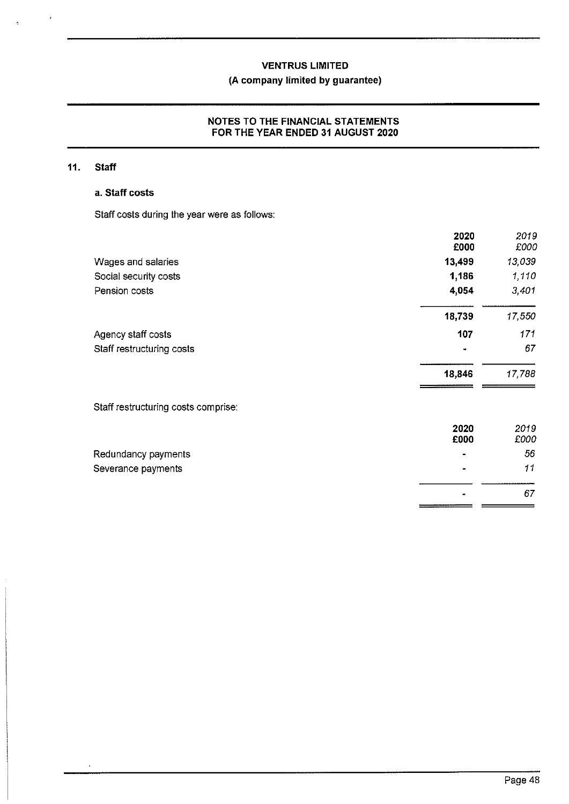### **(A company limited by guarantee)**

#### **NOTES TO THE FINANCIAL STATEMENTS FOR THE YEAR ENDED 31 AUGUST 2020**

### **11. Staff**

 $\lambda$ 

 $\hat{\vec{q}}$ 

#### **a. Staff costs**

Staff costs during the year were as follows:

|                                     | 2020<br>£000 | 2019<br>£000 |
|-------------------------------------|--------------|--------------|
| Wages and salaries                  | 13,499       | 13,039       |
| Social security costs               | 1,186        | 1,110        |
| Pension costs                       | 4,054        | 3,401        |
|                                     | 18,739       | 17,550       |
| Agency staff costs                  | 107          | 171          |
| Staff restructuring costs           |              | 67           |
|                                     | 18,846       | 17,788       |
| Staff restructuring costs comprise: |              |              |
|                                     | 2020<br>£000 | 2019<br>£000 |
| Redundancy payments                 |              | 56           |
| Severance payments                  |              | 11           |
|                                     |              | 67           |

 $=$   $=$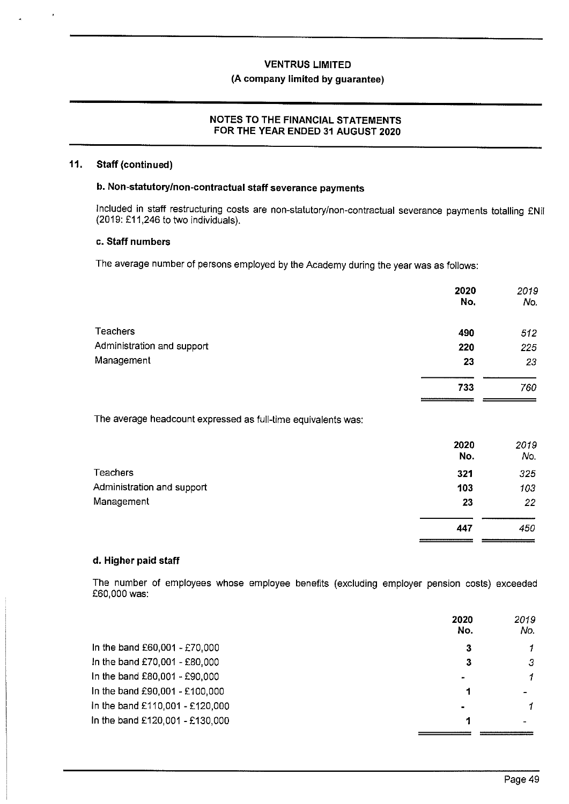### **VENTRUS LIMITED (A company limited by guarantee)**

#### **NOTES TO THE FINANCIAL STATEMENTS FOR THE YEAR ENDED 31 AUGUST 2020**

#### **11. Staff (continued)**

### **b. Non-statutory/non-contractual staff severance payments**

Included in staff restructuring costs are non-statutory/non-contractual severance payments totalling £Nil (2019: £11,246 to two individuals).

#### **c. Staff numbers**

The average number of persons employed by the Academy during the year was as follows:

| 2020<br>No. | 2019<br>No. |
|-------------|-------------|
| 490         | 512         |
| 220         | 225         |
| 23          | 23          |
| 733         | 760         |
|             |             |

The average headcount expressed as full-time equivalents was:

|                            | 2020<br>No. | 2019<br>No. |
|----------------------------|-------------|-------------|
| <b>Teachers</b>            | 321         | 325         |
| Administration and support | 103         | 103         |
| Management                 | 23          | 22          |
|                            | 447         | 450         |
|                            |             |             |

#### **d. Higher paid staff**

The number of employees whose employee benefits (excluding employer pension costs) exceeded £60,000 was:

|                                 | 2020<br>No. | 2019<br>No.    |
|---------------------------------|-------------|----------------|
| In the band £60,001 - £70,000   | 3           |                |
| In the band £70,001 - £80,000   | З           | 3              |
| In the band £80,001 - £90,000   |             | 1              |
| In the band £90,001 - £100,000  |             | $\blacksquare$ |
| in the band £110,001 - £120,000 | ٠           |                |
| In the band £120,001 - £130,000 |             |                |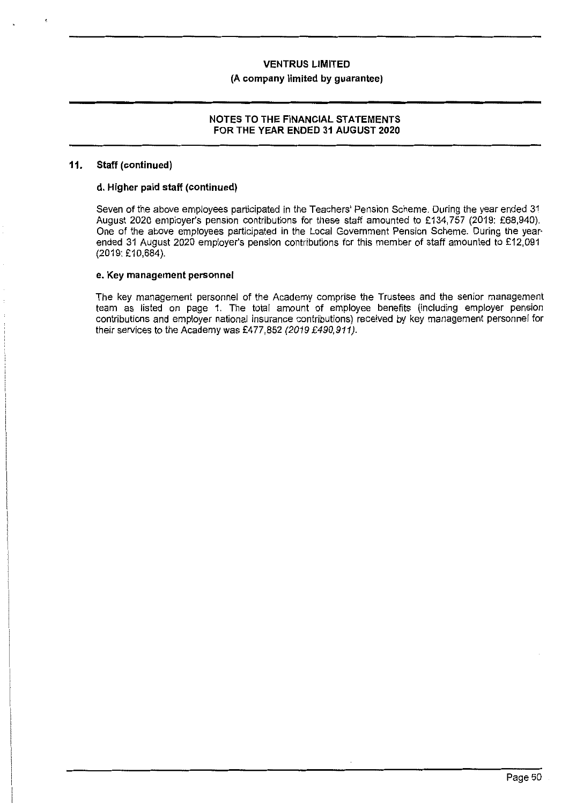#### **(A company limited by guarantee)**

#### **NOTES TO THE FINANCIAL STATEMENTS FOR THE YEAR ENDED 31 AUGUST 2020**

#### **11. Staff (continued)**

#### **d. Higher paid staff (continued)**

Seven of the above employees participated in the Teachers' Pension Scheme. During the year ended 31 August 2020 employer's pension contributions for these staff amounted to £134,757 (2019: £68,940). One of the above employees participated in the Local Government Pension Scheme. During the year· ended 31 August 2020 employer's pension contributions for this member of staff amounted to £12,091 (2019: £10,684).

#### **e. Key management personnel**

The key management personnel of the Academy comprise the Trustees and the senior management team as listed on page 1. The total amount of employee benefits (including employer pension contributions and employer national insurance contributions) received by key management personnel for their services to the Academy was £477,852 (2019 £490,911).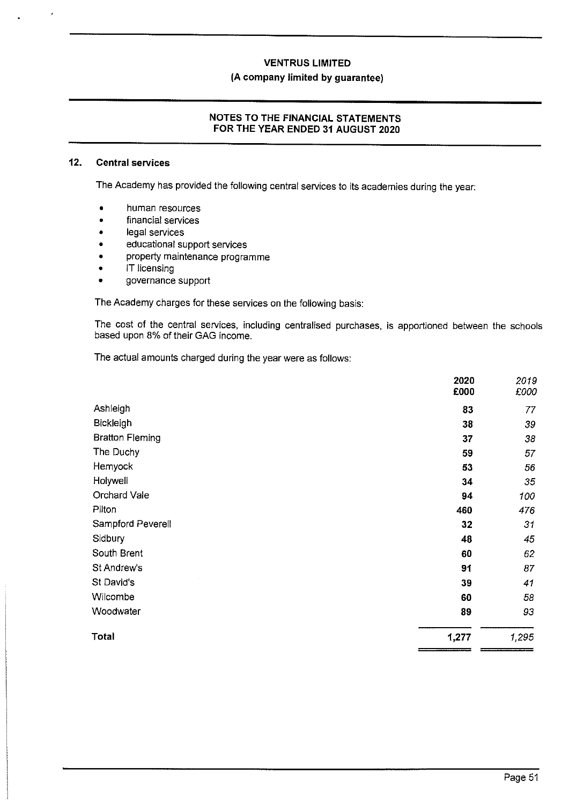### **VENTRUS LIMITED (A company limited by guarantee)**

#### **NOTES TO THE FINANCIAL STATEMENTS FOR THE YEAR ENDED 31 AUGUST 2020**

#### **12. Central services**

The Academy has provided the following central services to its academies during the year:

- human resources
- financial services
- legal services
- educational support services
- property maintenance programme
- **IT licensing**
- governance support

The Academy charges for these services on the following basis:

The cost of the central services, including centralised purchases, is apportioned between the schools based upon 8% of their GAG income.

The actual amounts charged during the year were as follows:

|                        | 2020  | 2019  |
|------------------------|-------|-------|
|                        | £000  | £000  |
| Ashleigh               | 83    | 77    |
| Bickleigh              | 38    | 39    |
| <b>Bratton Fleming</b> | 37    | 38    |
| The Duchy              | 59    | 57    |
| Hemyock                | 53    | 56    |
| Holywell               | 34    | 35    |
| Orchard Vale           | 94    | 100   |
| Pilton                 | 460   | 476   |
| Sampford Peverell      | 32    | 31    |
| Sidbury                | 48    | 45    |
| South Brent            | 60    | 62    |
| St Andrew's            | 91    | 87    |
| St David's             | 39    | 41    |
| Wilcombe               | 60    | 58    |
| Woodwater              | 89    | 93    |
| <b>Total</b>           | 1,277 | 1,295 |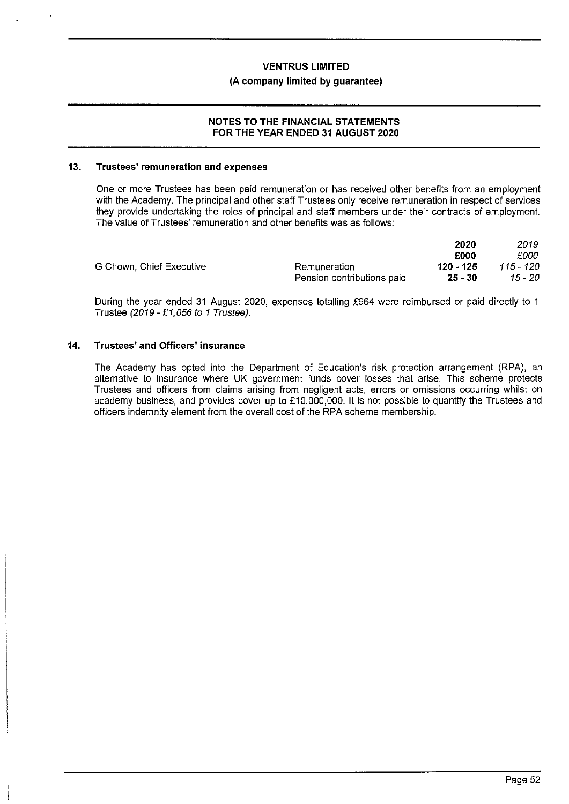#### **(A company limited by guarantee)**

#### **NOTES TO THE FINANCIAL STATEMENTS FOR THE YEAR ENDED 31 AUGUST 2020**

#### **13. Trustees' remuneration and expenses**

One or more Trustees has been paid remuneration or has received other benefits from an employment with the Academy. The principal and other staff Trustees only receive remuneration **in** respect of services they provide undertaking the roles of principal and staff members under their contracts of employment. The value of Trustees' remuneration and other benefits was as follows:

|                          |                            | 2020      | 2019      |
|--------------------------|----------------------------|-----------|-----------|
|                          |                            | £000      | £000      |
| G Chown, Chief Executive | Remuneration               | 120 - 125 | 115 - 120 |
|                          | Pension contributions paid | -25 - 30  | 15 - 20   |

During the year ended 31 August 2020, expenses totalling £964 were reimbursed or paid directly to 1 Trustee (2019 - £1,056 to 1 Trustee).

#### **14. Trustees' and Officers' insurance**

**The** Academy has opted into the Department of Education's risk protection arrangement (RPA), an alternative to insurance where UK government funds cover losses that arise. This scheme protects Trustees and officers from claims arising from negligent acts, errors or omissions occurring whilst on academy business, and provides cover up to £10,000,000. It is not possible to quantify the Trustees and officers indemnity element from the overall cost of the RPA scheme membership.

 $22.9$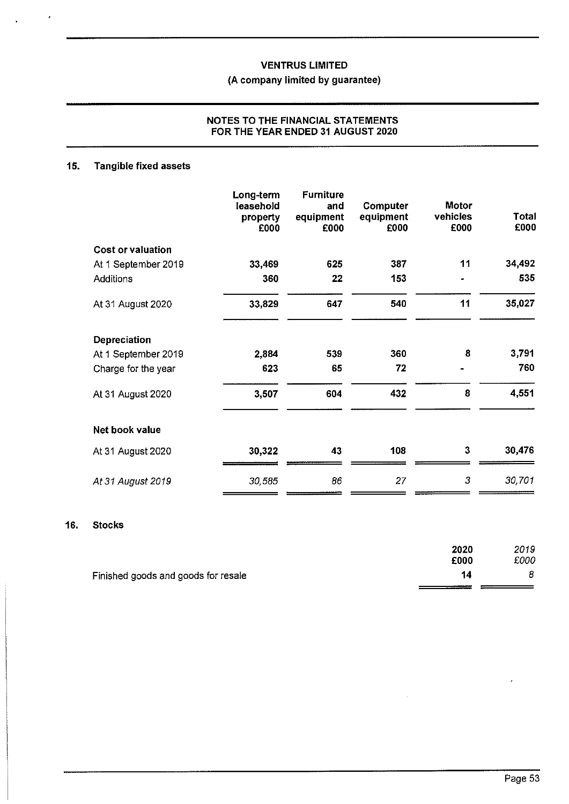### (A company limited by guarantee)

#### **NOTES TO THE FINANCIAL STATEMENTS FOR THE YEAR ENDED 31 AUGUST 2020**

## **15. Tangible fixed assets**

|                          | Long-term<br>leasehold<br>property<br>£000 | <b>Furniture</b><br>and<br>equipment<br>£000 | Computer<br>equipment<br>£000 | <b>Motor</b><br>vehicles<br>£000 | Total<br>£000 |
|--------------------------|--------------------------------------------|----------------------------------------------|-------------------------------|----------------------------------|---------------|
| <b>Cost or valuation</b> |                                            |                                              |                               |                                  |               |
| At 1 September 2019      | 33,469                                     | 625                                          | 387                           | 11                               | 34,492        |
| <b>Additions</b>         | 360                                        | 22                                           | 153                           |                                  | 535           |
| At 31 August 2020        | 33,829                                     | 647                                          | 540                           | 11                               | 35,027        |
| Depreciation             |                                            |                                              |                               |                                  |               |
| At 1 September 2019      | 2,884                                      | 539                                          | 360                           | 8                                | 3,791         |
| Charge for the year      | 623                                        | 65                                           | 72                            |                                  | 760           |
| At 31 August 2020        | 3,507                                      | 604                                          | 432                           | 8                                | 4,551         |
| Net book value           |                                            |                                              |                               |                                  |               |
| At 31 August 2020        | 30,322                                     | 43                                           | 108                           | 3                                | 30,476        |
| At 31 August 2019        | 30,585                                     | 86                                           | 27                            | 3                                | 30,701        |

#### **16. Stocks**

|                                     | 2020 | 2019 |
|-------------------------------------|------|------|
|                                     | £000 | £000 |
| Finished goods and goods for resale | 14   | 8    |
|                                     |      |      |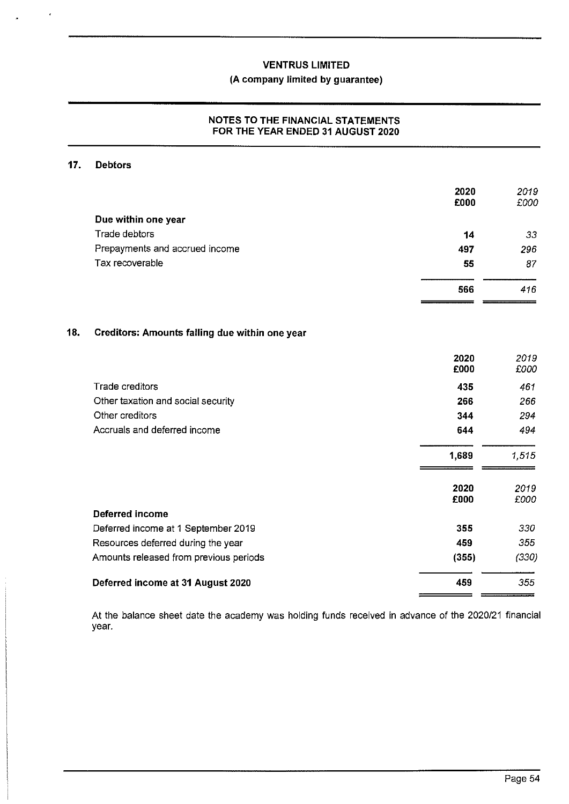### **(A company limited by guarantee)**

#### **NOTES TO THE FINANCIAL STATEMENTS FOR THE YEAR ENDED 31 AUGUST 2020**

### **17. Debtors**

 $\epsilon$ 

|     |                                                | 2020<br>£000 | 2019<br>£000 |
|-----|------------------------------------------------|--------------|--------------|
|     | Due within one year                            |              |              |
|     | Trade debtors                                  | 14           | 33           |
|     | Prepayments and accrued income                 | 497          | 296          |
|     | Tax recoverable                                | 55           | 87           |
|     |                                                | 566          | 416          |
| 18. | Creditors: Amounts falling due within one year |              |              |
|     |                                                | 2020<br>£000 | 2019<br>£000 |
|     | <b>Trade creditors</b>                         | 435          | 461          |
|     | Other taxation and social security             | 266          | 266          |
|     | Other creditors                                | 344          | 294          |
|     | Accruals and deferred income                   | 644          | 494          |
|     |                                                | 1,689        | 1.515        |
|     |                                                | 2020         | 2019         |
|     |                                                | £000         | £000         |
|     | <b>Deferred income</b>                         |              |              |
|     | Deferred income at 1 September 2019            | 355          | 330          |
|     | Resources deferred during the year             | 459          | 355          |
|     | Amounts released from previous periods         | (355)        | (330)        |
|     | Deferred income at 31 August 2020              | 459          | 355          |
|     |                                                |              |              |

At the balance sheet date the academy was holding funds received in advance of the 2020/21 financial year.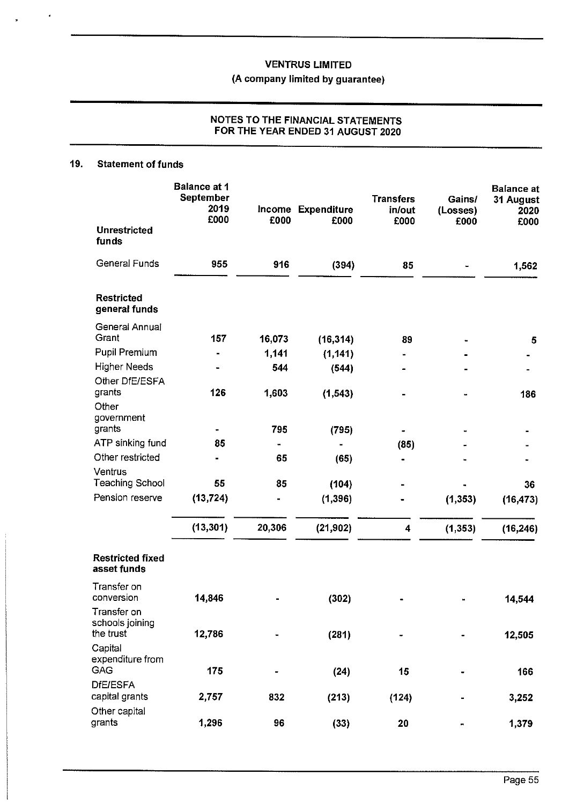## (A company limited by guarantee)

#### **NOTES TO THE FINANCIAL STATEMENTS FOR THE YEAR ENDED 31 AUGUST 2020**

#### **19. Statement of funds**

|                                             | <b>Balance at 1</b><br><b>September</b><br>2019<br>£000 | £000   | Income Expenditure<br>£000 | <b>Transfers</b><br>in/out | Gains/<br>(Losses) | <b>Balance</b> at<br>31 August<br>2020 |
|---------------------------------------------|---------------------------------------------------------|--------|----------------------------|----------------------------|--------------------|----------------------------------------|
| <b>Unrestricted</b><br>funds                |                                                         |        |                            | £000                       | £000               | £000                                   |
| <b>General Funds</b>                        | 955                                                     | 916    | (394)                      | 85                         |                    | 1,562                                  |
| <b>Restricted</b><br>general funds          |                                                         |        |                            |                            |                    |                                        |
| General Annual                              |                                                         |        |                            |                            |                    |                                        |
| Grant                                       | 157                                                     | 16,073 | (16, 314)                  | 89                         |                    | 5                                      |
| Pupil Premium                               |                                                         | 1,141  | (1, 141)                   |                            |                    |                                        |
| <b>Higher Needs</b><br>Other DfE/ESFA       |                                                         | 544    | (544)                      |                            |                    |                                        |
| grants                                      | 126                                                     | 1,603  | (1, 543)                   |                            |                    | 186                                    |
| Other<br>government                         |                                                         |        |                            |                            |                    |                                        |
| grants                                      |                                                         | 795    | (795)                      |                            |                    |                                        |
| ATP sinking fund                            | 85                                                      |        |                            | (85)                       |                    |                                        |
| Other restricted                            |                                                         | 65     | (65)                       |                            |                    |                                        |
| Ventrus<br><b>Teaching School</b>           | 55                                                      | 85     |                            |                            |                    |                                        |
| Pension reserve                             | (13, 724)                                               |        | (104)                      |                            |                    | 36                                     |
|                                             |                                                         |        | (1, 396)                   |                            | (1, 353)           | (16.473)                               |
|                                             | (13, 301)                                               | 20,306 | (21, 902)                  | 4                          | (1, 353)           | (16, 246)                              |
| <b>Restricted fixed</b><br>asset funds      |                                                         |        |                            |                            |                    |                                        |
| Transfer on<br>conversion                   | 14,846                                                  |        | (302)                      |                            |                    | 14,544                                 |
| Transfer on<br>schools joining<br>the trust | 12,786                                                  |        | (281)                      |                            |                    | 12,505                                 |
| Capital<br>expenditure from<br>GAG          | 175                                                     |        | (24)                       | 15                         |                    | 166                                    |
| <b>DfE/ESFA</b><br>capital grants           | 2,757                                                   | 832    | (213)                      | (124)                      |                    | 3,252                                  |
| Other capital<br>grants                     | 1,296                                                   | 96     | (33)                       | 20                         | н                  | 1,379                                  |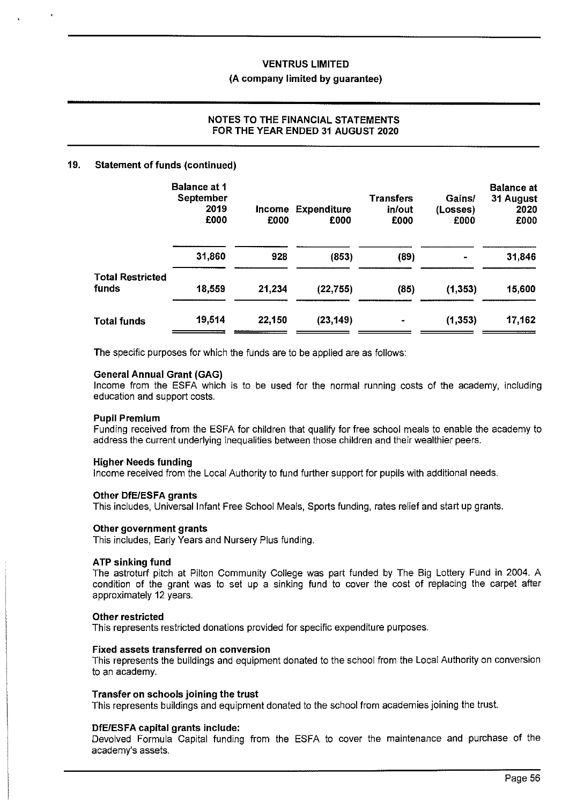### **VENTRUS LIMITED (A company limited by guarantee)**

### **NOTES TO THE FINANCIAL STATEMENTS FOR THE YEAR ENDED 31 AUGUST 2020**

#### **19. Statement of funds (continued)**

|                                  | <b>Balance at 1</b><br>September<br>2019<br>£000 | <b>Income</b><br>£000 | <b>Expenditure</b><br>£000 | <b>Transfers</b><br>in/out<br>£000 | Gains/<br>(Losses)<br>£000 | <b>Balance at</b><br>31 August<br>2020<br>£000 |
|----------------------------------|--------------------------------------------------|-----------------------|----------------------------|------------------------------------|----------------------------|------------------------------------------------|
|                                  | 31,860                                           | 928                   | (853)                      | (89)                               |                            | 31,846                                         |
| <b>Total Restricted</b><br>funds | 18,559                                           | 21,234                | (22, 755)                  | (85)                               | (1, 353)                   | 15,600                                         |
| <b>Total funds</b>               | 19,514                                           | 22,150                | (23, 149)                  |                                    | (1, 353)                   | 17,162                                         |

The specific purposes for which the funds are to be applied are as follows:

#### **General Annual Grant (GAG)**

Income from the ESFA which is to be used for the normal running costs of the academy, including education and support costs.

#### **Pupil Premium**

Funding received from the ESFA for children that qualify for free school meals to enable the academy to address the current underlying inequalities between those children and their wealthier peers.

#### **Higher Needs funding**

Income received from the Local Authority to fund further support for pupils with additional needs.

#### **Other DfE/ESFA grants**

This includes, Universal Infant Free School Meals, Sports funding, rates relief and start up grants.

#### **Other government grants**

This includes, Early Years and Nursery Plus funding.

#### **ATP sinking fund**

The astroturf pitch at Pillon Community College was part funded by The Big Lottery Fund in 2004. A condition of the grant was to set up a sinking fund to cover the cost of replacing the carpet after approximately 12 years.

#### **Other restricted**

This represents restricted donations provided for specific expenditure purposes.

#### **Fixed assets transferred on conversion**

This represents the buildings and equipment donated to the school from the Local Authority on conversion to an academy.

#### **Transfer on schools joining the trust**

This represents buildings and equipment donated to the school from academies joining the trust.

#### **DfE/ESFA capital grants include:**

Devolved Formula Capital funding from the ESFA to cover the maintenance and purchase of the academy's assets.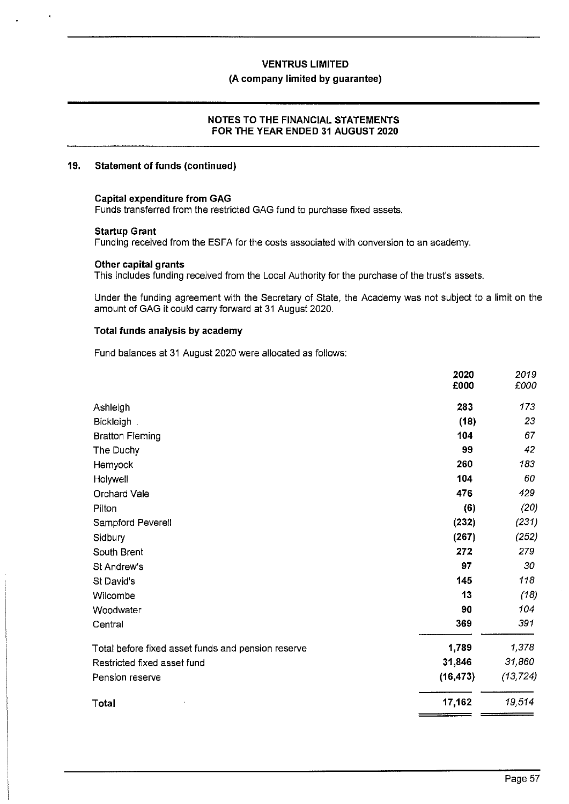#### **(A company limited by guarantee)**

#### **NOTES TO THE FINANCIAL STATEMENTS FOR THE YEAR ENDED 31 AUGUST 2020**

#### **19.** Statement of funds (continued)

#### **Capital expenditure from GAG**

Funds transferred from the restricted GAG fund to purchase fixed assets.

#### **Startup Grant**

Funding received from the ESFA for the costs associated with conversion to an academy.

#### **Other capital grants**

This includes funding received from the Local Authority for the purchase of the trust's assets.

Under the funding agreement with the Secretary of State, the Academy was not subject to a limit on the amount of GAG it could carry forward at 31 August 2020.

#### **Total funds analysis by academy**

Fund balances at 31 August 2020 were allocated as follows:

|                                                    | 2020      | 2019      |
|----------------------------------------------------|-----------|-----------|
|                                                    | £000      | £000      |
| Ashleigh                                           | 283       | 173       |
| Bickleigh.                                         | (18)      | 23        |
| <b>Bratton Fleming</b>                             | 104       | 67        |
| The Duchy                                          | 99        | 42        |
| Hemyock                                            | 260       | 183       |
| Holywell                                           | 104       | 60        |
| Orchard Vale                                       | 476       | 429       |
| Pilton                                             | (6)       | (20)      |
| Sampford Peverell                                  | (232)     | (231)     |
| Sidbury                                            | (267)     | (252)     |
| South Brent                                        | 272       | 279       |
| St Andrew's                                        | 97        | 30        |
| St David's                                         | 145       | 118       |
| Wilcombe                                           | 13        | (18)      |
| Woodwater                                          | 90        | 104       |
| Central                                            | 369       | 391       |
| Total before fixed asset funds and pension reserve | 1,789     | 1,378     |
| Restricted fixed asset fund                        | 31,846    | 31,860    |
| Pension reserve                                    | (16, 473) | (13, 724) |
| Total                                              | 17,162    | 19,514    |
|                                                    |           |           |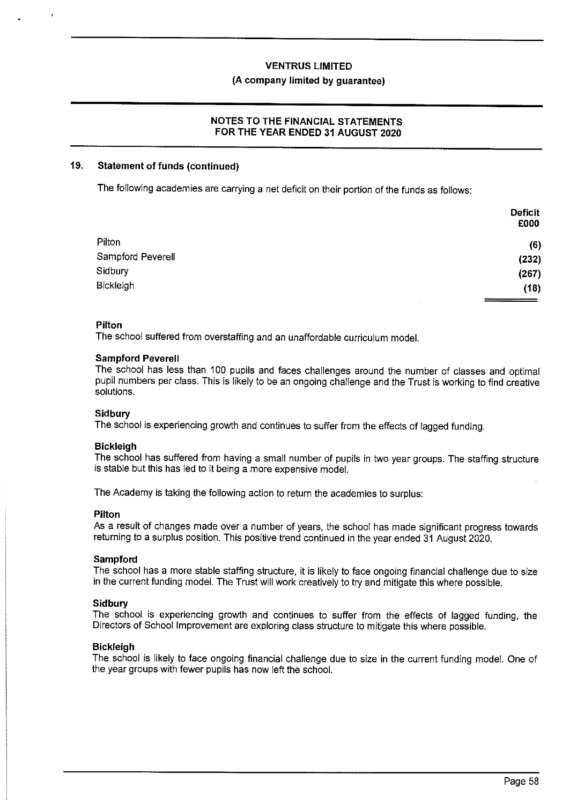#### **(A company limited by guarantee)**

#### **NOTES TO THE FINANCIAL STATEMENTS FOR THE YEAR ENDED 31 AUGUST 2020**

#### **19. Statement of funds (continued)**

The following academies are carrying a net deficit on their portion of the funds as follows:

|                   | <b>Deficit</b> |
|-------------------|----------------|
|                   | £000           |
| Pilton            | (6)            |
| Sampford Peverell | (232)          |
| Sidbury           | (267)          |
| Bickleigh         | (18)           |
|                   | .              |

#### **Pilton**

The school suffered from overstaffing and an unaffordable curriculum model.

#### **Sampford Peverell**

The school has less than 100 pupils and faces challenges around the number of classes and optimal pupil numbers per class. This is likely to be an ongoing challenge and the Trust is working to find creative solutions.

#### **Sidbury**

The school is experiencing growth and continues to suffer from the effects of lagged funding.

#### **Bickleigh**

The school has suffered from having a small number of pupils in two year groups. The staffing structure is stable but this has led to it being a more expensive model.

The Academy is taking the following action to return the academies to surplus:

#### **Pilton**

As a result of changes made over a number of years, the school has made significant progress towards returning to a surplus position. This positive trend continued in the year ended 31 August 2020.

#### **Sampford**

The school has a more stable staffing structure, it is likely to face ongoing financial challenge due to size in the current funding model. The Trust will work creatively to try and mitigate this where possible.

#### **Sidbury**

The school is experiencing growth and continues to suffer from the effects of lagged funding, the Directors of School Improvement are exploring class structure to mitigate this where possible.

#### **Bickleigh**

The school is likely to face ongoing financial challenge due to size in the current funding model. One of the year groups with fewer pupils has now left the school.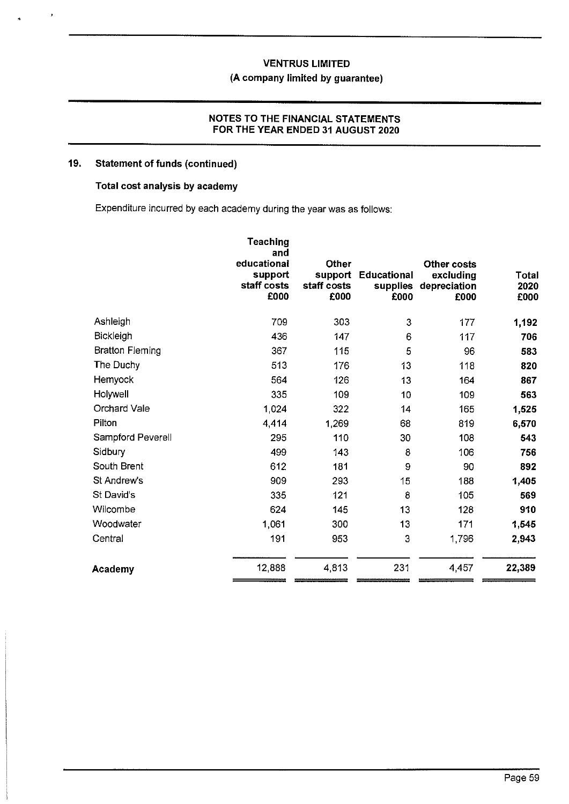### **(A company limited by guarantee)**

#### **NOTES TO THE FINANCIAL STATEMENTS FOR THE YEAR ENDED 31 AUGUST 2020**

#### **19. Statement of funds (continued)**

### **Total cost analysis by academy**

Expenditure incurred by each academy during the year was as follows:

|                        | Teaching<br>and<br>educational<br>support<br>staff costs<br>£000 | <b>Other</b><br>support<br>staff costs<br>£000 | <b>Educational</b><br>supplies<br>£000 | Other costs<br>excluding<br>depreciation<br>£000 | <b>Total</b><br>2020<br>£000 |
|------------------------|------------------------------------------------------------------|------------------------------------------------|----------------------------------------|--------------------------------------------------|------------------------------|
| Ashleigh               | 709                                                              | 303                                            | 3                                      | 177                                              | 1,192                        |
| <b>Bickleigh</b>       | 436                                                              | 147                                            | 6                                      | 117                                              | 706                          |
| <b>Bratton Fleming</b> | 367                                                              | 115                                            | 5                                      | 96                                               | 583                          |
| The Duchy              | 513                                                              | 176                                            | 13                                     | 118                                              | 820                          |
| Hemyock                | 564                                                              | 126                                            | 13                                     | 164                                              | 867                          |
| Holywell               | 335                                                              | 109                                            | 10                                     | 109                                              | 563                          |
| Orchard Vale           | 1,024                                                            | 322                                            | 14                                     | 165                                              | 1,525                        |
| Pilton                 | 4,414                                                            | 1,269                                          | 68                                     | 819                                              | 6,570                        |
| Sampford Peverell      | 295                                                              | 110                                            | 30                                     | 108                                              | 543                          |
| Sidbury                | 499                                                              | 143                                            | 8                                      | 106                                              | 756                          |
| South Brent            | 612                                                              | 181                                            | 9                                      | 90                                               | 892                          |
| St Andrew's            | 909                                                              | 293                                            | 15                                     | 188                                              | 1,405                        |
| St David's             | 335                                                              | 121                                            | 8                                      | 105                                              | 569                          |
| Wilcombe               | 624                                                              | 145                                            | 13                                     | 128                                              | 910                          |
| Woodwater              | 1,061                                                            | 300                                            | 13                                     | 171                                              | 1,545                        |
| Central                | 191                                                              | 953                                            | 3                                      | 1,796                                            | 2,943                        |
| Academy                | 12,888                                                           | 4,813                                          | 231                                    | 4,457                                            | 22,389                       |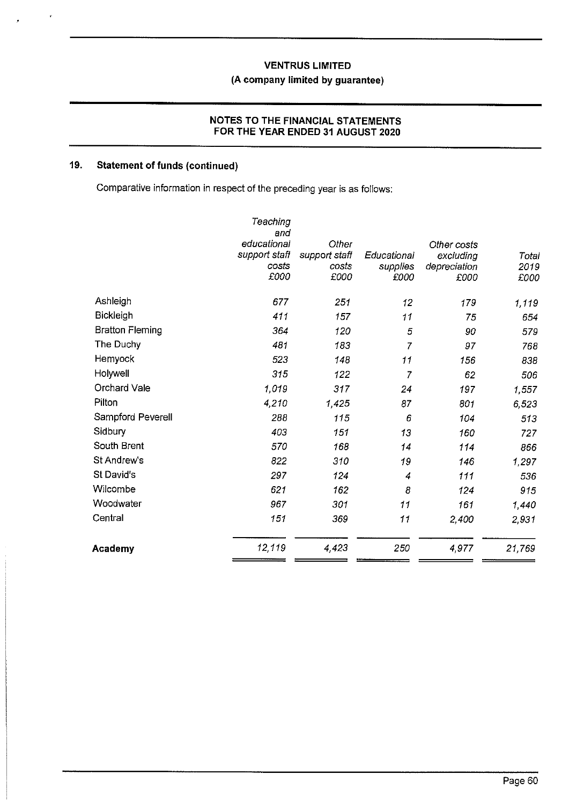### **VENTRUS LIMITED (A company limited by guarantee)**

### **NOTES TO THE FINANCIAL STATEMENTS FOR THE YEAR ENDED 31 AUGUST 2020**

### **19. Statement of funds (continued)**

Comparative information in respect of the preceding year is as follows:

| <b>Academy</b>         | 12,119                 | 4,423                  | 250                     | 4,977                     | 21,769        |
|------------------------|------------------------|------------------------|-------------------------|---------------------------|---------------|
| Central                | 151                    | 369                    | 11                      | 2,400                     | 2,931         |
| Woodwater              | 967                    | 301                    | 11                      | 161                       | 1,440         |
| Wilcombe               | 621                    | 162                    | 8                       | 124                       | 915           |
| St David's             | 297                    | 124                    | 4                       | 111                       | 536           |
| St Andrew's            | 822                    | 310                    | 19                      | 146                       | 1,297         |
| South Brent            | 570                    | 168                    | 14                      | 114                       | 866           |
| Sidbury                | 403                    | 151                    | 13                      | 160                       | 727           |
| Sampford Peverell      | 288                    | 115                    | 6                       | 104                       | 513           |
| Pilton                 | 4,210                  | 1,425                  | 87                      | 801                       | 6,523         |
| <b>Orchard Vale</b>    | 1,019                  | 317                    | 24                      | 197                       | 1,557         |
| Holywell               | 315                    | 122                    | 7                       | 62                        | 506           |
| Hemyock                | 523                    | 148                    | 11                      | 156                       | 838           |
| The Duchy              | 481                    | 183                    | $\overline{7}$          | 97                        | 768           |
| <b>Bratton Fleming</b> | 364                    | 120                    | 5                       | 90                        | 579           |
| <b>Bickleigh</b>       | 411                    | 157                    | 11                      | 75                        | 654           |
| Ashleigh               | 677                    | 251                    | 12                      | 179                       | 1,119         |
|                        | £000                   | £000                   | £000                    | £000                      | £000          |
|                        | support staff<br>costs | support staff<br>costs | Educational<br>supplies | excluding<br>depreciation | Total<br>2019 |
|                        | educational            | Other                  |                         | Other costs               |               |
|                        | and                    |                        |                         |                           |               |
|                        | Teaching               |                        |                         |                           |               |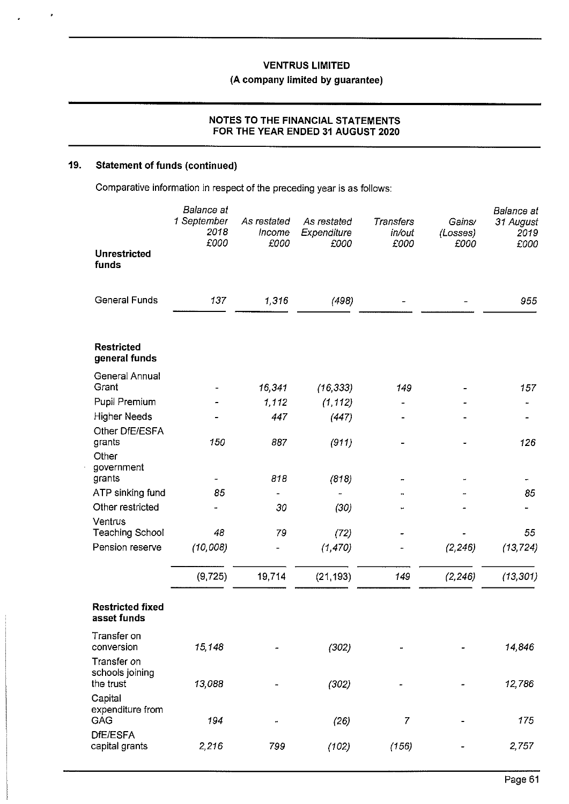## **(A company limited by guarantee)**

#### **NOTES TO THE FINANCIAL STATEMENTS FOR THE YEAR ENDED 31 AUGUST 2020**

### **19. Statement of funds (continued)**

 $\ddot{\phantom{1}}$ 

Comparative information in respect of the preceding year is as follows:

|                                             | Balance at<br>1 September<br>2018<br>£000 | As restated<br>Income<br>£000 | As restated<br>Expenditure<br>£000 | <b>Transfers</b><br>in/out<br>£000 | Gains/<br>(Losses)<br>£000 | Balance at<br>31 August<br>2019<br>£000 |
|---------------------------------------------|-------------------------------------------|-------------------------------|------------------------------------|------------------------------------|----------------------------|-----------------------------------------|
| <b>Unrestricted</b><br>funds                |                                           |                               |                                    |                                    |                            |                                         |
| <b>General Funds</b>                        | 137                                       | 1,316                         | (498)                              |                                    |                            | 955                                     |
| <b>Restricted</b><br>general funds          |                                           |                               |                                    |                                    |                            |                                         |
| General Annual<br>Grant                     |                                           | 16,341                        | (16, 333)                          | 149                                |                            | 157                                     |
| Pupil Premium                               |                                           | 1,112                         | (1, 112)                           |                                    |                            |                                         |
| <b>Higher Needs</b>                         |                                           | 447                           | (447)                              |                                    |                            |                                         |
| Other DfE/ESFA                              |                                           |                               |                                    |                                    |                            |                                         |
| grants                                      | 150                                       | 887                           | (911)                              |                                    |                            | 126                                     |
| Other<br>government                         |                                           |                               |                                    |                                    |                            |                                         |
| grants                                      |                                           | 818                           | (818)                              |                                    |                            |                                         |
| ATP sinking fund                            | 85                                        |                               |                                    |                                    |                            | 85                                      |
| Other restricted                            |                                           | 30                            | (30)                               |                                    |                            |                                         |
| Ventrus                                     |                                           |                               |                                    |                                    |                            |                                         |
| <b>Teaching School</b>                      | 48                                        | 79                            | (72)                               |                                    |                            | 55                                      |
| Pension reserve                             | (10,008)                                  |                               | (1, 470)                           |                                    | (2, 246)                   | (13, 724)                               |
|                                             | (9, 725)                                  | 19,714                        | (21, 193)                          | 149                                | (2, 246)                   | (13, 301)                               |
| <b>Restricted fixed</b><br>asset funds      |                                           |                               |                                    |                                    |                            |                                         |
| Transfer on<br>conversion                   | 15,148                                    |                               | (302)                              |                                    |                            | 14,846                                  |
| Transfer on<br>schools joining<br>the trust | 13,088                                    |                               | (302)                              |                                    |                            | 12,786                                  |
| Capital<br>expenditure from<br>GAG          | 194                                       | m                             | (26)                               | 7                                  |                            | 175                                     |
| DfE/ESFA<br>capital grants                  | 2,216                                     | 799                           | (102)                              | (156)                              |                            | 2,757                                   |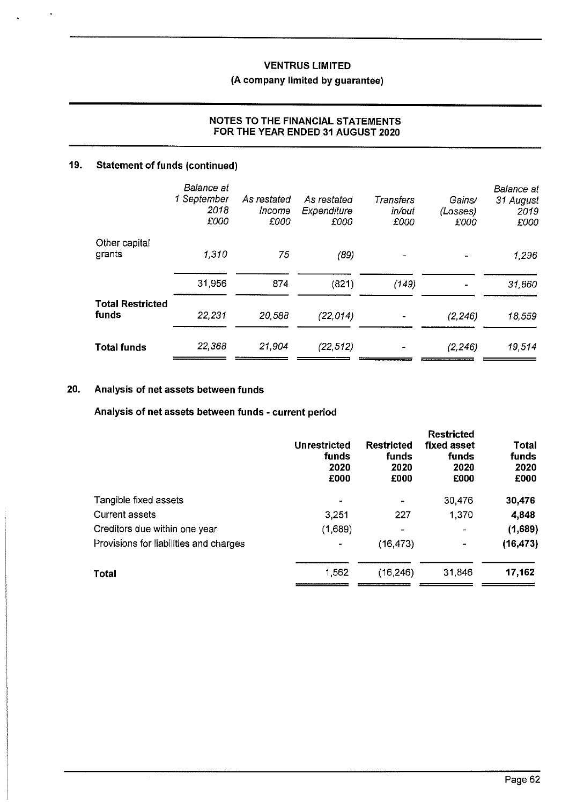## **(A company limited by guarantee)**

### **NOTES TO THE FINANCIAL STATEMENTS FOR THE YEAR ENDED 31 AUGUST 2020**

### **19. Statement of funds (continued)**

|                         | Balance at<br>1 September<br>2018<br>£000 | As restated<br>Income<br>£000 | As restated<br>Expenditure<br>£000 | Transfers<br>in/out<br>£000 | Gains/<br>(Losses)<br>£000 | Balance at<br>31 August<br>2019<br>£000 |
|-------------------------|-------------------------------------------|-------------------------------|------------------------------------|-----------------------------|----------------------------|-----------------------------------------|
| Other capital           |                                           |                               |                                    |                             |                            |                                         |
| grants                  | 1,310                                     | 75                            | (89)                               |                             |                            | 1,296                                   |
|                         | 31,956                                    | 874                           | (821)                              | (149)                       |                            | 31,860                                  |
| <b>Total Restricted</b> |                                           |                               |                                    |                             |                            |                                         |
| funds                   | 22,231                                    | 20,588                        | (22, 014)                          |                             | (2, 246)                   | 18,559                                  |
| Total funds             | 22,368                                    | 21,904                        | (22, 512)                          |                             | (2, 246)                   | 19,514                                  |

### **20. Analysis of net assets between funds**

**Analysis of net assets between funds - current period** 

|                                        | <b>Unrestricted</b><br>funds<br>2020<br>£000 | <b>Restricted</b><br>funds<br>2020<br>£000 | <b>Restricted</b><br>fixed asset<br>funds<br>2020<br>£000 | <b>Total</b><br>funds<br>2020<br>£000 |
|----------------------------------------|----------------------------------------------|--------------------------------------------|-----------------------------------------------------------|---------------------------------------|
| Tangible fixed assets                  | ↔                                            |                                            | 30,476                                                    | 30,476                                |
| <b>Current assets</b>                  | 3,251                                        | 227                                        | 1,370                                                     | 4,848                                 |
| Creditors due within one year          | (1,689)                                      | ۰                                          | $\sim$                                                    | (1,689)                               |
| Provisions for liabilities and charges | ۰                                            | (16, 473)                                  | $\overline{\phantom{a}}$                                  | (16, 473)                             |
| <b>Total</b>                           | 1,562                                        | (16, 246)                                  | 31,846                                                    | 17,162                                |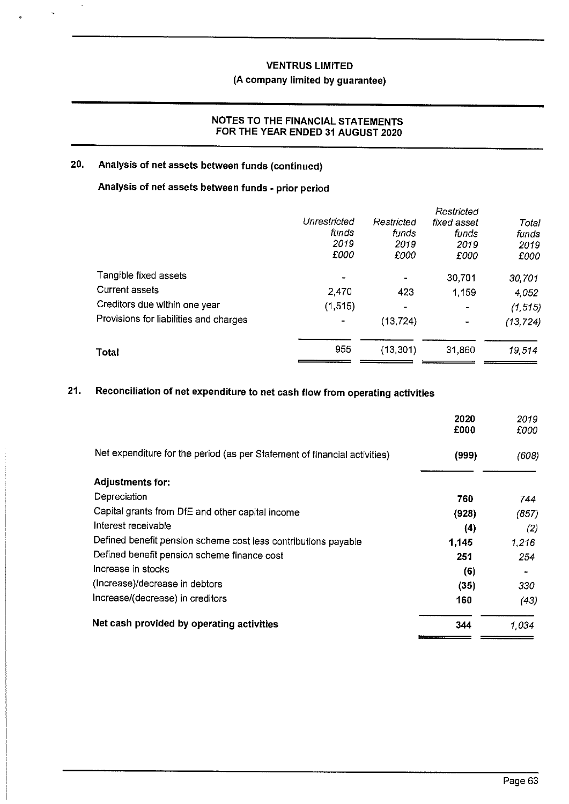### **(A company limited by guarantee)**

### **NOTES TO THE FINANCIAL STATEMENTS FOR THE YEAR ENDED 31 AUGUST 2020**

## **20. Analysis of net assets between funds (continued)**

 $\ddot{\phantom{a}}$ 

# **Analysis of net assets between funds - prior period**

|                                        |              |            | Restricted  |           |
|----------------------------------------|--------------|------------|-------------|-----------|
|                                        | Unrestricted | Restricted | fixed asset | Total     |
|                                        | funds        | funds      | funds       | funds     |
|                                        | 2019         | 2019       | 2019        | 2019      |
|                                        | £000         | £000       | £000        | £000      |
| Tangible fixed assets                  |              |            | 30,701      | 30,701    |
| Current assets                         | 2,470        | 423        | 1,159       | 4,052     |
| Creditors due within one year          | (1, 515)     | $\sim$     |             | (1, 515)  |
| Provisions for liabilities and charges |              | (13, 724)  | -           | (13, 724) |
| Total                                  | 955          | (13, 301)  | 31,860      | 19,514    |
|                                        |              |            |             |           |

# **21. Reconciliation of net expenditure to net cash flow from operating activities**

|                                                                           | 2020<br>£000 | 2019<br>£000 |
|---------------------------------------------------------------------------|--------------|--------------|
| Net expenditure for the period (as per Statement of financial activities) | (999)        | (608)        |
| <b>Adjustments for:</b>                                                   |              |              |
| Depreciation                                                              | 760          | 744          |
| Capital grants from DfE and other capital income                          | (928)        | (857)        |
| Interest receivable                                                       | (4)          | (2)          |
| Defined benefit pension scheme cost less contributions payable            | 1,145        | 1.216        |
| Defined benefit pension scheme finance cost                               | 251          | 254          |
| Increase in stocks                                                        | (6)          |              |
| (Increase)/decrease in debtors                                            | (35)         | 330          |
| Increase/(decrease) in creditors                                          | 160          | (43)         |
| Net cash provided by operating activities                                 | 344          | 1.034        |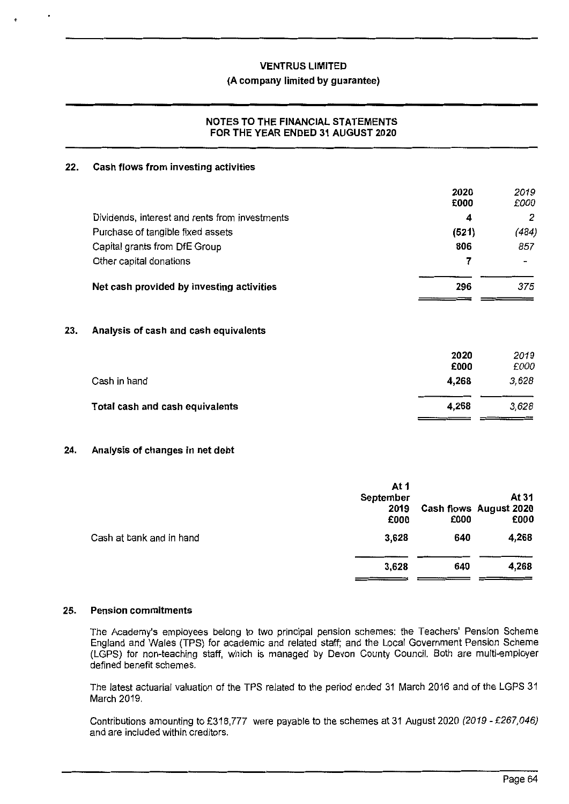#### **(A company limited by guarantee)**

#### **NOTES TO THE FINANCIAL STATEMENTS FOR THE YEAR ENDED 31 AUGUST 2020**

#### **22. Cash flows from investing activities**

|                                                | 2020<br>£000 | 2019<br>£000             |
|------------------------------------------------|--------------|--------------------------|
| Dividends, interest and rents from investments | 4            | 2                        |
| Purchase of tangible fixed assets              | (521)        | (484)                    |
| Capital grants from DfE Group                  | 806          | 857                      |
| Other capital donations                        |              | $\overline{\phantom{a}}$ |
| Net cash provided by investing activities      | 296          | 375                      |

#### **23. Analysis of cash and cash equivalents**

| Total cash and cash equivalents | 4.268        | 3.628        |
|---------------------------------|--------------|--------------|
| Cash in hand                    | 4.268        | 3,628        |
|                                 | 2020<br>£000 | 2019<br>£000 |

#### **24. Analysis of changes in net debt**

|                          | At 1      |      |                        |
|--------------------------|-----------|------|------------------------|
|                          | September |      | At 31                  |
|                          | 2019      |      | Cash flows August 2020 |
|                          | £000      | £000 | £000                   |
| Cash at bank and in hand | 3,628     | 640  | 4,268                  |
|                          |           |      |                        |
|                          | 3,628     | 640  | 4,268                  |
|                          |           |      |                        |

#### **25. Pension commitments**

The Academy's employees belong to two principal pension schemes: the Teachers' Pension Scheme England and Wales (TPS) for academic and related staff; and the Local Government Pension Scheme (LGPS) for non-teaching staff, which is managed by Devon County Council. Both are multi-employer defined benefit schemes.

The latest actuarial valuation of the TPS related to the period ended 31 March 2016 and of the LGPS 31 March 2019.

Contributions amounting to £318,777 were payable to the schemes at 31 August 2020 (2019 - £267,046) and are included within creditors.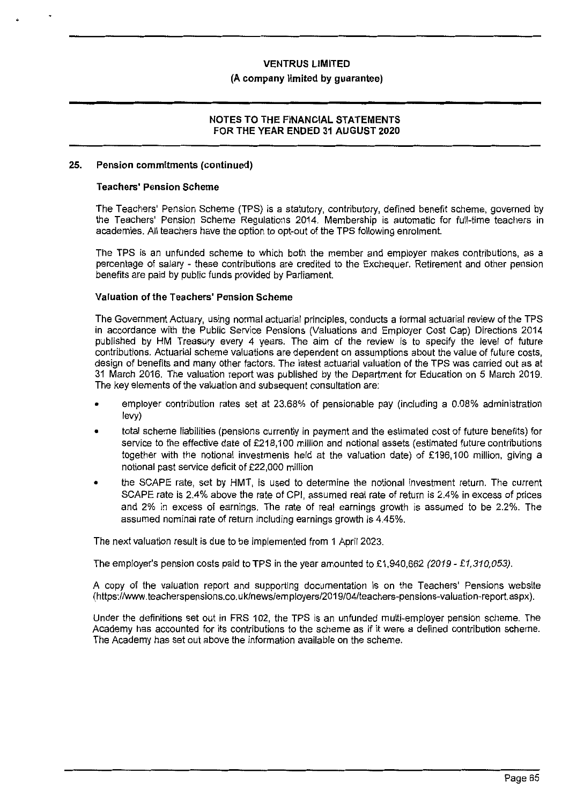#### **(A company limited by guarantee)**

#### **NOTES TO THE FINANCIAL STATEMENTS FOR THE YEAR ENDED 31 AUGUST 2020**

#### **25. Pension commitments (continued)**

#### **Teachers' Pension Scheme**

The Teachers' Pension Scheme (TPS) is a statutory, contributory, defined benefit scheme, governed by the Teachers' Pension Scheme Regulations 2014. Membership is automatic for full-time teachers in academies. All teachers have the option to opt-out of the TPS following enrolment.

The TPS is an unfunded scheme to which both the member and employer makes contributions, as a percentage of salary - these contributions are credited to the Exchequer. Retirement and other pension benefits are paid by public funds provided by Parliament.

#### **Valuation of the Teachers' Pension Scheme**

The Government Actuary, using normal actuarial principles, conducts a formal actuarial review of the TPS in accordance with the Public Service Pensions (Valuations and Employer Cost Cap) Directions 2014 published by HM Treasury every 4 years. The aim of the review is to specify the level of future contributions. Actuarial scheme valuations are dependent on assumptions about the value of future costs, design of benefits and many other factors. The latest actuarial valuation of the TPS was carried out as at 31 March 2016. The valuation report was published by the Department for Education on 5 March 2019. The key elements of the valuation and subsequent consultation are:

- employer contribution rates set at 23.68% of pensionable pay (including a 0.08% administration levy)
- total scheme liabilities (pensions currently in payment and the estimated cost of future benefits) for service to the effective date of £218,100 million and notional assets ( estimated future contributions together with the notional investments held at the valuation date) of £196,100 million, giving a notional past service deficit of £22,000 million
- the SCAPE rate, set by HMT, is used to determine the notional investment return. The current SCAPE rate is 2.4% above the rate of CPI, assumed real rate of return is 2.4% in excess of prices and 2% in excess of earnings. The rate of real earnings growth is assumed to be 2.2%. The assumed nominal rate of return including earnings growth is 4.45%.

The next valuation result is due to be implemented from 1 April 2023.

The employer's pension costs paid to TPS in the year amounted to £1,940,662 (2019 - £1,310,053).

A copy of the valuation report and supporting documentation is on the Teachers' Pensions website (https://www.teacherspensions.co.uk/news/employers/2019/04/teachers-pensions-valuation-report. aspx).

Under the definitions set out in FRS 102, the TPS is an unfunded multi-employer pension scheme. The Academy has accounted for its contributions to the scheme as if it were a defined contribution scheme. The Academy has set out above the information available on the scheme.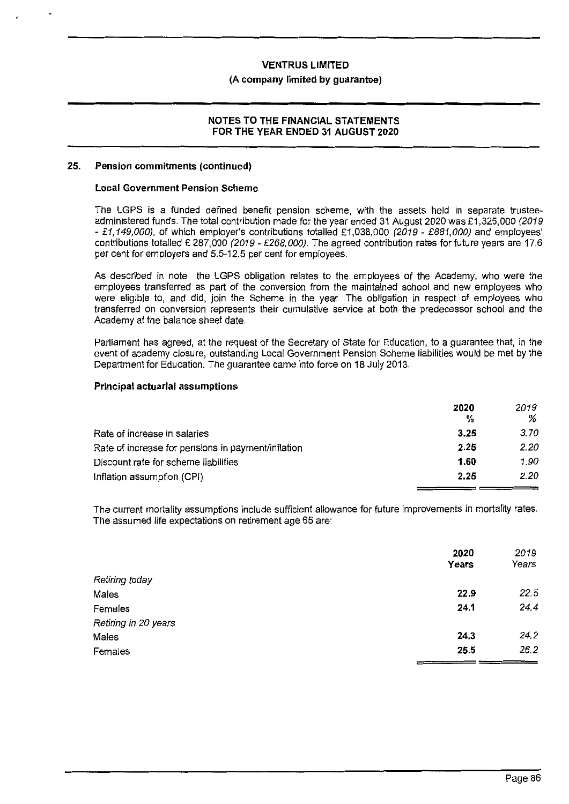#### **(A company limited by guarantee)**

#### **NOTES TO THE FINANCIAL STATEMENTS FOR THE YEAR ENDED 31 AUGUST 2020**

#### **25. Pension commitments (continued)**

#### **Local Government Pension Scheme**

The LGPS is a funded defined benefit pension scheme, with the assets held in separate trusteeadministered funds. The total contribution made for the year ended 31 August 2020 was £1,325,000 (2019 - £1,149,000), of which employer's contributions totalled £1,038,000 (2019 - £881,000) and employees' contributions totalled £ 287,000 (2019 - £268,000). The agreed contribution rates for future years are 17.6 per cent for employers and 5.5-12.5 per cent for employees.

As described in note the LGPS obligation relates to the employees of the Academy, who were the employees transferred as part of the conversion from the maintained school and new employees who were eligible to, and did, join the Scheme in the year. The obligation in respect of employees who transferred on conversion represents their cumulative service at both the predecessor school and the Academy at the balance sheet date.

Parliament has agreed, at the request of the Secretary of State for Education, to a guarantee that, in the event of academy closure, outstanding Local Government Pension Scheme liabilities would be met by the Department for Education. The guarantee came into force on 18 July 2013.

#### **Principal actuarial assumptions**

|                                                    | 2020<br>% | 2019<br>% |
|----------------------------------------------------|-----------|-----------|
| Rate of increase in salaries                       | 3.25      | 3.70      |
| Rate of increase for pensions in payment/inflation | 2.25      | 2.20      |
| Discount rate for scheme liabilities               | 1.60      | 1.90      |
| Inflation assumption (CPI)                         | 2.25      | 2.20      |

The current mortality assumptions include sufficient allowance for future improvements in mortality rates. The assumed life expectations on retirement age 65 are:

|                      | 2020<br>Years | 2019<br>Years |
|----------------------|---------------|---------------|
|                      |               |               |
| Retiring today       |               |               |
| Males                | 22.9          | 22.5          |
| Females              | 24.1          | 24.4          |
| Retiring in 20 years |               |               |
| Males                | 24.3          | 24.2          |
| Females              | 25.5          | 26.2          |
|                      |               |               |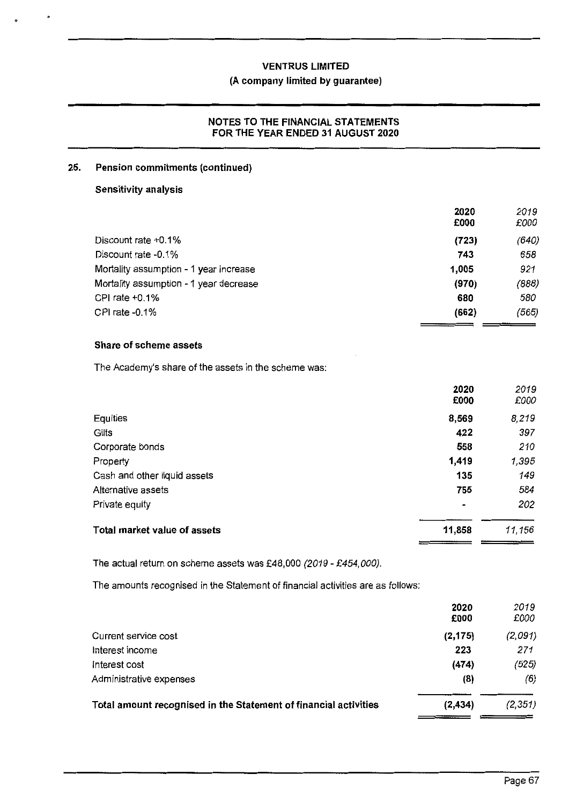### **(A company limited by guarantee)**

#### **NOTES TO THE FINANCIAL STATEMENTS FOR THE YEAR ENDED 31 AUGUST 2020**

#### **25. Pension commitments (continued)**

#### **Sensitivity analysis**

|                                        | 2020<br>£000 | 2019<br>£000 |
|----------------------------------------|--------------|--------------|
| Discount rate +0.1%                    | (723)        | (640)        |
| Discount rate -0.1%                    | 743          | 658          |
| Mortality assumption - 1 year increase | 1,005        | 921          |
| Mortality assumption - 1 year decrease | (970)        | (888)        |
| CPI rate +0.1%                         | 680          | 580          |
| CPI rate $-0.1\%$                      | (662)        | (565)        |
|                                        |              |              |

### **Share of scheme assets**

The Academy's share of the assets in the scheme was:

|                              | 2020<br>£000   | 2019<br>£000 |
|------------------------------|----------------|--------------|
| Equities                     | 8,569          | 8,219        |
| Gilts                        | 422            | 397          |
| Corporate bonds              | 558            | 210          |
| Property                     | 1,419          | 1,395        |
| Cash and other liquid assets | 135            | 149          |
| Alternative assets           | 755            | 584          |
| Private equity               | $\blacksquare$ | 202          |
| Total market value of assets | 11,858         | 11,156       |

The actual return on scheme assets was £48,000 (2019 - £454,000).

The amounts recognised in the Statement of financial activities are as follows:

|                                                                  | 2020<br>£000 | 2019<br>£000 |
|------------------------------------------------------------------|--------------|--------------|
| Current service cost                                             | (2, 175)     | (2,091)      |
| Interest income                                                  | 223          | 271          |
| Interest cost                                                    | (474)        | (525)        |
| Administrative expenses                                          | (8)          | (6)          |
| Total amount recognised in the Statement of financial activities | (2, 434)     | (2, 351)     |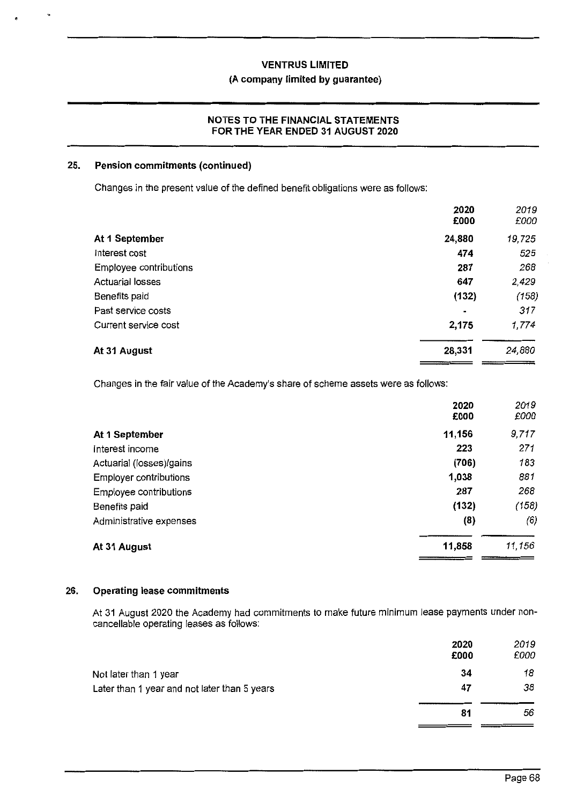#### **(A company limited by guarantee)**

#### **NOTES TO THE FINANCIAL STATEMENTS FOR THE YEAR ENDED 31 AUGUST 2020**

#### **25. Pension commitments (continued)**

'

Changes in the present value of the defined benefit obligations were as follows:

|                         | 2020<br>£000   | 2019<br>£000 |
|-------------------------|----------------|--------------|
| At 1 September          | 24,880         | 19,725       |
| Interest cost           | 474            | 525          |
| Employee contributions  | 287            | 268          |
| <b>Actuarial losses</b> | 647            | 2,429        |
| Benefits paid           | (132)          | (158)        |
| Past service costs      | $\blacksquare$ | 317          |
| Current service cost    | 2,175          | 1,774        |
| At 31 August            | 28,331         | 24,880       |

Changes in the fair value of the Academy's share of scheme assets were as follows:

|                          | 2020<br>£000 | 2019<br>£000 |
|--------------------------|--------------|--------------|
| At 1 September           | 11,156       | 9,717        |
| Interest income          | 223          | 271          |
| Actuarial (losses)/gains | (706)        | 183          |
| Employer contributions   | 1,038        | 881          |
| Employee contributions   | 287          | 268          |
| Benefits paid            | (132)        | (158)        |
| Administrative expenses  | (8)          | (6)          |
| At 31 August             | 11,858       | 11,156       |

### **26. Operating lease commitments**

At 31 August 2020 the Academy had commitments to make future minimum lease payments under noncancellable operating leases as follows:

|                                              | 2020<br>£000 | 2019<br>£000 |
|----------------------------------------------|--------------|--------------|
| Not later than 1 year                        | 34           | 18           |
| Later than 1 year and not later than 5 years | 47           | 38           |
|                                              | 81           | 56           |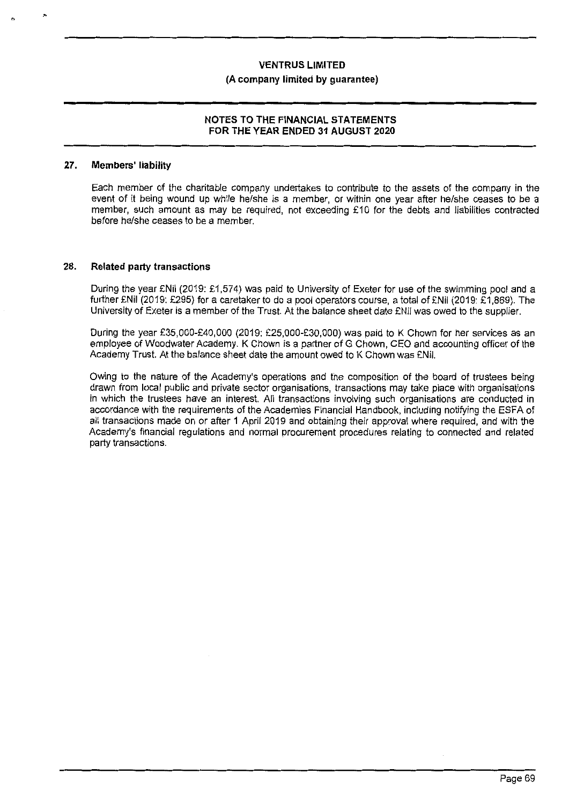#### **(A company limited by guarantee)**

#### **NOTES TO THE FINANCIAL STATEMENTS FOR THE YEAR ENDED 31 AUGUST 2020**

#### **27. Members' liability**

Each member of the charitable company undertakes to contribute to the assets of the company in the event of it being wound up while he/she is a member, or within one year after he/she ceases to be a member, such amount as may be required, not exceeding £10 for the debts and liabilities contracted before he/she ceases to be a member.

#### **28. Related party transactions**

During the year £Nil (2019: £1,574) was paid to University of Exeter for use of the swimming pool and a further £Nil (2019: £295) for a caretaker to do a pool operators course, a total of £Nil (2019: £1,869). The University of Exeter is a member of the Trust. At the balance sheet date £Nil was owed to the supplier.

During the year £35,000-£40,000 (2019: £25,000-£30,000) was paid to K Chown for her services as an employee of Woodwater Academy. K Chown is a partner of G Chown, CEO and accounting officer of the Academy Trust. At the balance sheet date the amount owed to K Chown was £Nil.

Owing to the nature of the Academy's operations and the composition of the board of trustees being drawn from local public and private sector organisations, transactions may take place with organisations in which the trustees have an interest. All transactions involving such organisations are conducted in accordance with the requirements of the Academies Financial Handbook, including notifying the ESFA of all transactions made on or after 1 April 2019 and obtaining their approval where required, and with the Academy's financial regulations and normal procurement procedures relating to connected and related party transactions.